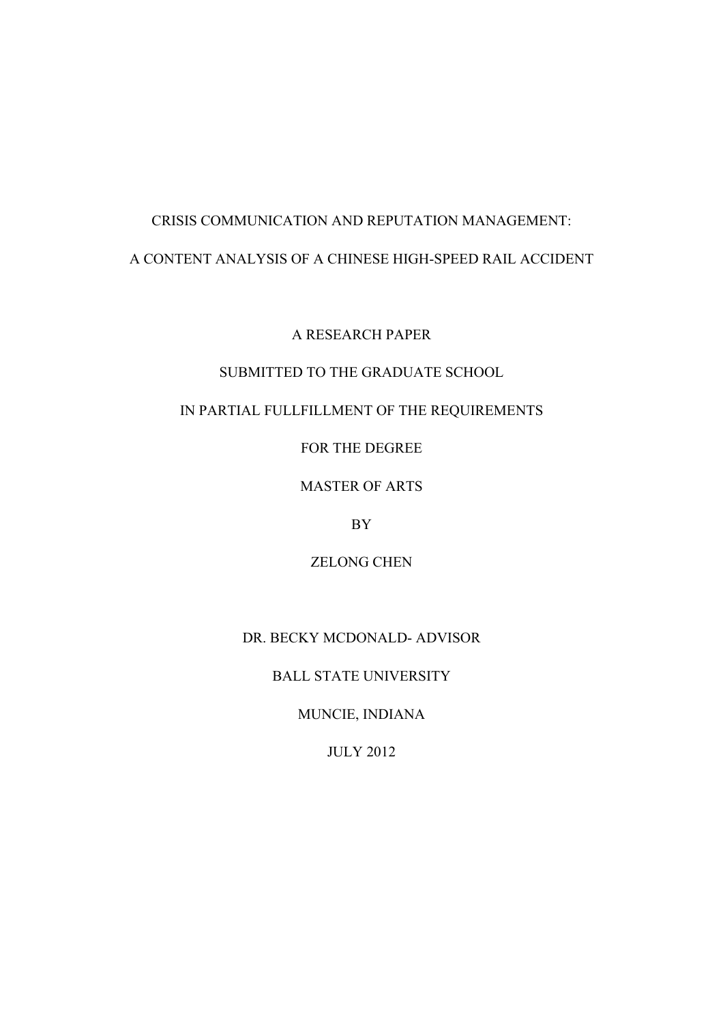# CRISIS COMMUNICATION AND REPUTATION MANAGEMENT: A CONTENT ANALYSIS OF A CHINESE HIGH-SPEED RAIL ACCIDENT

A RESEARCH PAPER

# SUBMITTED TO THE GRADUATE SCHOOL

# IN PARTIAL FULLFILLMENT OF THE REQUIREMENTS

FOR THE DEGREE

MASTER OF ARTS

BY

ZELONG CHEN

DR. BECKY MCDONALD- ADVISOR

BALL STATE UNIVERSITY

MUNCIE, INDIANA

JULY 2012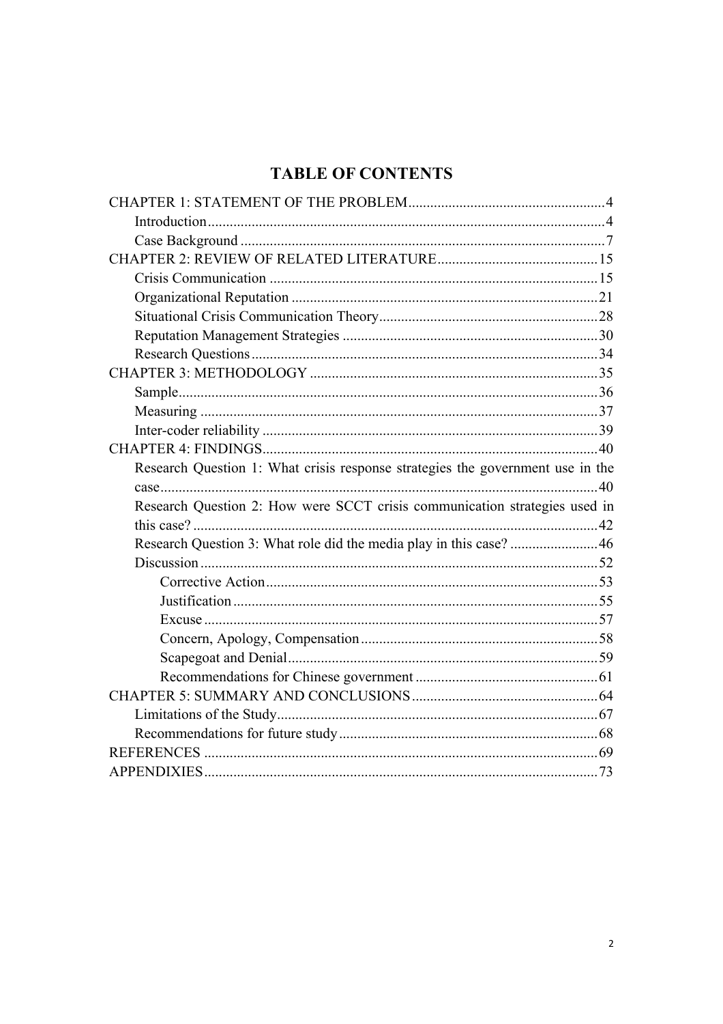# **TABLE OF CONTENTS**

| Research Question 1: What crisis response strategies the government use in the |  |
|--------------------------------------------------------------------------------|--|
|                                                                                |  |
| Research Question 2: How were SCCT crisis communication strategies used in     |  |
|                                                                                |  |
| Research Question 3: What role did the media play in this case? 46             |  |
|                                                                                |  |
|                                                                                |  |
|                                                                                |  |
|                                                                                |  |
|                                                                                |  |
|                                                                                |  |
|                                                                                |  |
|                                                                                |  |
|                                                                                |  |
|                                                                                |  |
|                                                                                |  |
|                                                                                |  |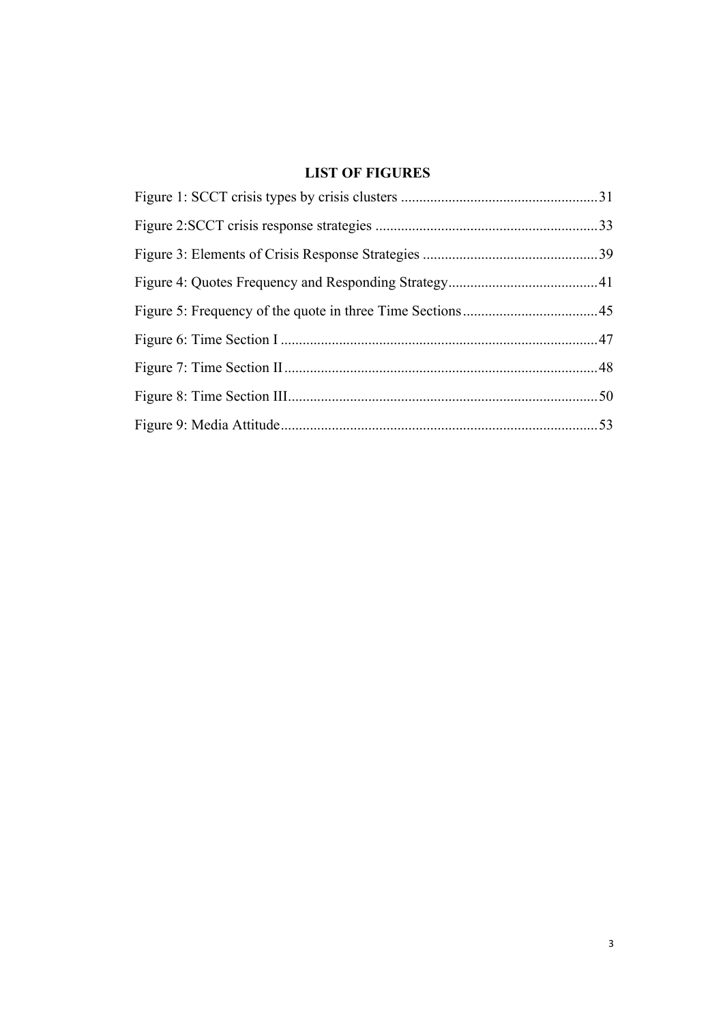# **LIST OF FIGURES**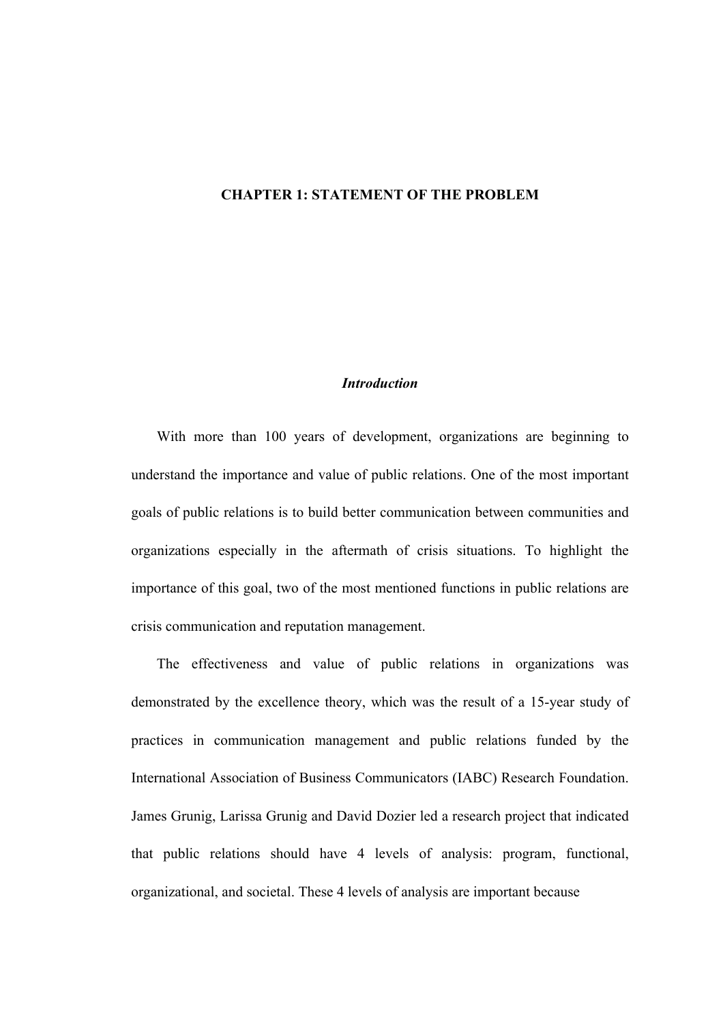#### **CHAPTER 1: STATEMENT OF THE PROBLEM**

# *Introduction*

With more than 100 years of development, organizations are beginning to understand the importance and value of public relations. One of the most important goals of public relations is to build better communication between communities and organizations especially in the aftermath of crisis situations. To highlight the importance of this goal, two of the most mentioned functions in public relations are crisis communication and reputation management.

The effectiveness and value of public relations in organizations was demonstrated by the excellence theory, which was the result of a 15-year study of practices in communication management and public relations funded by the International Association of Business Communicators (IABC) Research Foundation. James Grunig, Larissa Grunig and David Dozier led a research project that indicated that public relations should have 4 levels of analysis: program, functional, organizational, and societal. These 4 levels of analysis are important because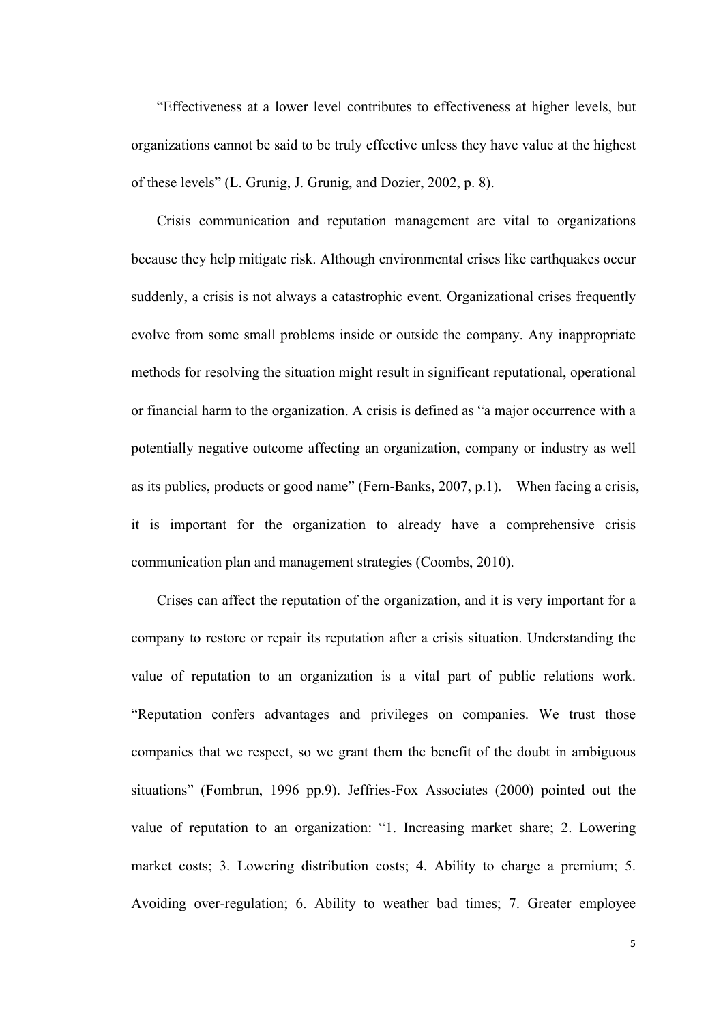"Effectiveness at a lower level contributes to effectiveness at higher levels, but organizations cannot be said to be truly effective unless they have value at the highest of these levels" (L. Grunig, J. Grunig, and Dozier, 2002, p. 8).

Crisis communication and reputation management are vital to organizations because they help mitigate risk. Although environmental crises like earthquakes occur suddenly, a crisis is not always a catastrophic event. Organizational crises frequently evolve from some small problems inside or outside the company. Any inappropriate methods for resolving the situation might result in significant reputational, operational or financial harm to the organization. A crisis is defined as "a major occurrence with a potentially negative outcome affecting an organization, company or industry as well as its publics, products or good name" (Fern-Banks, 2007, p.1). When facing a crisis, it is important for the organization to already have a comprehensive crisis communication plan and management strategies (Coombs, 2010).

Crises can affect the reputation of the organization, and it is very important for a company to restore or repair its reputation after a crisis situation. Understanding the value of reputation to an organization is a vital part of public relations work. "Reputation confers advantages and privileges on companies. We trust those companies that we respect, so we grant them the benefit of the doubt in ambiguous situations" (Fombrun, 1996 pp.9). Jeffries-Fox Associates (2000) pointed out the value of reputation to an organization: "1. Increasing market share; 2. Lowering market costs; 3. Lowering distribution costs; 4. Ability to charge a premium; 5. Avoiding over-regulation; 6. Ability to weather bad times; 7. Greater employee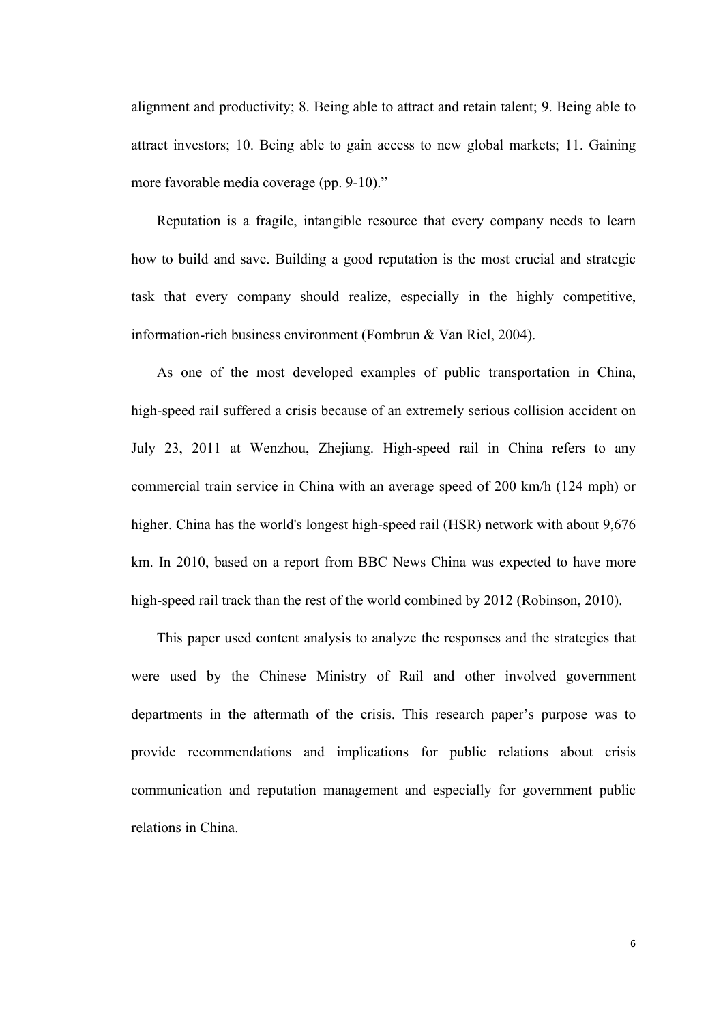alignment and productivity; 8. Being able to attract and retain talent; 9. Being able to attract investors; 10. Being able to gain access to new global markets; 11. Gaining more favorable media coverage (pp. 9-10)."

Reputation is a fragile, intangible resource that every company needs to learn how to build and save. Building a good reputation is the most crucial and strategic task that every company should realize, especially in the highly competitive, information-rich business environment (Fombrun & Van Riel, 2004).

As one of the most developed examples of public transportation in China, high-speed rail suffered a crisis because of an extremely serious collision accident on July 23, 2011 at Wenzhou, Zhejiang. High-speed rail in China refers to any commercial train service in China with an average speed of 200 km/h (124 mph) or higher. China has the world's longest high-speed rail (HSR) network with about 9,676 km. In 2010, based on a report from BBC News China was expected to have more high-speed rail track than the rest of the world combined by 2012 (Robinson, 2010).

This paper used content analysis to analyze the responses and the strategies that were used by the Chinese Ministry of Rail and other involved government departments in the aftermath of the crisis. This research paper's purpose was to provide recommendations and implications for public relations about crisis communication and reputation management and especially for government public relations in China.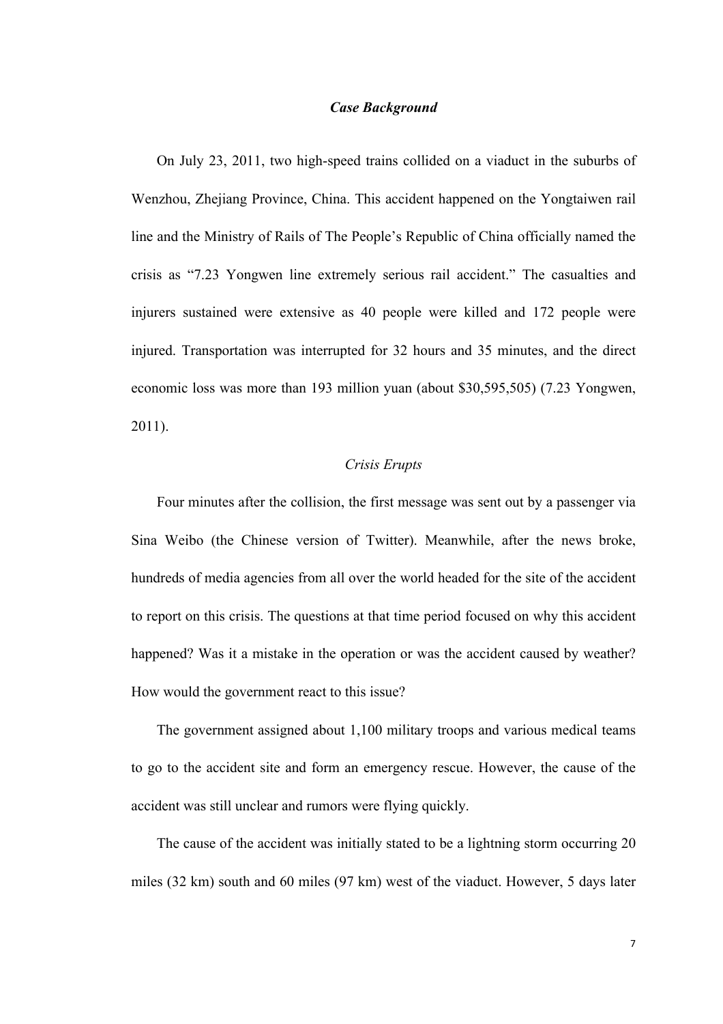#### *Case Background*

On July 23, 2011, two high-speed trains collided on a viaduct in the suburbs of Wenzhou, Zhejiang Province, China. This accident happened on the Yongtaiwen rail line and the Ministry of Rails of The People's Republic of China officially named the crisis as "7.23 Yongwen line extremely serious rail accident." The casualties and injurers sustained were extensive as 40 people were killed and 172 people were injured. Transportation was interrupted for 32 hours and 35 minutes, and the direct economic loss was more than 193 million yuan (about \$30,595,505) (7.23 Yongwen, 2011).

#### *Crisis Erupts*

Four minutes after the collision, the first message was sent out by a passenger via Sina Weibo (the Chinese version of Twitter). Meanwhile, after the news broke, hundreds of media agencies from all over the world headed for the site of the accident to report on this crisis. The questions at that time period focused on why this accident happened? Was it a mistake in the operation or was the accident caused by weather? How would the government react to this issue?

The government assigned about 1,100 military troops and various medical teams to go to the accident site and form an emergency rescue. However, the cause of the accident was still unclear and rumors were flying quickly.

The cause of the accident was initially stated to be a lightning storm occurring 20 miles (32 km) south and 60 miles (97 km) west of the viaduct. However, 5 days later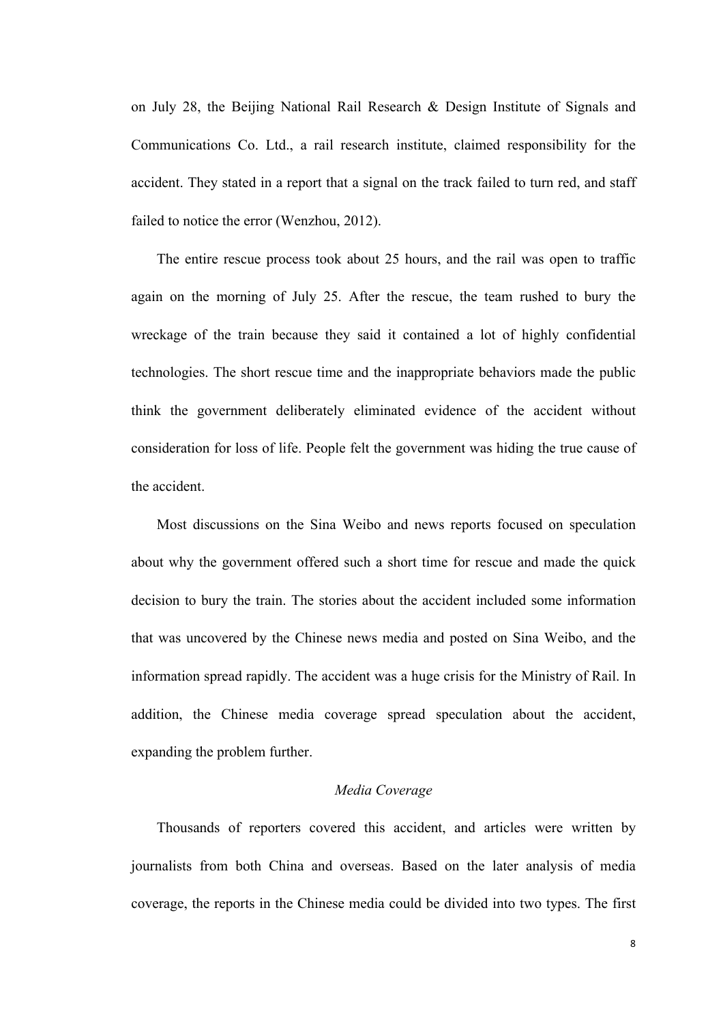on July 28, the Beijing National Rail Research & Design Institute of Signals and Communications Co. Ltd., a rail research institute, claimed responsibility for the accident. They stated in a report that a signal on the track failed to turn red, and staff failed to notice the error (Wenzhou, 2012).

The entire rescue process took about 25 hours, and the rail was open to traffic again on the morning of July 25. After the rescue, the team rushed to bury the wreckage of the train because they said it contained a lot of highly confidential technologies. The short rescue time and the inappropriate behaviors made the public think the government deliberately eliminated evidence of the accident without consideration for loss of life. People felt the government was hiding the true cause of the accident.

Most discussions on the Sina Weibo and news reports focused on speculation about why the government offered such a short time for rescue and made the quick decision to bury the train. The stories about the accident included some information that was uncovered by the Chinese news media and posted on Sina Weibo, and the information spread rapidly. The accident was a huge crisis for the Ministry of Rail. In addition, the Chinese media coverage spread speculation about the accident, expanding the problem further.

# *Media Coverage*

Thousands of reporters covered this accident, and articles were written by journalists from both China and overseas. Based on the later analysis of media coverage, the reports in the Chinese media could be divided into two types. The first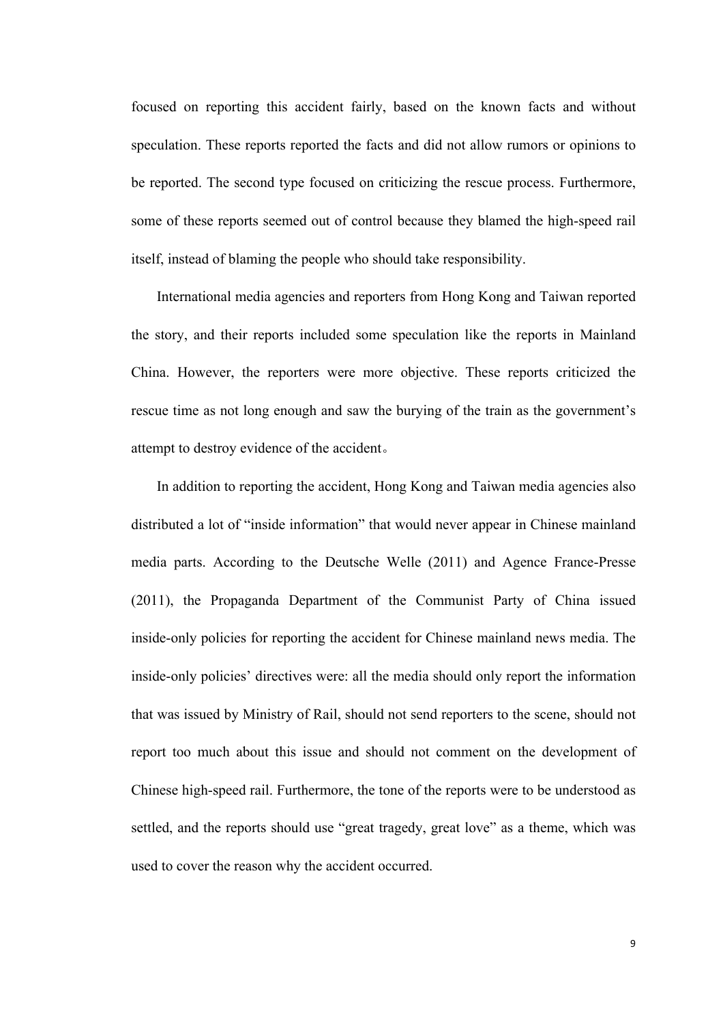focused on reporting this accident fairly, based on the known facts and without speculation. These reports reported the facts and did not allow rumors or opinions to be reported. The second type focused on criticizing the rescue process. Furthermore, some of these reports seemed out of control because they blamed the high-speed rail itself, instead of blaming the people who should take responsibility.

International media agencies and reporters from Hong Kong and Taiwan reported the story, and their reports included some speculation like the reports in Mainland China. However, the reporters were more objective. These reports criticized the rescue time as not long enough and saw the burying of the train as the government's attempt to destroy evidence of the accident。

In addition to reporting the accident, Hong Kong and Taiwan media agencies also distributed a lot of "inside information" that would never appear in Chinese mainland media parts. According to the Deutsche Welle (2011) and Agence France-Presse (2011), the Propaganda Department of the Communist Party of China issued inside-only policies for reporting the accident for Chinese mainland news media. The inside-only policies' directives were: all the media should only report the information that was issued by Ministry of Rail, should not send reporters to the scene, should not report too much about this issue and should not comment on the development of Chinese high-speed rail. Furthermore, the tone of the reports were to be understood as settled, and the reports should use "great tragedy, great love" as a theme, which was used to cover the reason why the accident occurred.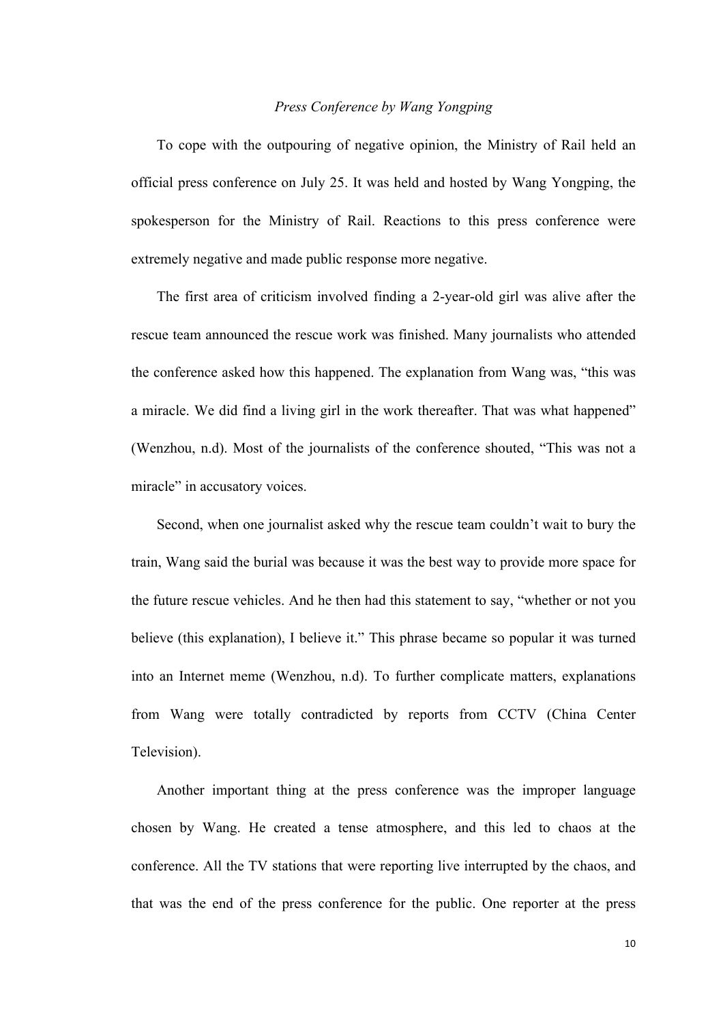#### *Press Conference by Wang Yongping*

To cope with the outpouring of negative opinion, the Ministry of Rail held an official press conference on July 25. It was held and hosted by Wang Yongping, the spokesperson for the Ministry of Rail. Reactions to this press conference were extremely negative and made public response more negative.

The first area of criticism involved finding a 2-year-old girl was alive after the rescue team announced the rescue work was finished. Many journalists who attended the conference asked how this happened. The explanation from Wang was, "this was a miracle. We did find a living girl in the work thereafter. That was what happened" (Wenzhou, n.d). Most of the journalists of the conference shouted, "This was not a miracle" in accusatory voices.

Second, when one journalist asked why the rescue team couldn't wait to bury the train, Wang said the burial was because it was the best way to provide more space for the future rescue vehicles. And he then had this statement to say, "whether or not you believe (this explanation), I believe it." This phrase became so popular it was turned into an Internet meme (Wenzhou, n.d). To further complicate matters, explanations from Wang were totally contradicted by reports from CCTV (China Center Television).

Another important thing at the press conference was the improper language chosen by Wang. He created a tense atmosphere, and this led to chaos at the conference. All the TV stations that were reporting live interrupted by the chaos, and that was the end of the press conference for the public. One reporter at the press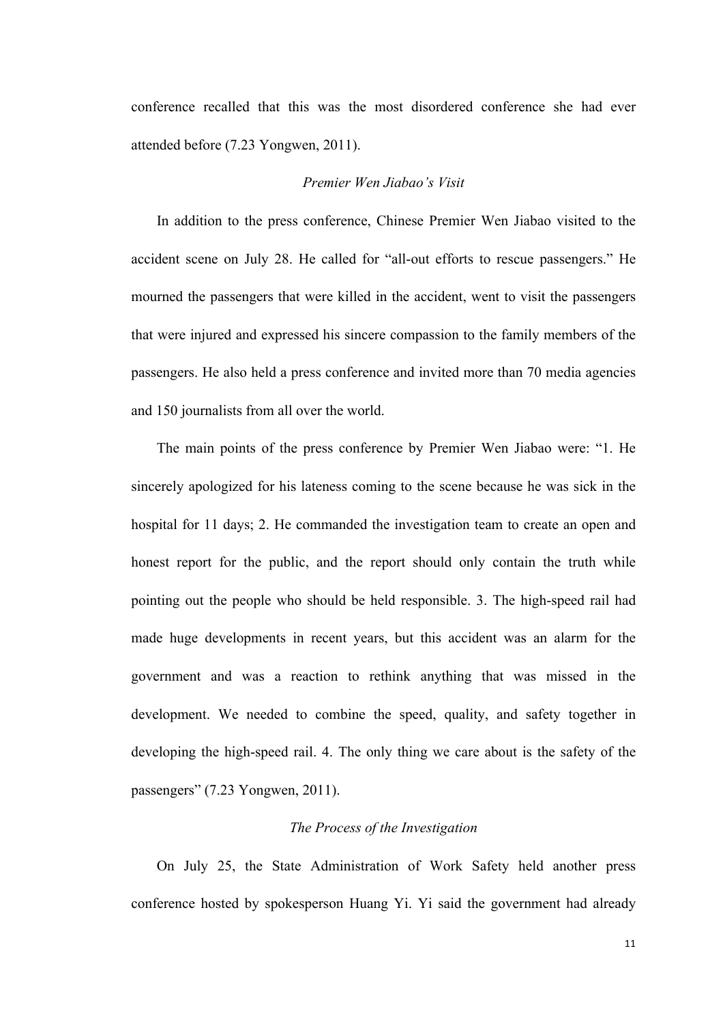conference recalled that this was the most disordered conference she had ever attended before (7.23 Yongwen, 2011).

#### *Premier Wen Jiabao's Visit*

In addition to the press conference, Chinese Premier Wen Jiabao visited to the accident scene on July 28. He called for "all-out efforts to rescue passengers." He mourned the passengers that were killed in the accident, went to visit the passengers that were injured and expressed his sincere compassion to the family members of the passengers. He also held a press conference and invited more than 70 media agencies and 150 journalists from all over the world.

The main points of the press conference by Premier Wen Jiabao were: "1. He sincerely apologized for his lateness coming to the scene because he was sick in the hospital for 11 days; 2. He commanded the investigation team to create an open and honest report for the public, and the report should only contain the truth while pointing out the people who should be held responsible. 3. The high-speed rail had made huge developments in recent years, but this accident was an alarm for the government and was a reaction to rethink anything that was missed in the development. We needed to combine the speed, quality, and safety together in developing the high-speed rail. 4. The only thing we care about is the safety of the passengers" (7.23 Yongwen, 2011).

#### *The Process of the Investigation*

On July 25, the State Administration of Work Safety held another press conference hosted by spokesperson Huang Yi. Yi said the government had already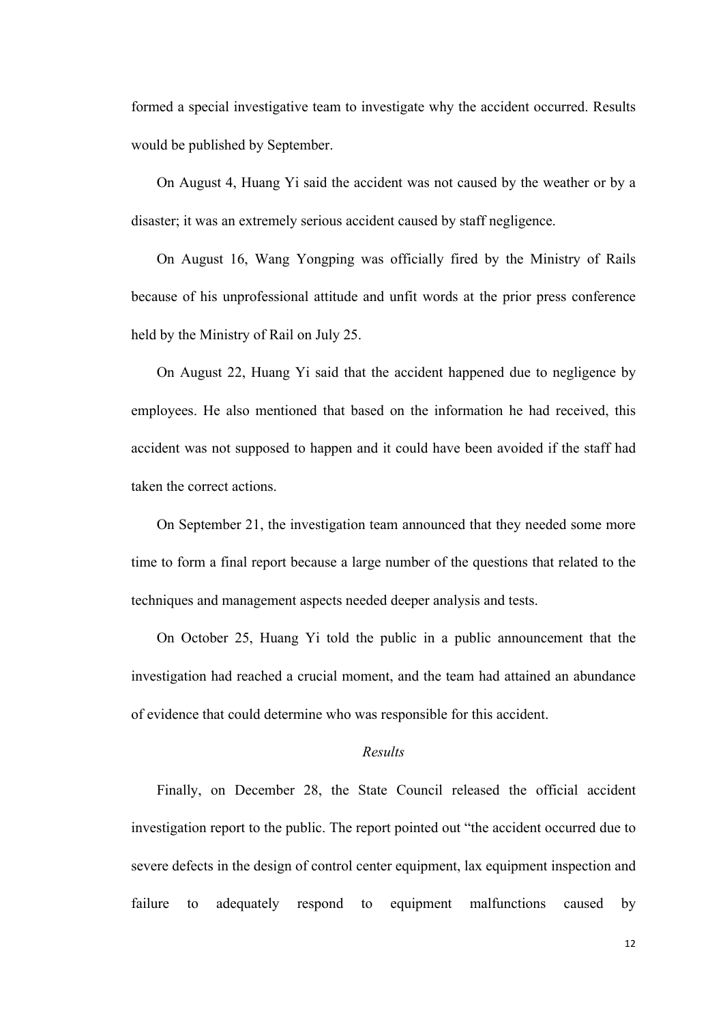formed a special investigative team to investigate why the accident occurred. Results would be published by September.

On August 4, Huang Yi said the accident was not caused by the weather or by a disaster; it was an extremely serious accident caused by staff negligence.

On August 16, Wang Yongping was officially fired by the Ministry of Rails because of his unprofessional attitude and unfit words at the prior press conference held by the Ministry of Rail on July 25.

On August 22, Huang Yi said that the accident happened due to negligence by employees. He also mentioned that based on the information he had received, this accident was not supposed to happen and it could have been avoided if the staff had taken the correct actions.

On September 21, the investigation team announced that they needed some more time to form a final report because a large number of the questions that related to the techniques and management aspects needed deeper analysis and tests.

On October 25, Huang Yi told the public in a public announcement that the investigation had reached a crucial moment, and the team had attained an abundance of evidence that could determine who was responsible for this accident.

#### *Results*

Finally, on December 28, the State Council released the official accident investigation report to the public. The report pointed out "the accident occurred due to severe defects in the design of control center equipment, lax equipment inspection and failure to adequately respond to equipment malfunctions caused by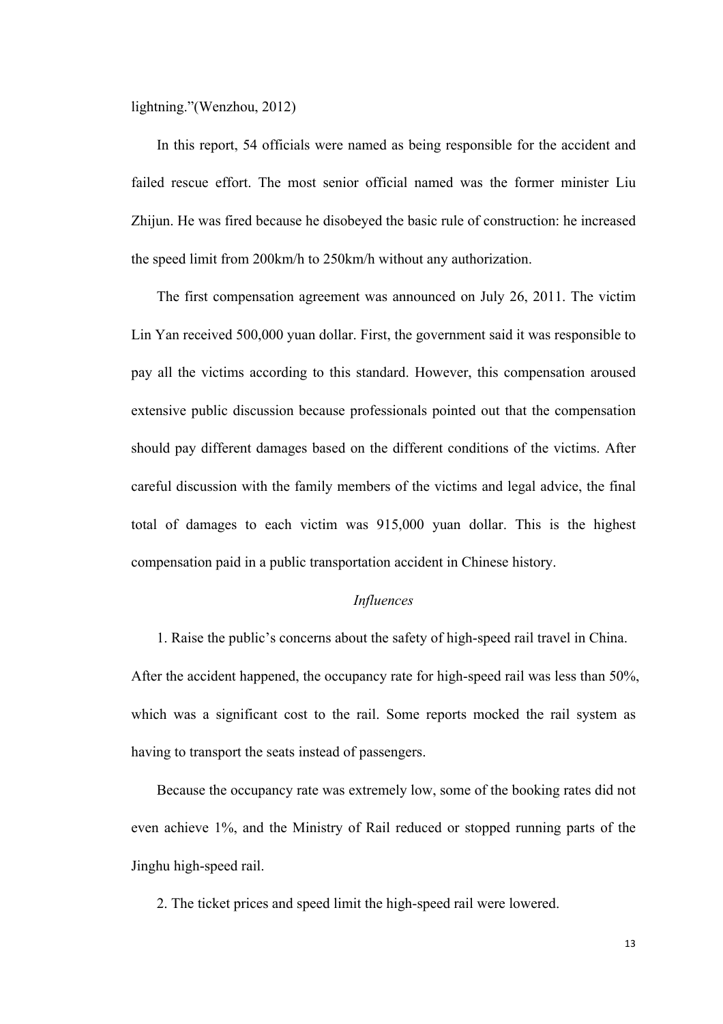lightning."(Wenzhou, 2012)

In this report, 54 officials were named as being responsible for the accident and failed rescue effort. The most senior official named was the former minister Liu Zhijun. He was fired because he disobeyed the basic rule of construction: he increased the speed limit from 200km/h to 250km/h without any authorization.

The first compensation agreement was announced on July 26, 2011. The victim Lin Yan received 500,000 yuan dollar. First, the government said it was responsible to pay all the victims according to this standard. However, this compensation aroused extensive public discussion because professionals pointed out that the compensation should pay different damages based on the different conditions of the victims. After careful discussion with the family members of the victims and legal advice, the final total of damages to each victim was 915,000 yuan dollar. This is the highest compensation paid in a public transportation accident in Chinese history.

#### *Influences*

1. Raise the public's concerns about the safety of high-speed rail travel in China. After the accident happened, the occupancy rate for high-speed rail was less than 50%, which was a significant cost to the rail. Some reports mocked the rail system as having to transport the seats instead of passengers.

Because the occupancy rate was extremely low, some of the booking rates did not even achieve 1%, and the Ministry of Rail reduced or stopped running parts of the Jinghu high-speed rail.

2. The ticket prices and speed limit the high-speed rail were lowered.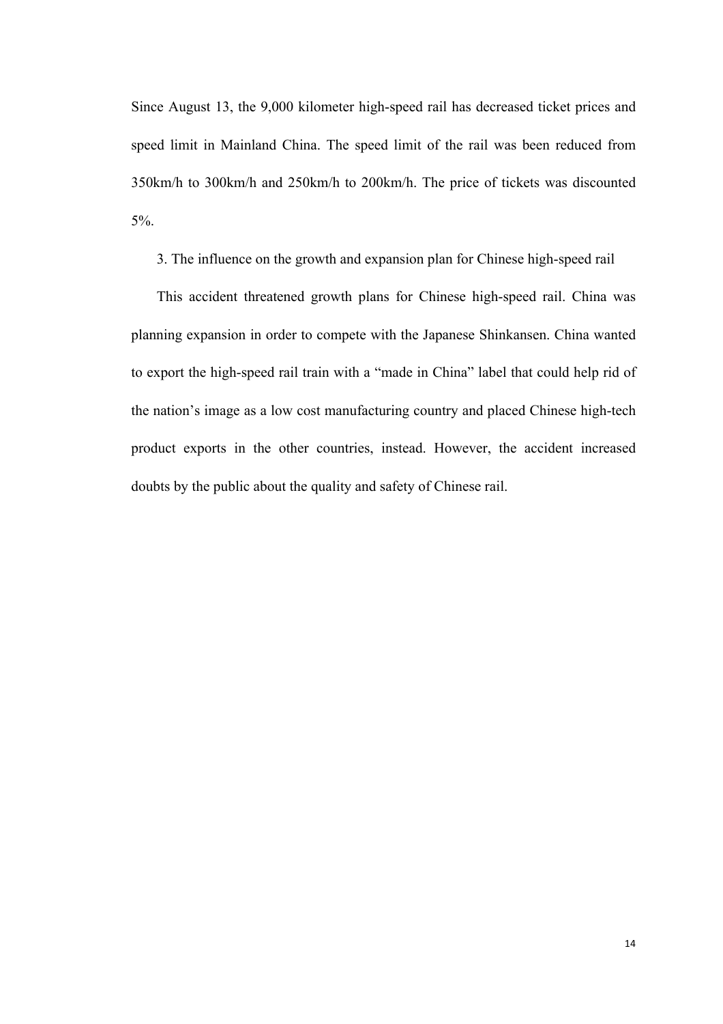Since August 13, the 9,000 kilometer high-speed rail has decreased ticket prices and speed limit in Mainland China. The speed limit of the rail was been reduced from 350km/h to 300km/h and 250km/h to 200km/h. The price of tickets was discounted 5%.

3. The influence on the growth and expansion plan for Chinese high-speed rail

This accident threatened growth plans for Chinese high-speed rail. China was planning expansion in order to compete with the Japanese Shinkansen. China wanted to export the high-speed rail train with a "made in China" label that could help rid of the nation's image as a low cost manufacturing country and placed Chinese high-tech product exports in the other countries, instead. However, the accident increased doubts by the public about the quality and safety of Chinese rail.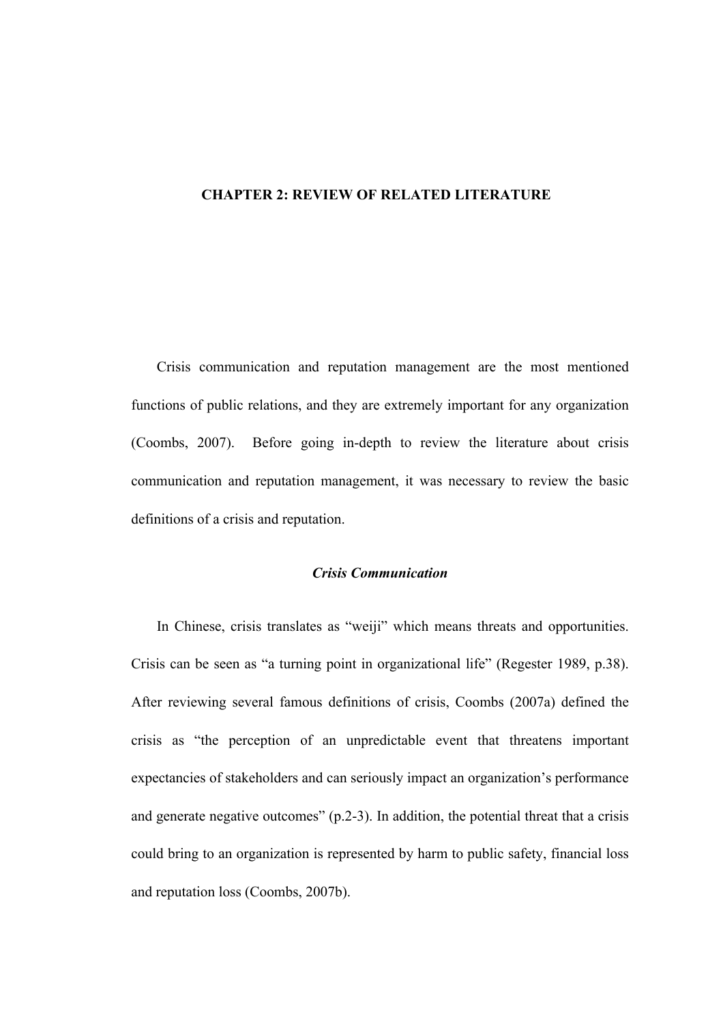#### **CHAPTER 2: REVIEW OF RELATED LITERATURE**

Crisis communication and reputation management are the most mentioned functions of public relations, and they are extremely important for any organization (Coombs, 2007). Before going in-depth to review the literature about crisis communication and reputation management, it was necessary to review the basic definitions of a crisis and reputation.

#### *Crisis Communication*

In Chinese, crisis translates as "weiji" which means threats and opportunities. Crisis can be seen as "a turning point in organizational life" (Regester 1989, p.38). After reviewing several famous definitions of crisis, Coombs (2007a) defined the crisis as "the perception of an unpredictable event that threatens important expectancies of stakeholders and can seriously impact an organization's performance and generate negative outcomes" (p.2-3). In addition, the potential threat that a crisis could bring to an organization is represented by harm to public safety, financial loss and reputation loss (Coombs, 2007b).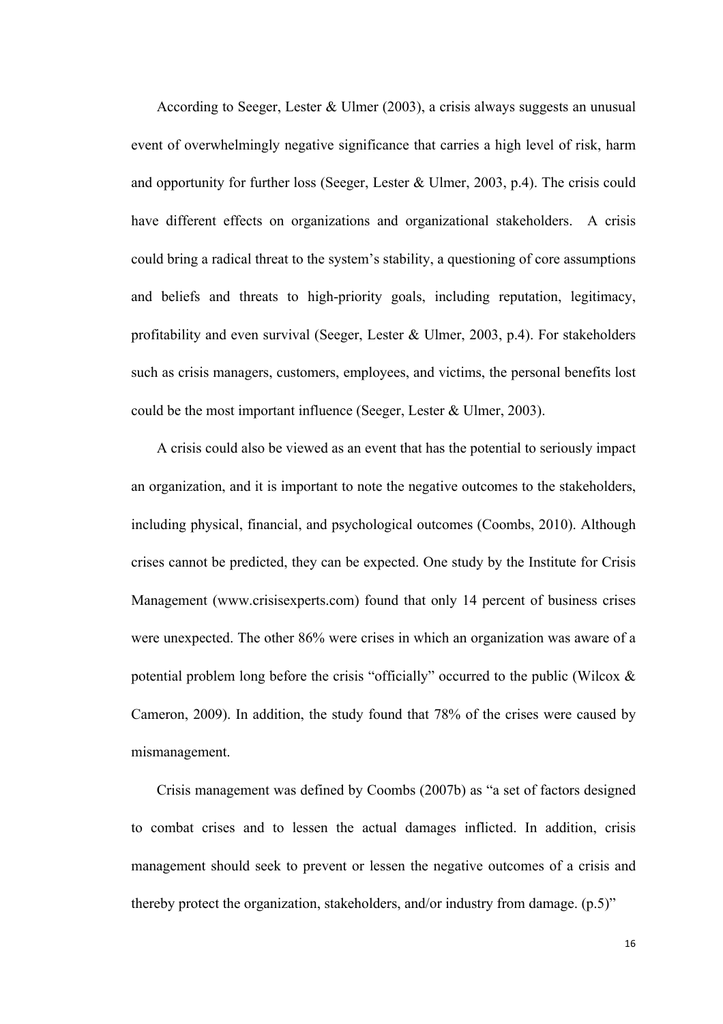According to Seeger, Lester & Ulmer (2003), a crisis always suggests an unusual event of overwhelmingly negative significance that carries a high level of risk, harm and opportunity for further loss (Seeger, Lester & Ulmer, 2003, p.4). The crisis could have different effects on organizations and organizational stakeholders. A crisis could bring a radical threat to the system's stability, a questioning of core assumptions and beliefs and threats to high-priority goals, including reputation, legitimacy, profitability and even survival (Seeger, Lester & Ulmer, 2003, p.4). For stakeholders such as crisis managers, customers, employees, and victims, the personal benefits lost could be the most important influence (Seeger, Lester & Ulmer, 2003).

A crisis could also be viewed as an event that has the potential to seriously impact an organization, and it is important to note the negative outcomes to the stakeholders, including physical, financial, and psychological outcomes (Coombs, 2010). Although crises cannot be predicted, they can be expected. One study by the Institute for Crisis Management (www.crisisexperts.com) found that only 14 percent of business crises were unexpected. The other 86% were crises in which an organization was aware of a potential problem long before the crisis "officially" occurred to the public (Wilcox & Cameron, 2009). In addition, the study found that 78% of the crises were caused by mismanagement.

Crisis management was defined by Coombs (2007b) as "a set of factors designed to combat crises and to lessen the actual damages inflicted. In addition, crisis management should seek to prevent or lessen the negative outcomes of a crisis and thereby protect the organization, stakeholders, and/or industry from damage. (p.5)"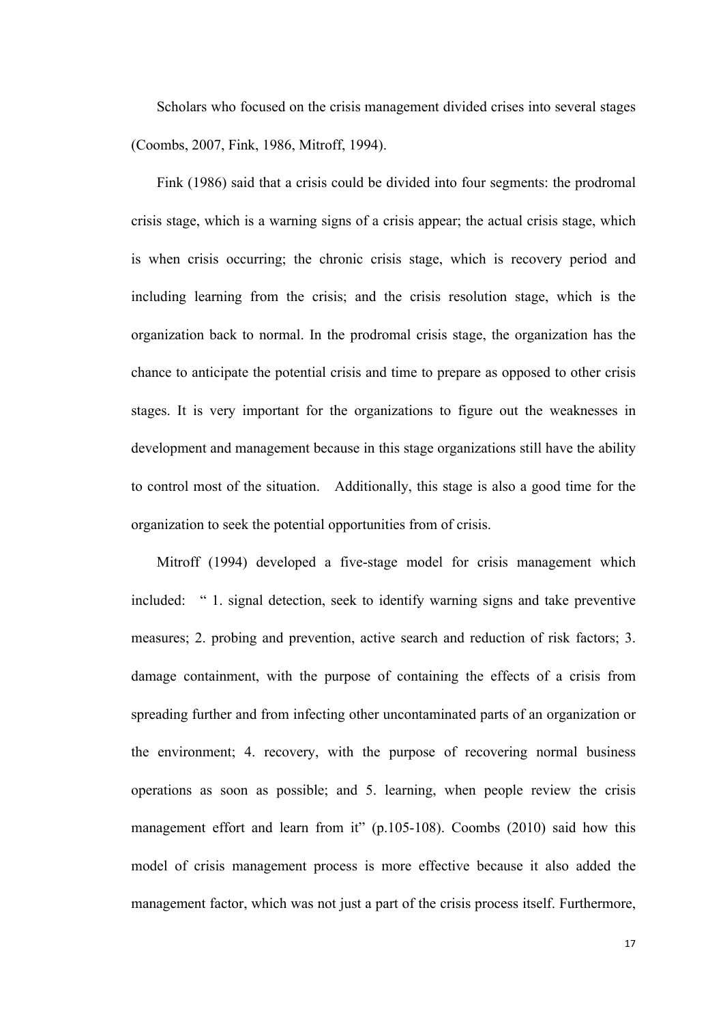Scholars who focused on the crisis management divided crises into several stages (Coombs, 2007, Fink, 1986, Mitroff, 1994).

Fink (1986) said that a crisis could be divided into four segments: the prodromal crisis stage, which is a warning signs of a crisis appear; the actual crisis stage, which is when crisis occurring; the chronic crisis stage, which is recovery period and including learning from the crisis; and the crisis resolution stage, which is the organization back to normal. In the prodromal crisis stage, the organization has the chance to anticipate the potential crisis and time to prepare as opposed to other crisis stages. It is very important for the organizations to figure out the weaknesses in development and management because in this stage organizations still have the ability to control most of the situation. Additionally, this stage is also a good time for the organization to seek the potential opportunities from of crisis.

Mitroff (1994) developed a five-stage model for crisis management which included: " 1. signal detection, seek to identify warning signs and take preventive measures; 2. probing and prevention, active search and reduction of risk factors; 3. damage containment, with the purpose of containing the effects of a crisis from spreading further and from infecting other uncontaminated parts of an organization or the environment; 4. recovery, with the purpose of recovering normal business operations as soon as possible; and 5. learning, when people review the crisis management effort and learn from it" (p.105-108). Coombs (2010) said how this model of crisis management process is more effective because it also added the management factor, which was not just a part of the crisis process itself. Furthermore,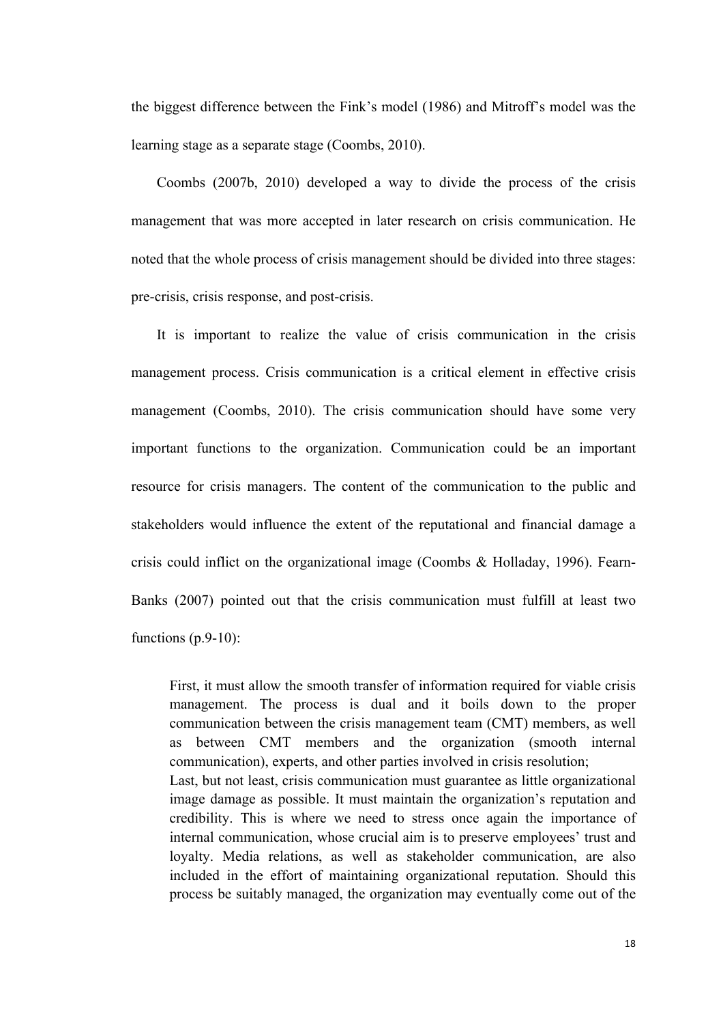the biggest difference between the Fink's model (1986) and Mitroff's model was the learning stage as a separate stage (Coombs, 2010).

Coombs (2007b, 2010) developed a way to divide the process of the crisis management that was more accepted in later research on crisis communication. He noted that the whole process of crisis management should be divided into three stages: pre-crisis, crisis response, and post-crisis.

It is important to realize the value of crisis communication in the crisis management process. Crisis communication is a critical element in effective crisis management (Coombs, 2010). The crisis communication should have some very important functions to the organization. Communication could be an important resource for crisis managers. The content of the communication to the public and stakeholders would influence the extent of the reputational and financial damage a crisis could inflict on the organizational image (Coombs & Holladay, 1996). Fearn-Banks (2007) pointed out that the crisis communication must fulfill at least two functions  $(p.9-10)$ :

First, it must allow the smooth transfer of information required for viable crisis management. The process is dual and it boils down to the proper communication between the crisis management team (CMT) members, as well as between CMT members and the organization (smooth internal communication), experts, and other parties involved in crisis resolution; Last, but not least, crisis communication must guarantee as little organizational

image damage as possible. It must maintain the organization's reputation and credibility. This is where we need to stress once again the importance of internal communication, whose crucial aim is to preserve employees' trust and loyalty. Media relations, as well as stakeholder communication, are also included in the effort of maintaining organizational reputation. Should this process be suitably managed, the organization may eventually come out of the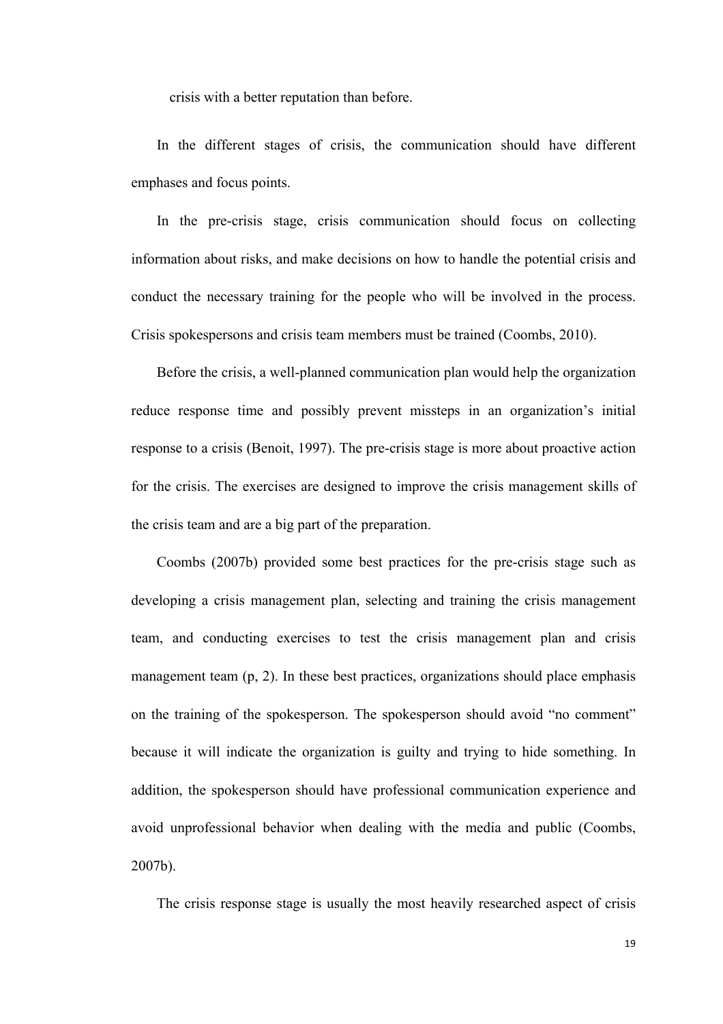crisis with a better reputation than before.

In the different stages of crisis, the communication should have different emphases and focus points.

In the pre-crisis stage, crisis communication should focus on collecting information about risks, and make decisions on how to handle the potential crisis and conduct the necessary training for the people who will be involved in the process. Crisis spokespersons and crisis team members must be trained (Coombs, 2010).

Before the crisis, a well-planned communication plan would help the organization reduce response time and possibly prevent missteps in an organization's initial response to a crisis (Benoit, 1997). The pre-crisis stage is more about proactive action for the crisis. The exercises are designed to improve the crisis management skills of the crisis team and are a big part of the preparation.

Coombs (2007b) provided some best practices for the pre-crisis stage such as developing a crisis management plan, selecting and training the crisis management team, and conducting exercises to test the crisis management plan and crisis management team (p, 2). In these best practices, organizations should place emphasis on the training of the spokesperson. The spokesperson should avoid "no comment" because it will indicate the organization is guilty and trying to hide something. In addition, the spokesperson should have professional communication experience and avoid unprofessional behavior when dealing with the media and public (Coombs, 2007b).

The crisis response stage is usually the most heavily researched aspect of crisis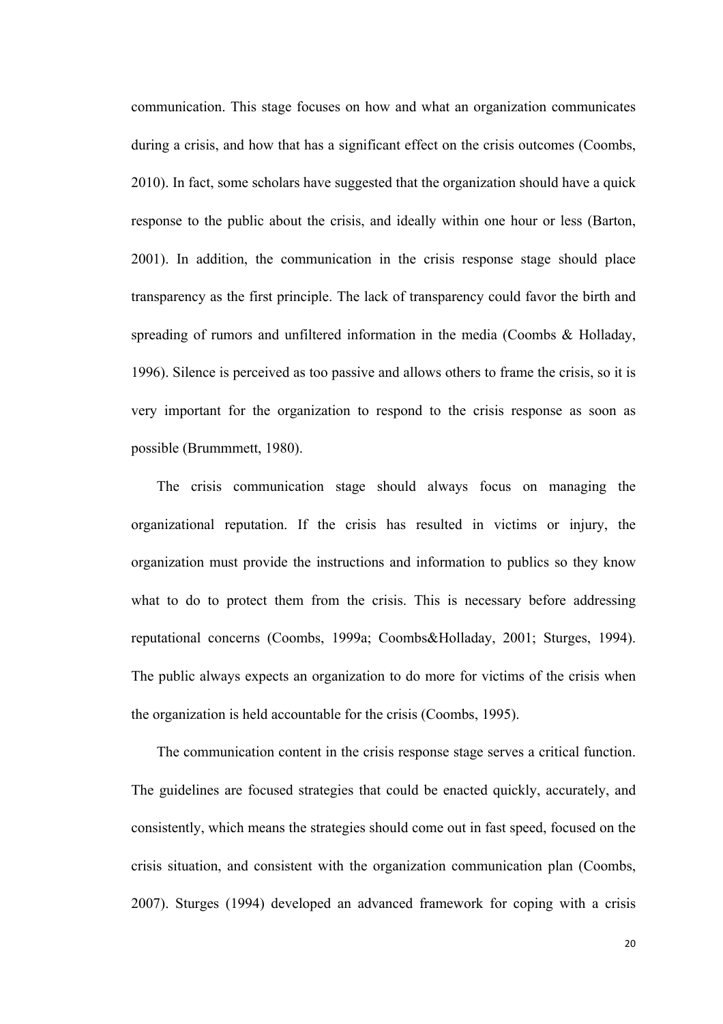communication. This stage focuses on how and what an organization communicates during a crisis, and how that has a significant effect on the crisis outcomes (Coombs, 2010). In fact, some scholars have suggested that the organization should have a quick response to the public about the crisis, and ideally within one hour or less (Barton, 2001). In addition, the communication in the crisis response stage should place transparency as the first principle. The lack of transparency could favor the birth and spreading of rumors and unfiltered information in the media (Coombs & Holladay, 1996). Silence is perceived as too passive and allows others to frame the crisis, so it is very important for the organization to respond to the crisis response as soon as possible (Brummmett, 1980).

The crisis communication stage should always focus on managing the organizational reputation. If the crisis has resulted in victims or injury, the organization must provide the instructions and information to publics so they know what to do to protect them from the crisis. This is necessary before addressing reputational concerns (Coombs, 1999a; Coombs&Holladay, 2001; Sturges, 1994). The public always expects an organization to do more for victims of the crisis when the organization is held accountable for the crisis (Coombs, 1995).

The communication content in the crisis response stage serves a critical function. The guidelines are focused strategies that could be enacted quickly, accurately, and consistently, which means the strategies should come out in fast speed, focused on the crisis situation, and consistent with the organization communication plan (Coombs, 2007). Sturges (1994) developed an advanced framework for coping with a crisis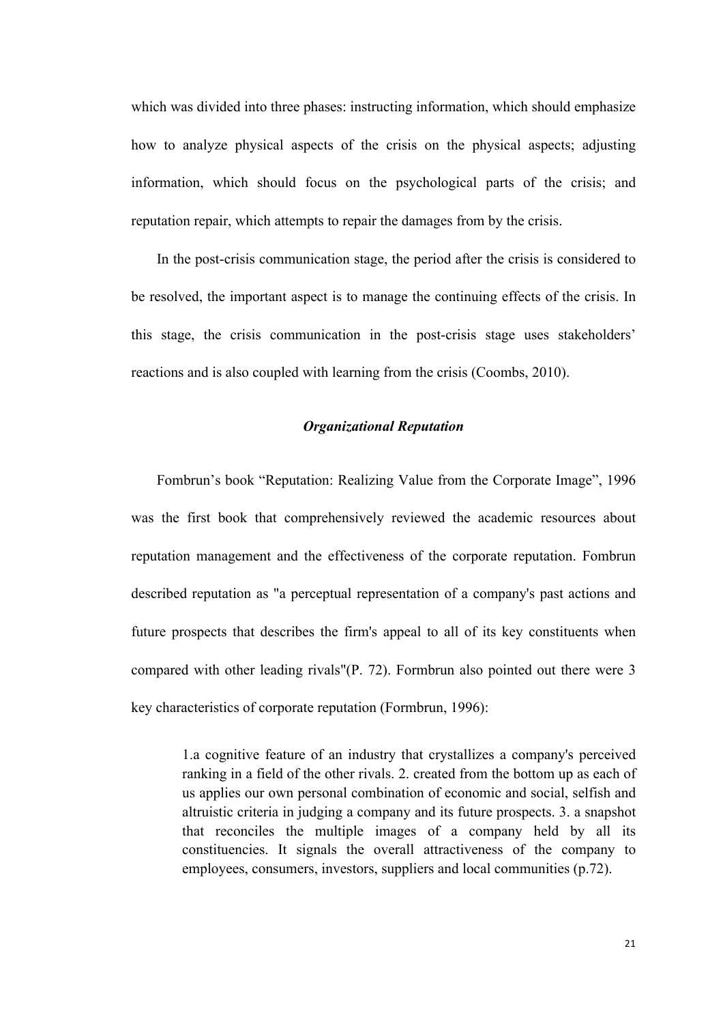which was divided into three phases: instructing information, which should emphasize how to analyze physical aspects of the crisis on the physical aspects; adjusting information, which should focus on the psychological parts of the crisis; and reputation repair, which attempts to repair the damages from by the crisis.

In the post-crisis communication stage, the period after the crisis is considered to be resolved, the important aspect is to manage the continuing effects of the crisis. In this stage, the crisis communication in the post-crisis stage uses stakeholders' reactions and is also coupled with learning from the crisis (Coombs, 2010).

#### *Organizational Reputation*

Fombrun's book "Reputation: Realizing Value from the Corporate Image", 1996 was the first book that comprehensively reviewed the academic resources about reputation management and the effectiveness of the corporate reputation. Fombrun described reputation as "a perceptual representation of a company's past actions and future prospects that describes the firm's appeal to all of its key constituents when compared with other leading rivals"(P. 72). Formbrun also pointed out there were 3 key characteristics of corporate reputation (Formbrun, 1996):

> 1.a cognitive feature of an industry that crystallizes a company's perceived ranking in a field of the other rivals. 2. created from the bottom up as each of us applies our own personal combination of economic and social, selfish and altruistic criteria in judging a company and its future prospects. 3. a snapshot that reconciles the multiple images of a company held by all its constituencies. It signals the overall attractiveness of the company to employees, consumers, investors, suppliers and local communities (p.72).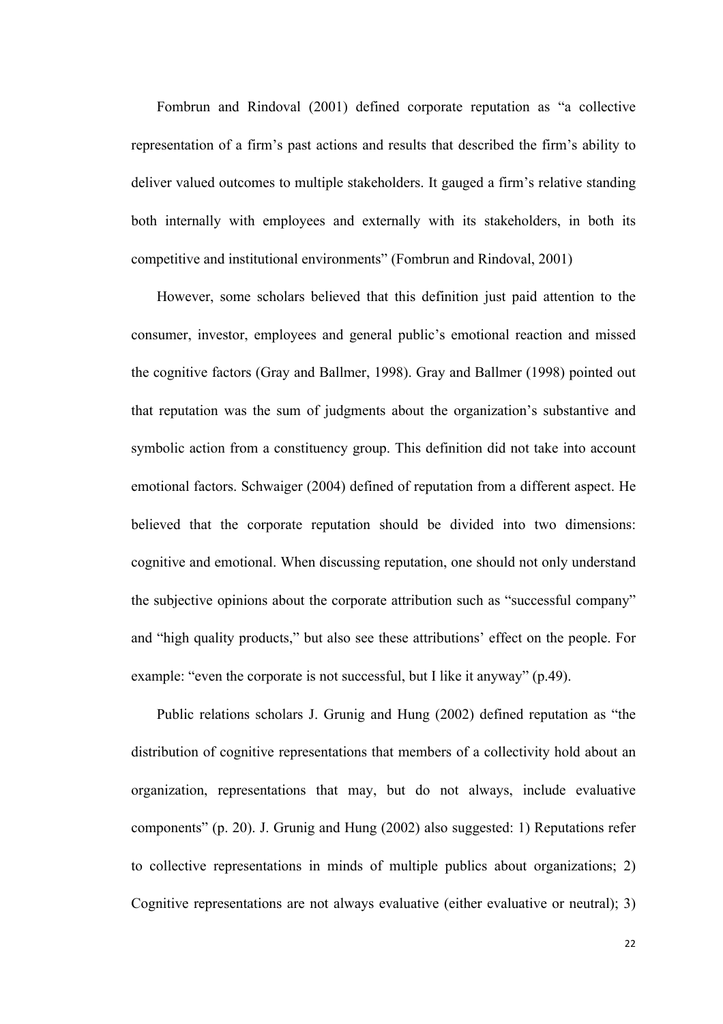Fombrun and Rindoval (2001) defined corporate reputation as "a collective representation of a firm's past actions and results that described the firm's ability to deliver valued outcomes to multiple stakeholders. It gauged a firm's relative standing both internally with employees and externally with its stakeholders, in both its competitive and institutional environments" (Fombrun and Rindoval, 2001)

However, some scholars believed that this definition just paid attention to the consumer, investor, employees and general public's emotional reaction and missed the cognitive factors (Gray and Ballmer, 1998). Gray and Ballmer (1998) pointed out that reputation was the sum of judgments about the organization's substantive and symbolic action from a constituency group. This definition did not take into account emotional factors. Schwaiger (2004) defined of reputation from a different aspect. He believed that the corporate reputation should be divided into two dimensions: cognitive and emotional. When discussing reputation, one should not only understand the subjective opinions about the corporate attribution such as "successful company" and "high quality products," but also see these attributions' effect on the people. For example: "even the corporate is not successful, but I like it anyway" (p.49).

Public relations scholars J. Grunig and Hung (2002) defined reputation as "the distribution of cognitive representations that members of a collectivity hold about an organization, representations that may, but do not always, include evaluative components" (p. 20). J. Grunig and Hung (2002) also suggested: 1) Reputations refer to collective representations in minds of multiple publics about organizations; 2) Cognitive representations are not always evaluative (either evaluative or neutral); 3)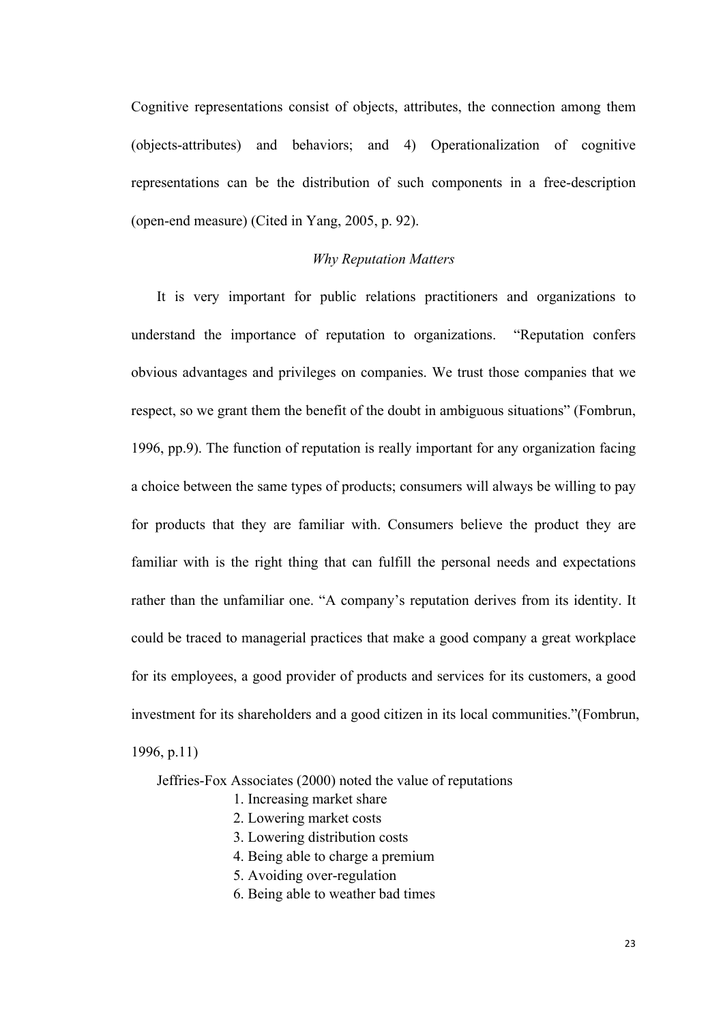Cognitive representations consist of objects, attributes, the connection among them (objects-attributes) and behaviors; and 4) Operationalization of cognitive representations can be the distribution of such components in a free-description (open-end measure) (Cited in Yang, 2005, p. 92).

#### *Why Reputation Matters*

It is very important for public relations practitioners and organizations to understand the importance of reputation to organizations. "Reputation confers obvious advantages and privileges on companies. We trust those companies that we respect, so we grant them the benefit of the doubt in ambiguous situations" (Fombrun, 1996, pp.9). The function of reputation is really important for any organization facing a choice between the same types of products; consumers will always be willing to pay for products that they are familiar with. Consumers believe the product they are familiar with is the right thing that can fulfill the personal needs and expectations rather than the unfamiliar one. "A company's reputation derives from its identity. It could be traced to managerial practices that make a good company a great workplace for its employees, a good provider of products and services for its customers, a good investment for its shareholders and a good citizen in its local communities."(Fombrun, 1996, p.11)

Jeffries-Fox Associates (2000) noted the value of reputations

- 1. Increasing market share
- 2. Lowering market costs
- 3. Lowering distribution costs
- 4. Being able to charge a premium
- 5. Avoiding over-regulation
- 6. Being able to weather bad times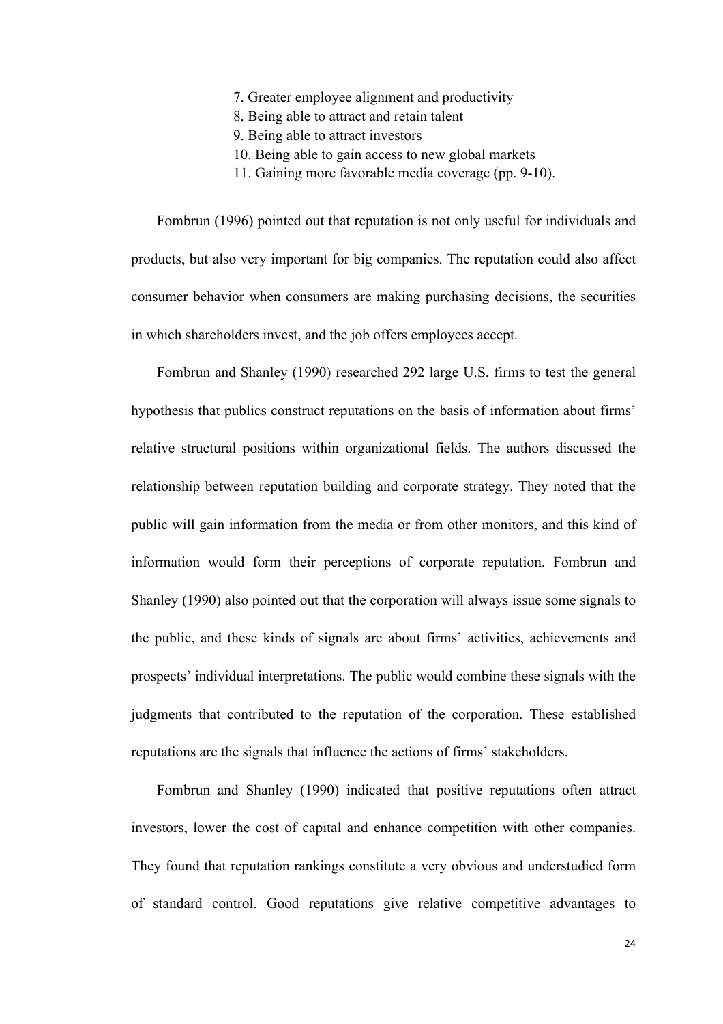- 7. Greater employee alignment and productivity
- 8. Being able to attract and retain talent
- 9. Being able to attract investors
- 10. Being able to gain access to new global markets
- 11. Gaining more favorable media coverage (pp. 9-10).

Fombrun (1996) pointed out that reputation is not only useful for individuals and products, but also very important for big companies. The reputation could also affect consumer behavior when consumers are making purchasing decisions, the securities in which shareholders invest, and the job offers employees accept.

Fombrun and Shanley (1990) researched 292 large U.S. firms to test the general hypothesis that publics construct reputations on the basis of information about firms' relative structural positions within organizational fields. The authors discussed the relationship between reputation building and corporate strategy. They noted that the public will gain information from the media or from other monitors, and this kind of information would form their perceptions of corporate reputation. Fombrun and Shanley (1990) also pointed out that the corporation will always issue some signals to the public, and these kinds of signals are about firms' activities, achievements and prospects' individual interpretations. The public would combine these signals with the judgments that contributed to the reputation of the corporation. These established reputations are the signals that influence the actions of firms' stakeholders.

Fombrun and Shanley (1990) indicated that positive reputations often attract investors, lower the cost of capital and enhance competition with other companies. They found that reputation rankings constitute a very obvious and understudied form of standard control. Good reputations give relative competitive advantages to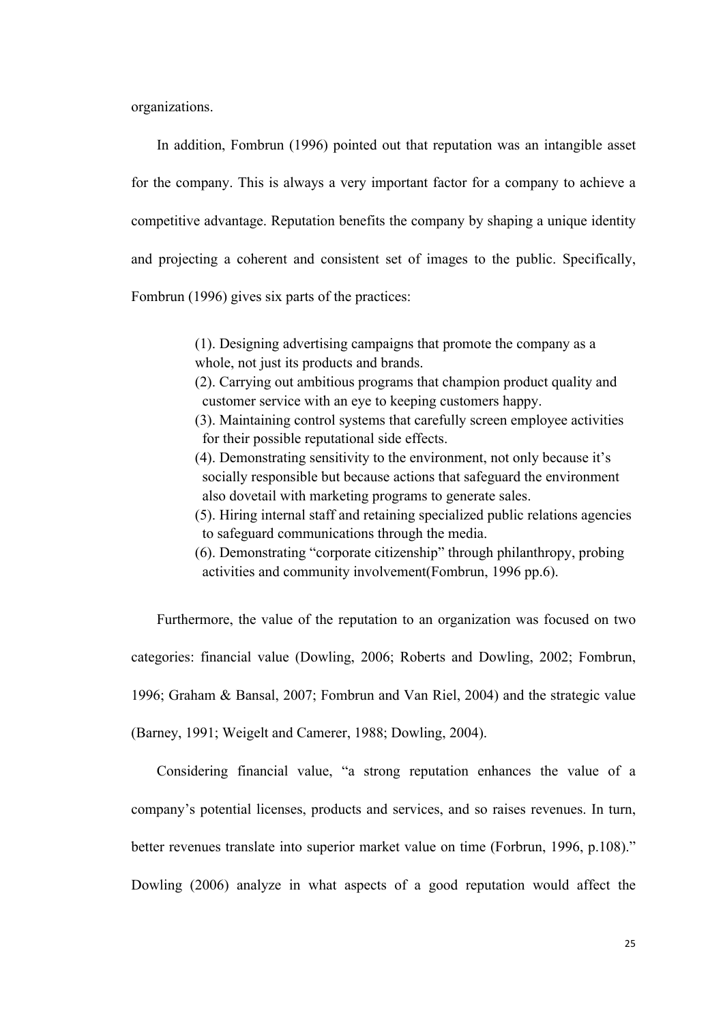organizations.

In addition, Fombrun (1996) pointed out that reputation was an intangible asset for the company. This is always a very important factor for a company to achieve a competitive advantage. Reputation benefits the company by shaping a unique identity and projecting a coherent and consistent set of images to the public. Specifically, Fombrun (1996) gives six parts of the practices:

> (1). Designing advertising campaigns that promote the company as a whole, not just its products and brands.

- (2). Carrying out ambitious programs that champion product quality and customer service with an eye to keeping customers happy.
- (3). Maintaining control systems that carefully screen employee activities for their possible reputational side effects.
- (4). Demonstrating sensitivity to the environment, not only because it's socially responsible but because actions that safeguard the environment also dovetail with marketing programs to generate sales.
- (5). Hiring internal staff and retaining specialized public relations agencies to safeguard communications through the media.
- (6). Demonstrating "corporate citizenship" through philanthropy, probing activities and community involvement(Fombrun, 1996 pp.6).

Furthermore, the value of the reputation to an organization was focused on two categories: financial value (Dowling, 2006; Roberts and Dowling, 2002; Fombrun, 1996; Graham & Bansal, 2007; Fombrun and Van Riel, 2004) and the strategic value (Barney, 1991; Weigelt and Camerer, 1988; Dowling, 2004).

Considering financial value, "a strong reputation enhances the value of a company's potential licenses, products and services, and so raises revenues. In turn, better revenues translate into superior market value on time (Forbrun, 1996, p.108)." Dowling (2006) analyze in what aspects of a good reputation would affect the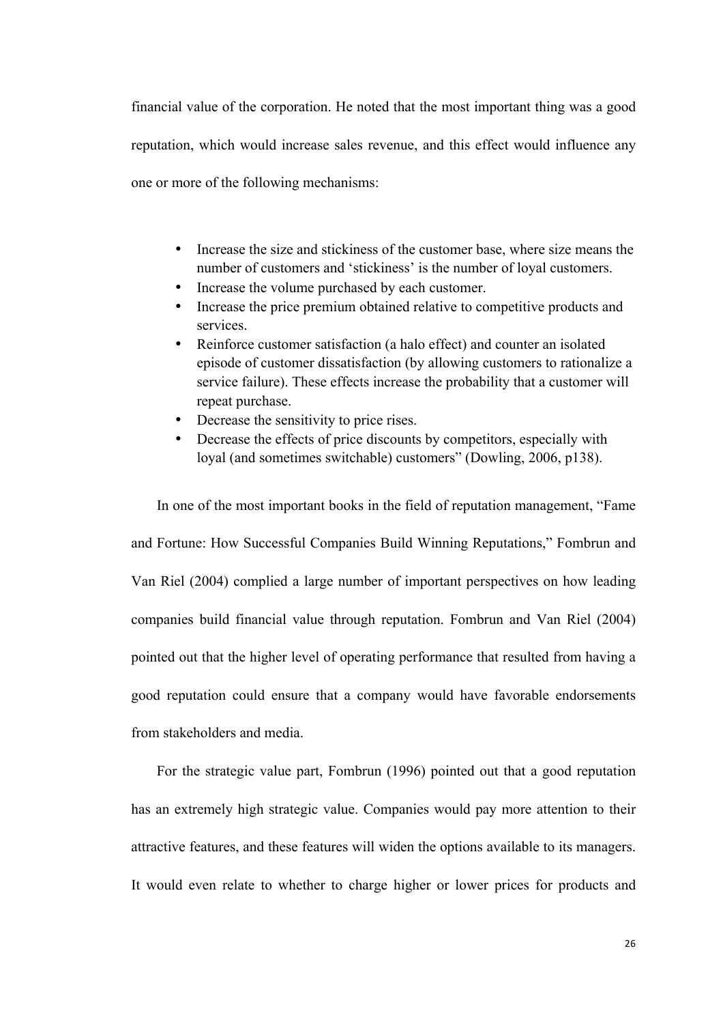financial value of the corporation. He noted that the most important thing was a good reputation, which would increase sales revenue, and this effect would influence any one or more of the following mechanisms:

- Increase the size and stickiness of the customer base, where size means the number of customers and 'stickiness' is the number of loyal customers.
- Increase the volume purchased by each customer.
- Increase the price premium obtained relative to competitive products and services.
- Reinforce customer satisfaction (a halo effect) and counter an isolated episode of customer dissatisfaction (by allowing customers to rationalize a service failure). These effects increase the probability that a customer will repeat purchase.
- Decrease the sensitivity to price rises.
- Decrease the effects of price discounts by competitors, especially with loyal (and sometimes switchable) customers" (Dowling, 2006, p138).

In one of the most important books in the field of reputation management, "Fame and Fortune: How Successful Companies Build Winning Reputations," Fombrun and Van Riel (2004) complied a large number of important perspectives on how leading companies build financial value through reputation. Fombrun and Van Riel (2004) pointed out that the higher level of operating performance that resulted from having a good reputation could ensure that a company would have favorable endorsements from stakeholders and media.

For the strategic value part, Fombrun (1996) pointed out that a good reputation has an extremely high strategic value. Companies would pay more attention to their attractive features, and these features will widen the options available to its managers. It would even relate to whether to charge higher or lower prices for products and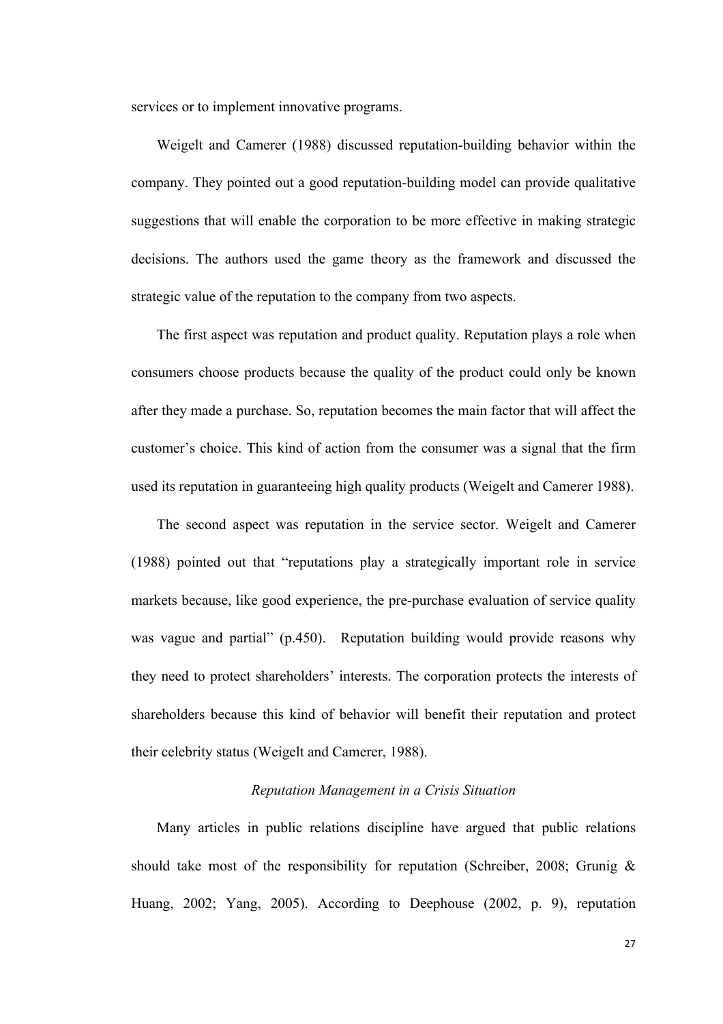services or to implement innovative programs.

Weigelt and Camerer (1988) discussed reputation-building behavior within the company. They pointed out a good reputation-building model can provide qualitative suggestions that will enable the corporation to be more effective in making strategic decisions. The authors used the game theory as the framework and discussed the strategic value of the reputation to the company from two aspects.

The first aspect was reputation and product quality. Reputation plays a role when consumers choose products because the quality of the product could only be known after they made a purchase. So, reputation becomes the main factor that will affect the customer's choice. This kind of action from the consumer was a signal that the firm used its reputation in guaranteeing high quality products (Weigelt and Camerer 1988).

The second aspect was reputation in the service sector. Weigelt and Camerer (1988) pointed out that "reputations play a strategically important role in service markets because, like good experience, the pre-purchase evaluation of service quality was vague and partial" (p.450). Reputation building would provide reasons why they need to protect shareholders' interests. The corporation protects the interests of shareholders because this kind of behavior will benefit their reputation and protect their celebrity status (Weigelt and Camerer, 1988).

#### *Reputation Management in a Crisis Situation*

Many articles in public relations discipline have argued that public relations should take most of the responsibility for reputation (Schreiber, 2008; Grunig  $\&$ Huang, 2002; Yang, 2005). According to Deephouse (2002, p. 9), reputation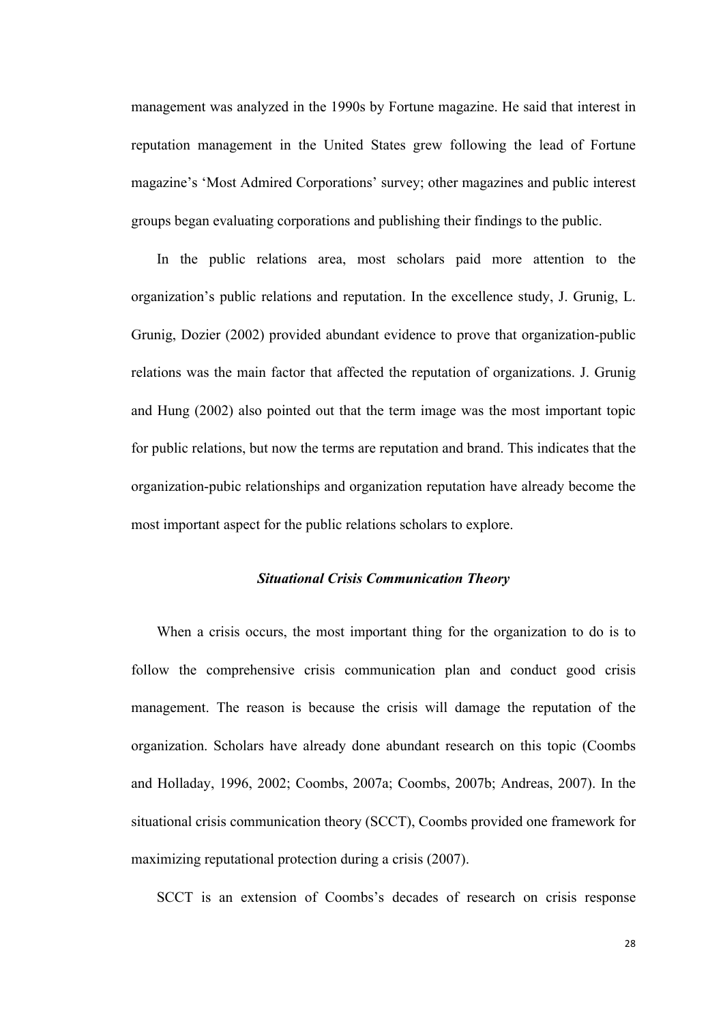management was analyzed in the 1990s by Fortune magazine. He said that interest in reputation management in the United States grew following the lead of Fortune magazine's 'Most Admired Corporations' survey; other magazines and public interest groups began evaluating corporations and publishing their findings to the public.

In the public relations area, most scholars paid more attention to the organization's public relations and reputation. In the excellence study, J. Grunig, L. Grunig, Dozier (2002) provided abundant evidence to prove that organization-public relations was the main factor that affected the reputation of organizations. J. Grunig and Hung (2002) also pointed out that the term image was the most important topic for public relations, but now the terms are reputation and brand. This indicates that the organization-pubic relationships and organization reputation have already become the most important aspect for the public relations scholars to explore.

# *Situational Crisis Communication Theory*

When a crisis occurs, the most important thing for the organization to do is to follow the comprehensive crisis communication plan and conduct good crisis management. The reason is because the crisis will damage the reputation of the organization. Scholars have already done abundant research on this topic (Coombs and Holladay, 1996, 2002; Coombs, 2007a; Coombs, 2007b; Andreas, 2007). In the situational crisis communication theory (SCCT), Coombs provided one framework for maximizing reputational protection during a crisis (2007).

SCCT is an extension of Coombs's decades of research on crisis response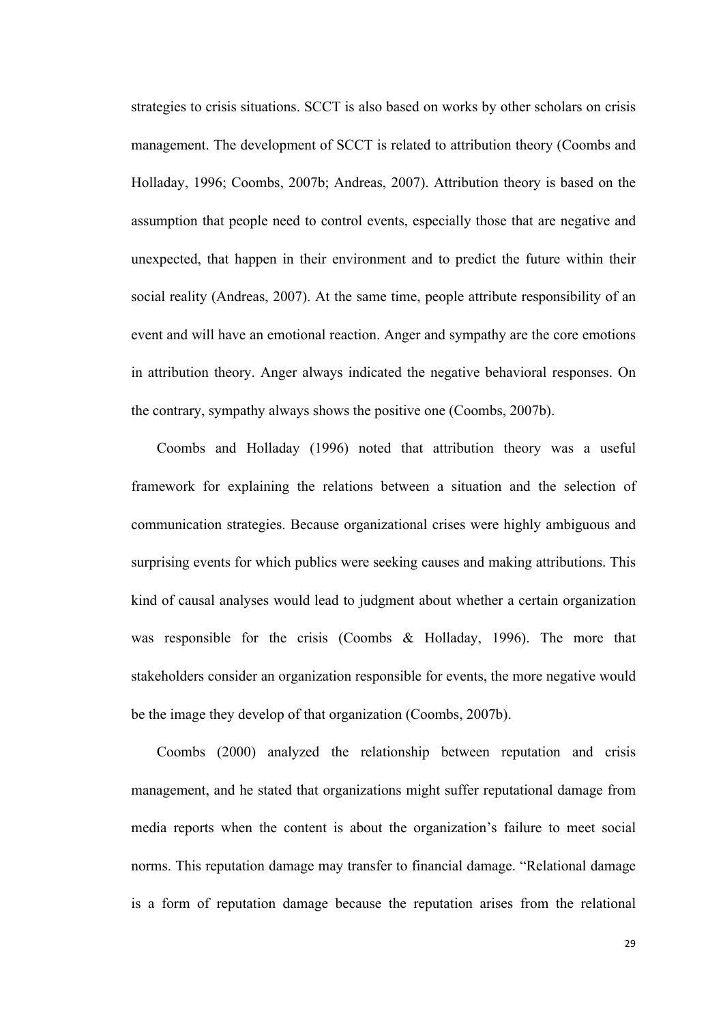strategies to crisis situations. SCCT is also based on works by other scholars on crisis management. The development of SCCT is related to attribution theory (Coombs and Holladay, 1996; Coombs, 2007b; Andreas, 2007). Attribution theory is based on the assumption that people need to control events, especially those that are negative and unexpected, that happen in their environment and to predict the future within their social reality (Andreas, 2007). At the same time, people attribute responsibility of an event and will have an emotional reaction. Anger and sympathy are the core emotions in attribution theory. Anger always indicated the negative behavioral responses. On the contrary, sympathy always shows the positive one (Coombs, 2007b).

Coombs and Holladay (1996) noted that attribution theory was a useful framework for explaining the relations between a situation and the selection of communication strategies. Because organizational crises were highly ambiguous and surprising events for which publics were seeking causes and making attributions. This kind of causal analyses would lead to judgment about whether a certain organization was responsible for the crisis (Coombs & Holladay, 1996). The more that stakeholders consider an organization responsible for events, the more negative would be the image they develop of that organization (Coombs, 2007b).

Coombs (2000) analyzed the relationship between reputation and crisis management, and he stated that organizations might suffer reputational damage from media reports when the content is about the organization's failure to meet social norms. This reputation damage may transfer to financial damage. "Relational damage is a form of reputation damage because the reputation arises from the relational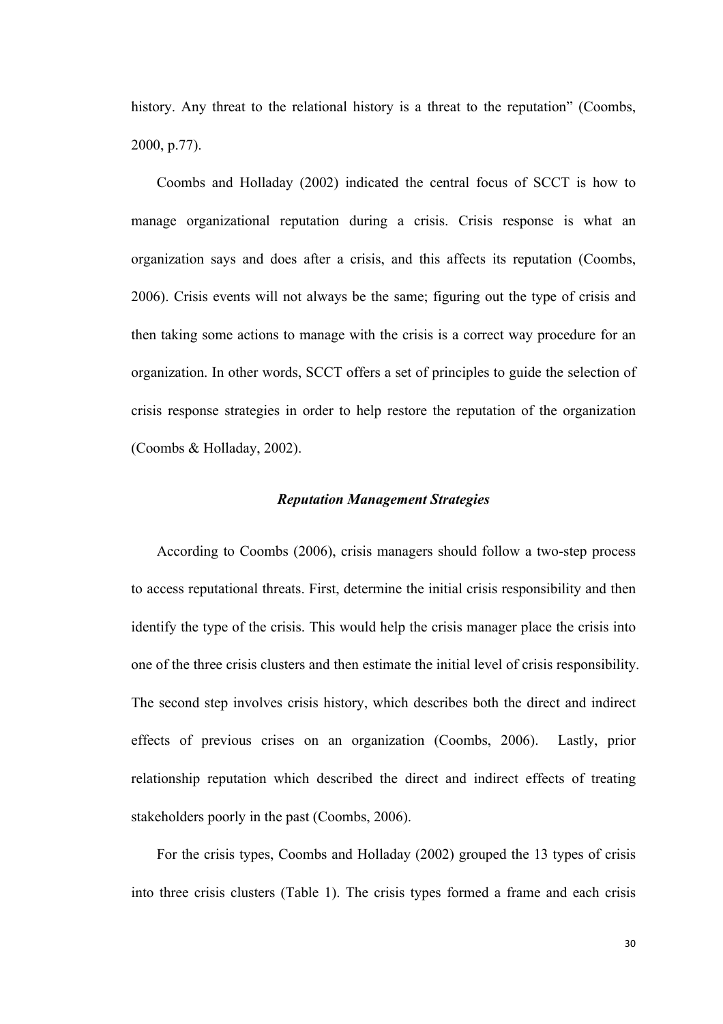history. Any threat to the relational history is a threat to the reputation" (Coombs, 2000, p.77).

Coombs and Holladay (2002) indicated the central focus of SCCT is how to manage organizational reputation during a crisis. Crisis response is what an organization says and does after a crisis, and this affects its reputation (Coombs, 2006). Crisis events will not always be the same; figuring out the type of crisis and then taking some actions to manage with the crisis is a correct way procedure for an organization. In other words, SCCT offers a set of principles to guide the selection of crisis response strategies in order to help restore the reputation of the organization (Coombs & Holladay, 2002).

### *Reputation Management Strategies*

According to Coombs (2006), crisis managers should follow a two-step process to access reputational threats. First, determine the initial crisis responsibility and then identify the type of the crisis. This would help the crisis manager place the crisis into one of the three crisis clusters and then estimate the initial level of crisis responsibility. The second step involves crisis history, which describes both the direct and indirect effects of previous crises on an organization (Coombs, 2006). Lastly, prior relationship reputation which described the direct and indirect effects of treating stakeholders poorly in the past (Coombs, 2006).

For the crisis types, Coombs and Holladay (2002) grouped the 13 types of crisis into three crisis clusters (Table 1). The crisis types formed a frame and each crisis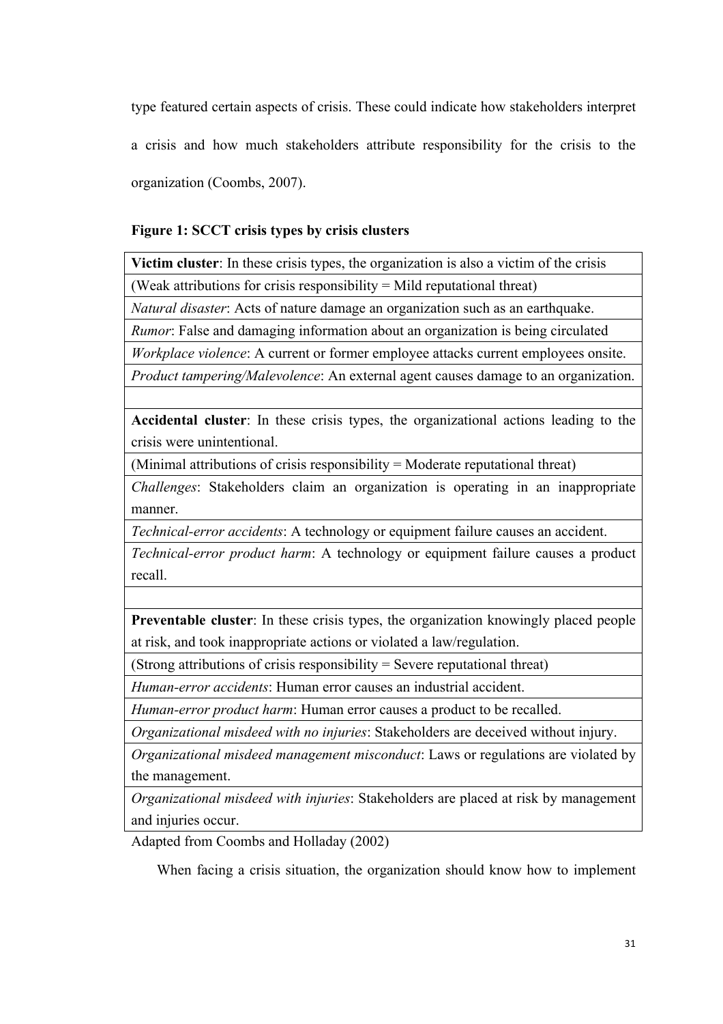type featured certain aspects of crisis. These could indicate how stakeholders interpret a crisis and how much stakeholders attribute responsibility for the crisis to the organization (Coombs, 2007).

# **Figure 1: SCCT crisis types by crisis clusters**

**Victim cluster**: In these crisis types, the organization is also a victim of the crisis

(Weak attributions for crisis responsibility  $=$  Mild reputational threat)

*Natural disaster*: Acts of nature damage an organization such as an earthquake.

*Rumor*: False and damaging information about an organization is being circulated

*Workplace violence*: A current or former employee attacks current employees onsite.

*Product tampering/Malevolence*: An external agent causes damage to an organization.

**Accidental cluster**: In these crisis types, the organizational actions leading to the crisis were unintentional.

(Minimal attributions of crisis responsibility = Moderate reputational threat)

*Challenges*: Stakeholders claim an organization is operating in an inappropriate manner.

*Technical-error accidents*: A technology or equipment failure causes an accident.

*Technical-error product harm*: A technology or equipment failure causes a product recall.

**Preventable cluster**: In these crisis types, the organization knowingly placed people at risk, and took inappropriate actions or violated a law/regulation.

(Strong attributions of crisis responsibility = Severe reputational threat)

*Human-error accidents*: Human error causes an industrial accident.

*Human-error product harm*: Human error causes a product to be recalled.

*Organizational misdeed with no injuries*: Stakeholders are deceived without injury.

*Organizational misdeed management misconduct*: Laws or regulations are violated by the management.

*Organizational misdeed with injuries*: Stakeholders are placed at risk by management and injuries occur.

Adapted from Coombs and Holladay (2002)

When facing a crisis situation, the organization should know how to implement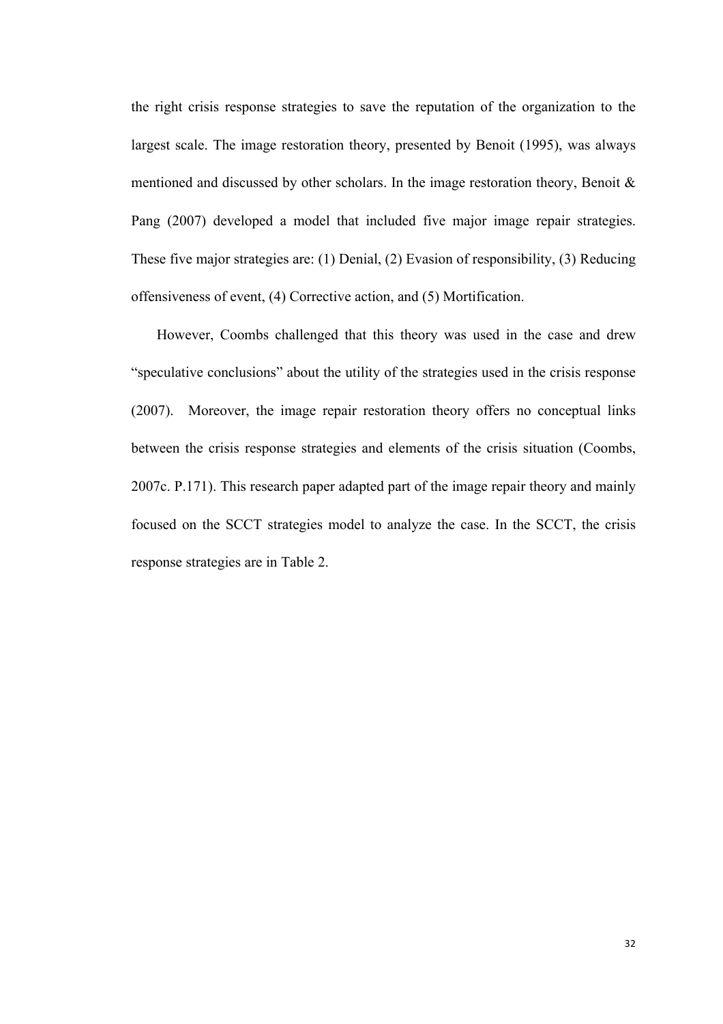the right crisis response strategies to save the reputation of the organization to the largest scale. The image restoration theory, presented by Benoit (1995), was always mentioned and discussed by other scholars. In the image restoration theory, Benoit  $\&$ Pang (2007) developed a model that included five major image repair strategies. These five major strategies are: (1) Denial, (2) Evasion of responsibility, (3) Reducing offensiveness of event, (4) Corrective action, and (5) Mortification.

However, Coombs challenged that this theory was used in the case and drew "speculative conclusions" about the utility of the strategies used in the crisis response (2007). Moreover, the image repair restoration theory offers no conceptual links between the crisis response strategies and elements of the crisis situation (Coombs, 2007c. P.171). This research paper adapted part of the image repair theory and mainly focused on the SCCT strategies model to analyze the case. In the SCCT, the crisis response strategies are in Table 2.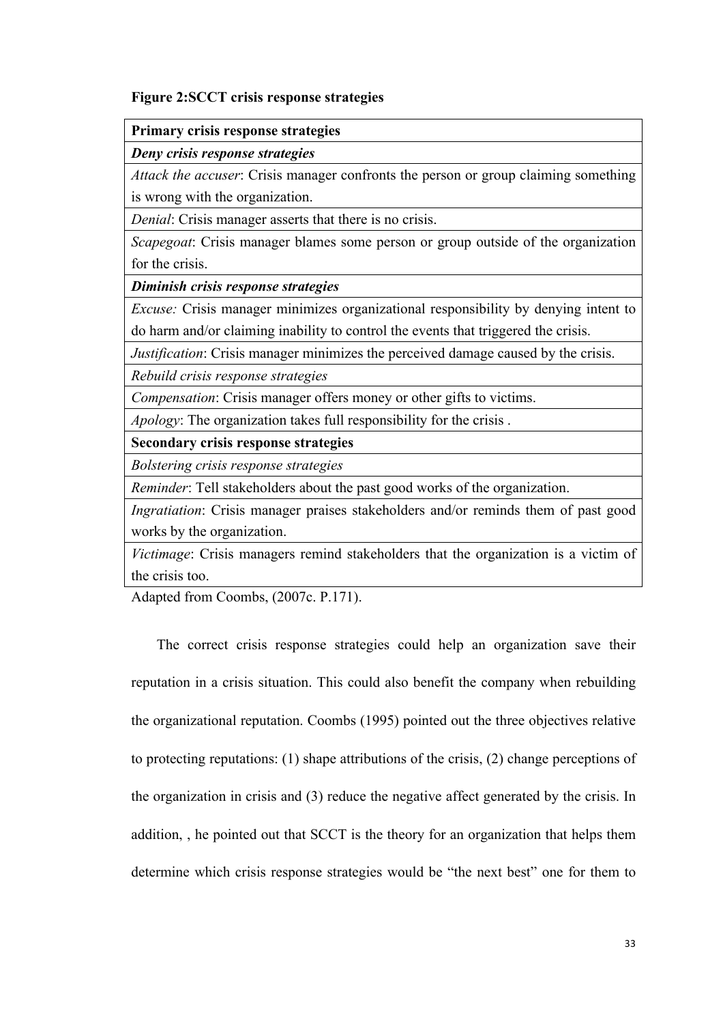#### **Figure 2:SCCT crisis response strategies**

#### **Primary crisis response strategies**

#### *Deny crisis response strategies*

*Attack the accuser*: Crisis manager confronts the person or group claiming something is wrong with the organization.

*Denial*: Crisis manager asserts that there is no crisis.

*Scapegoat*: Crisis manager blames some person or group outside of the organization for the crisis.

*Diminish crisis response strategies*

*Excuse:* Crisis manager minimizes organizational responsibility by denying intent to do harm and/or claiming inability to control the events that triggered the crisis.

*Justification*: Crisis manager minimizes the perceived damage caused by the crisis.

*Rebuild crisis response strategies*

*Compensation*: Crisis manager offers money or other gifts to victims.

*Apology*: The organization takes full responsibility for the crisis .

**Secondary crisis response strategies**

*Bolstering crisis response strategies*

*Reminder*: Tell stakeholders about the past good works of the organization.

*Ingratiation*: Crisis manager praises stakeholders and/or reminds them of past good works by the organization.

*Victimage*: Crisis managers remind stakeholders that the organization is a victim of the crisis too.

Adapted from Coombs, (2007c. P.171).

The correct crisis response strategies could help an organization save their reputation in a crisis situation. This could also benefit the company when rebuilding the organizational reputation. Coombs (1995) pointed out the three objectives relative to protecting reputations: (1) shape attributions of the crisis, (2) change perceptions of the organization in crisis and (3) reduce the negative affect generated by the crisis. In addition, , he pointed out that SCCT is the theory for an organization that helps them determine which crisis response strategies would be "the next best" one for them to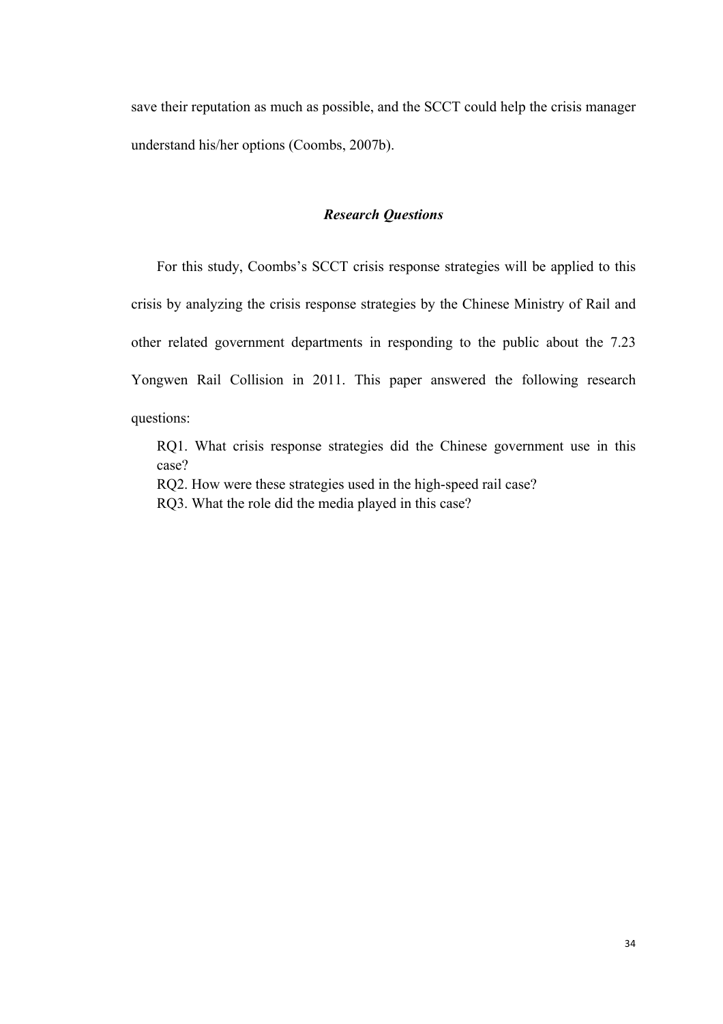save their reputation as much as possible, and the SCCT could help the crisis manager understand his/her options (Coombs, 2007b).

#### *Research Questions*

For this study, Coombs's SCCT crisis response strategies will be applied to this crisis by analyzing the crisis response strategies by the Chinese Ministry of Rail and other related government departments in responding to the public about the 7.23 Yongwen Rail Collision in 2011. This paper answered the following research questions:

RQ1. What crisis response strategies did the Chinese government use in this case?

RQ2. How were these strategies used in the high-speed rail case?

RQ3. What the role did the media played in this case?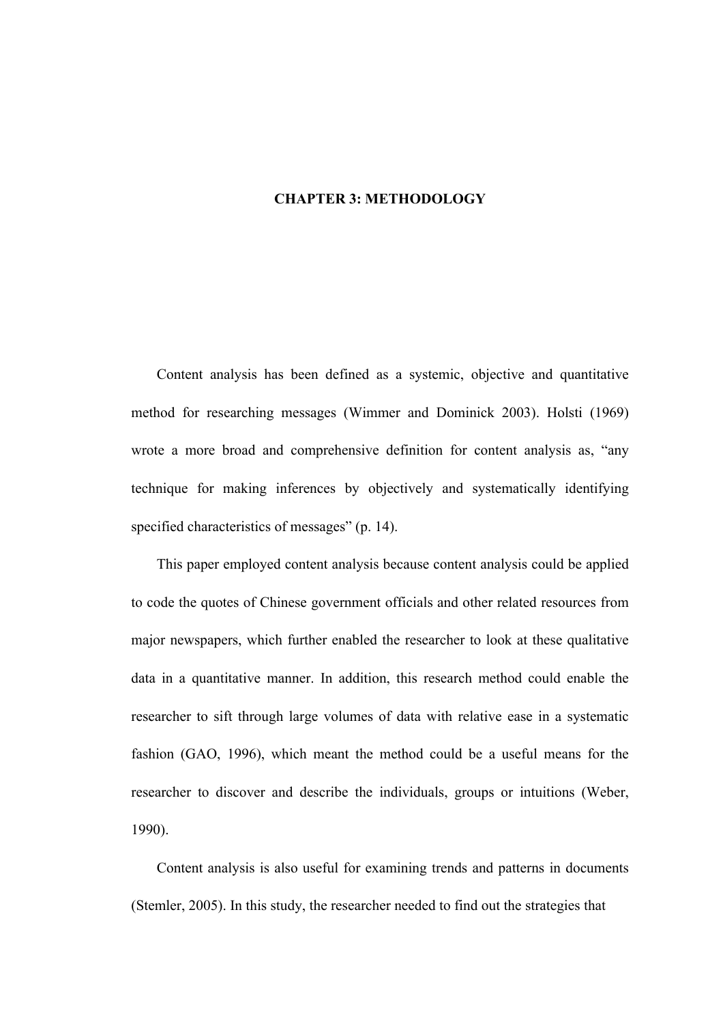# **CHAPTER 3: METHODOLOGY**

Content analysis has been defined as a systemic, objective and quantitative method for researching messages (Wimmer and Dominick 2003). Holsti (1969) wrote a more broad and comprehensive definition for content analysis as, "any technique for making inferences by objectively and systematically identifying specified characteristics of messages" (p. 14).

This paper employed content analysis because content analysis could be applied to code the quotes of Chinese government officials and other related resources from major newspapers, which further enabled the researcher to look at these qualitative data in a quantitative manner. In addition, this research method could enable the researcher to sift through large volumes of data with relative ease in a systematic fashion (GAO, 1996), which meant the method could be a useful means for the researcher to discover and describe the individuals, groups or intuitions (Weber, 1990).

Content analysis is also useful for examining trends and patterns in documents (Stemler, 2005). In this study, the researcher needed to find out the strategies that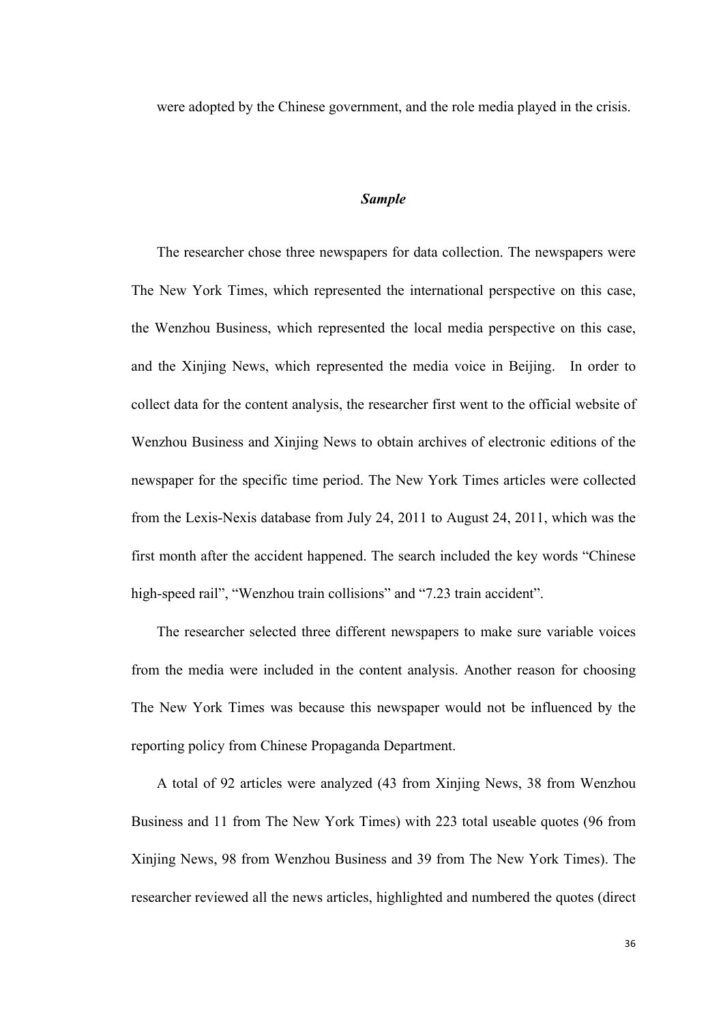were adopted by the Chinese government, and the role media played in the crisis.

# *Sample*

The researcher chose three newspapers for data collection. The newspapers were The New York Times, which represented the international perspective on this case, the Wenzhou Business, which represented the local media perspective on this case, and the Xinjing News, which represented the media voice in Beijing. In order to collect data for the content analysis, the researcher first went to the official website of Wenzhou Business and Xinjing News to obtain archives of electronic editions of the newspaper for the specific time period. The New York Times articles were collected from the Lexis-Nexis database from July 24, 2011 to August 24, 2011, which was the first month after the accident happened. The search included the key words "Chinese high-speed rail", "Wenzhou train collisions" and "7.23 train accident".

The researcher selected three different newspapers to make sure variable voices from the media were included in the content analysis. Another reason for choosing The New York Times was because this newspaper would not be influenced by the reporting policy from Chinese Propaganda Department.

A total of 92 articles were analyzed (43 from Xinjing News, 38 from Wenzhou Business and 11 from The New York Times) with 223 total useable quotes (96 from Xinjing News, 98 from Wenzhou Business and 39 from The New York Times). The researcher reviewed all the news articles, highlighted and numbered the quotes (direct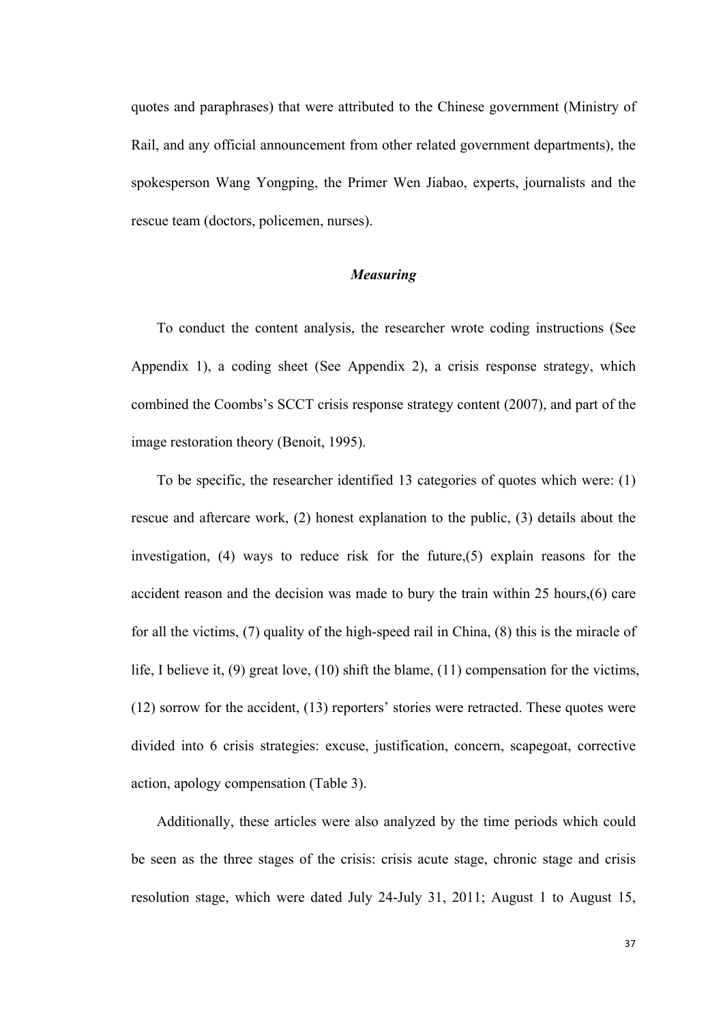quotes and paraphrases) that were attributed to the Chinese government (Ministry of Rail, and any official announcement from other related government departments), the spokesperson Wang Yongping, the Primer Wen Jiabao, experts, journalists and the rescue team (doctors, policemen, nurses).

## *Measuring*

To conduct the content analysis, the researcher wrote coding instructions (See Appendix 1), a coding sheet (See Appendix 2), a crisis response strategy, which combined the Coombs's SCCT crisis response strategy content (2007), and part of the image restoration theory (Benoit, 1995).

To be specific, the researcher identified 13 categories of quotes which were: (1) rescue and aftercare work, (2) honest explanation to the public, (3) details about the investigation, (4) ways to reduce risk for the future,(5) explain reasons for the accident reason and the decision was made to bury the train within 25 hours,(6) care for all the victims, (7) quality of the high-speed rail in China, (8) this is the miracle of life, I believe it, (9) great love, (10) shift the blame, (11) compensation for the victims, (12) sorrow for the accident, (13) reporters' stories were retracted. These quotes were divided into 6 crisis strategies: excuse, justification, concern, scapegoat, corrective action, apology compensation (Table 3).

Additionally, these articles were also analyzed by the time periods which could be seen as the three stages of the crisis: crisis acute stage, chronic stage and crisis resolution stage, which were dated July 24-July 31, 2011; August 1 to August 15,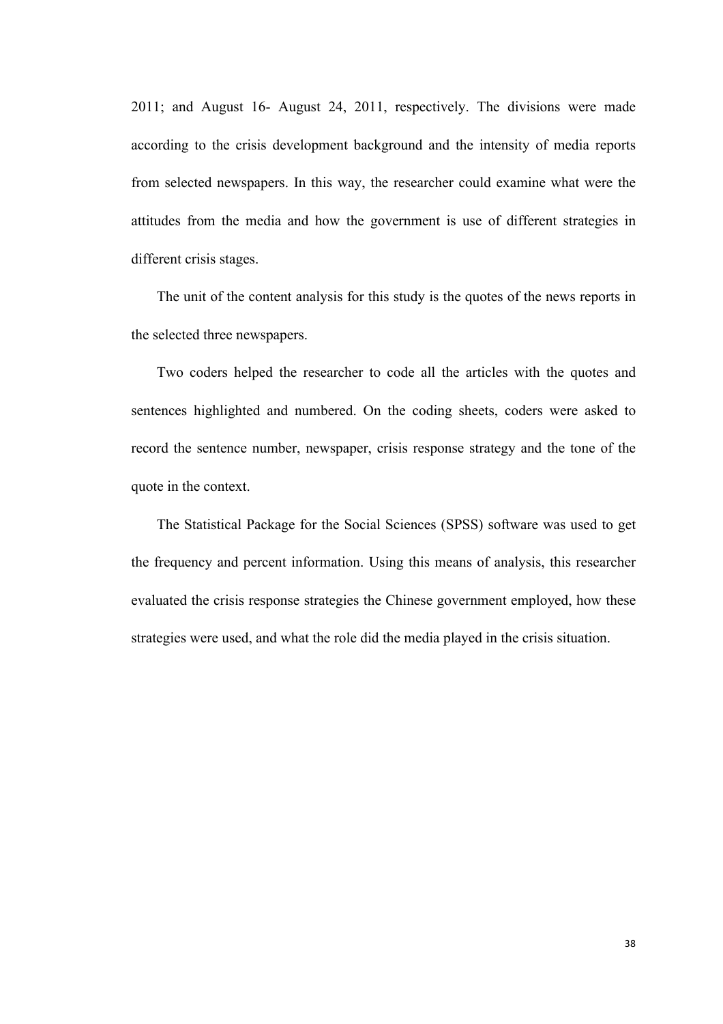2011; and August 16- August 24, 2011, respectively. The divisions were made according to the crisis development background and the intensity of media reports from selected newspapers. In this way, the researcher could examine what were the attitudes from the media and how the government is use of different strategies in different crisis stages.

The unit of the content analysis for this study is the quotes of the news reports in the selected three newspapers.

Two coders helped the researcher to code all the articles with the quotes and sentences highlighted and numbered. On the coding sheets, coders were asked to record the sentence number, newspaper, crisis response strategy and the tone of the quote in the context.

The Statistical Package for the Social Sciences (SPSS) software was used to get the frequency and percent information. Using this means of analysis, this researcher evaluated the crisis response strategies the Chinese government employed, how these strategies were used, and what the role did the media played in the crisis situation.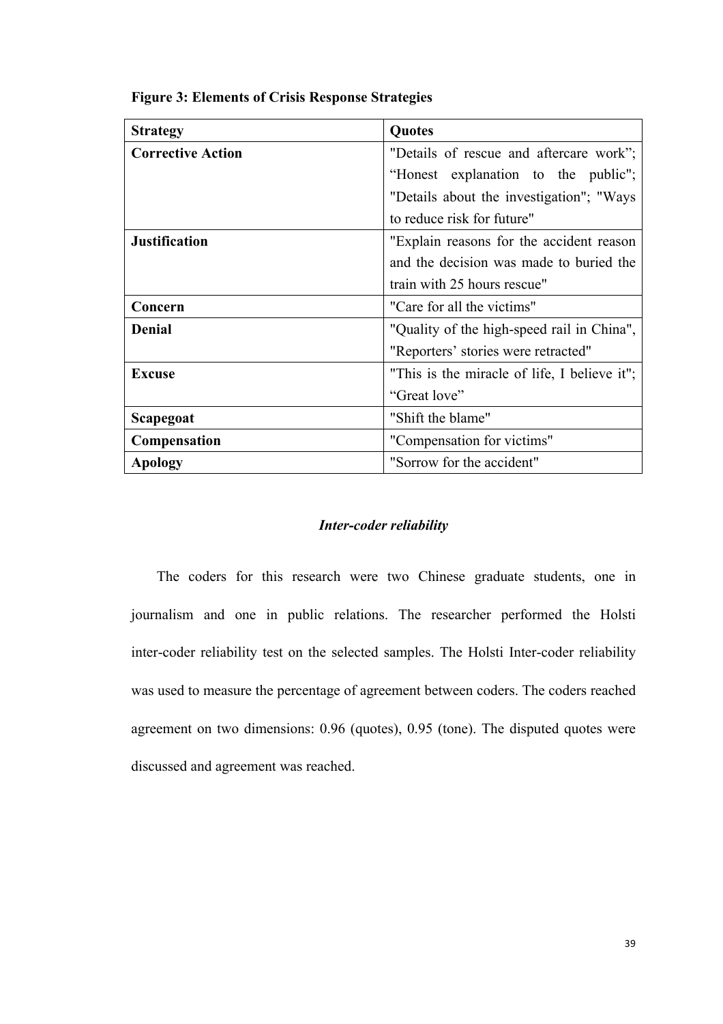| <b>Strategy</b>          | Quotes                                       |  |  |  |
|--------------------------|----------------------------------------------|--|--|--|
| <b>Corrective Action</b> | "Details of rescue and aftercare work";      |  |  |  |
|                          | "Honest explanation to the public";          |  |  |  |
|                          | "Details about the investigation"; "Ways"    |  |  |  |
|                          | to reduce risk for future"                   |  |  |  |
| <b>Justification</b>     | "Explain reasons for the accident reason     |  |  |  |
|                          | and the decision was made to buried the      |  |  |  |
|                          | train with 25 hours rescue"                  |  |  |  |
| Concern                  | "Care for all the victims"                   |  |  |  |
| <b>Denial</b>            | "Quality of the high-speed rail in China",   |  |  |  |
|                          | "Reporters' stories were retracted"          |  |  |  |
| Excuse                   | "This is the miracle of life, I believe it"; |  |  |  |
|                          | "Great love"                                 |  |  |  |
| Scapegoat                | "Shift the blame"                            |  |  |  |
| <b>Compensation</b>      | "Compensation for victims"                   |  |  |  |
| <b>Apology</b>           | "Sorrow for the accident"                    |  |  |  |

**Figure 3: Elements of Crisis Response Strategies**

## *Inter-coder reliability*

The coders for this research were two Chinese graduate students, one in journalism and one in public relations. The researcher performed the Holsti inter-coder reliability test on the selected samples. The Holsti Inter-coder reliability was used to measure the percentage of agreement between coders. The coders reached agreement on two dimensions: 0.96 (quotes), 0.95 (tone). The disputed quotes were discussed and agreement was reached.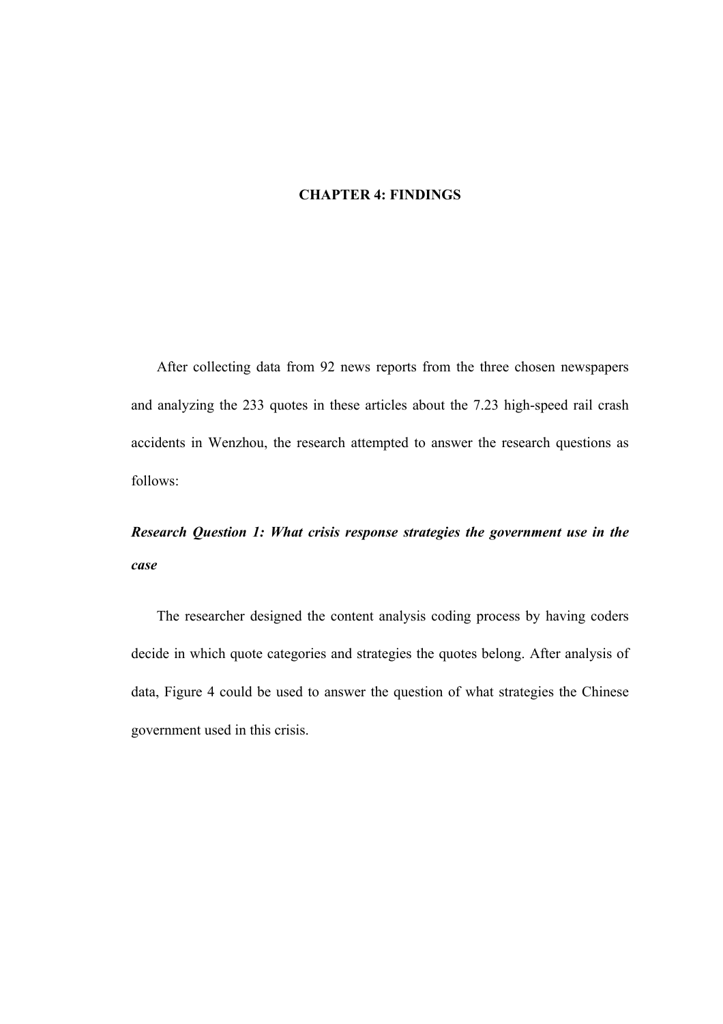## **CHAPTER 4: FINDINGS**

After collecting data from 92 news reports from the three chosen newspapers and analyzing the 233 quotes in these articles about the 7.23 high-speed rail crash accidents in Wenzhou, the research attempted to answer the research questions as follows:

# *Research Question 1: What crisis response strategies the government use in the case*

The researcher designed the content analysis coding process by having coders decide in which quote categories and strategies the quotes belong. After analysis of data, Figure 4 could be used to answer the question of what strategies the Chinese government used in this crisis.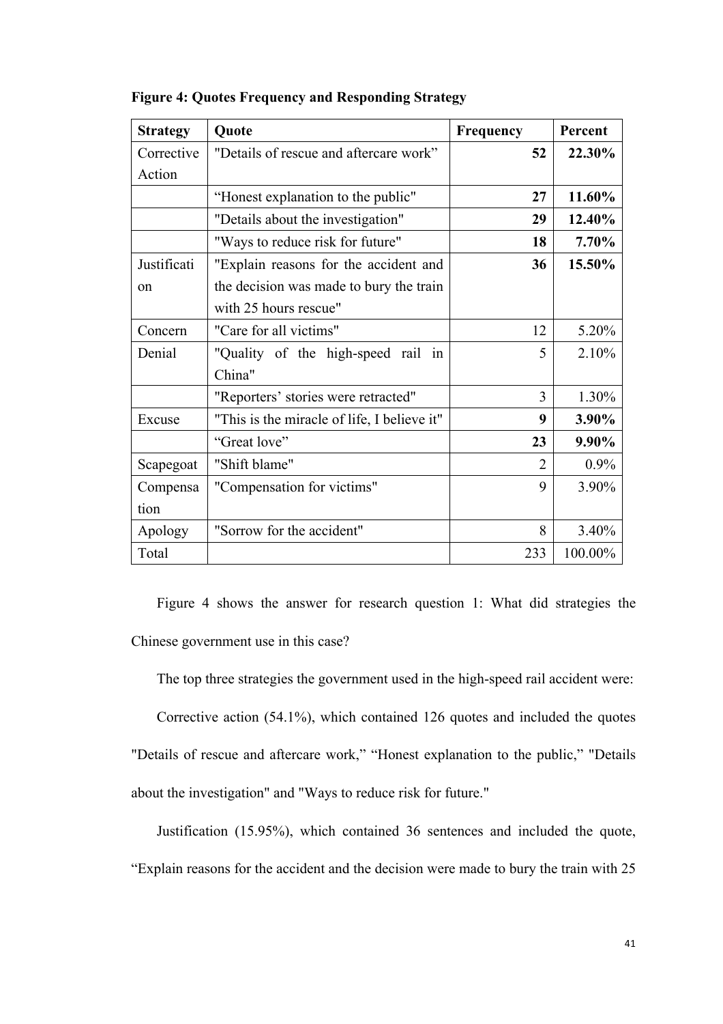| <b>Strategy</b> | Quote                                       | Frequency      | Percent |
|-----------------|---------------------------------------------|----------------|---------|
| Corrective      | "Details of rescue and aftercare work"      | 52             | 22.30%  |
| Action          |                                             |                |         |
|                 | "Honest explanation to the public"          | 27             | 11.60%  |
|                 | "Details about the investigation"           | 29             | 12.40%  |
|                 | "Ways to reduce risk for future"            | 18             | 7.70%   |
| Justificati     | "Explain reasons for the accident and       | 36             | 15.50%  |
| $^{on}$         | the decision was made to bury the train     |                |         |
|                 | with 25 hours rescue"                       |                |         |
| Concern         | "Care for all victims"                      | 12             | 5.20%   |
| Denial          | "Quality of the high-speed rail in          | 5              | 2.10%   |
|                 | China"                                      |                |         |
|                 | "Reporters' stories were retracted"         | 3              | 1.30%   |
| Excuse          | "This is the miracle of life, I believe it" | 9              | 3.90%   |
|                 | "Great love"                                | 23             | 9.90%   |
| Scapegoat       | "Shift blame"                               | $\overline{2}$ | 0.9%    |
| Compensa        | "Compensation for victims"                  | 9              | 3.90%   |
| tion            |                                             |                |         |
| Apology         | "Sorrow for the accident"                   | 8              | 3.40%   |
| Total           |                                             | 233            | 100.00% |

**Figure 4: Quotes Frequency and Responding Strategy**

Figure 4 shows the answer for research question 1: What did strategies the Chinese government use in this case?

The top three strategies the government used in the high-speed rail accident were:

Corrective action (54.1%), which contained 126 quotes and included the quotes "Details of rescue and aftercare work," "Honest explanation to the public," "Details about the investigation" and "Ways to reduce risk for future."

Justification (15.95%), which contained 36 sentences and included the quote, "Explain reasons for the accident and the decision were made to bury the train with 25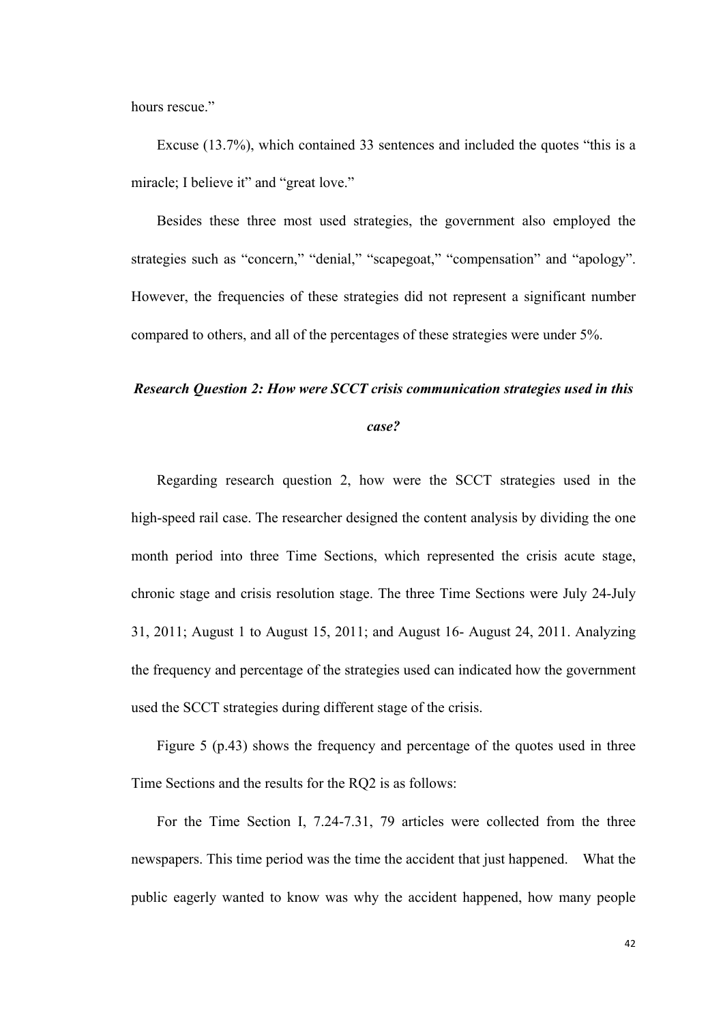hours rescue."

Excuse (13.7%), which contained 33 sentences and included the quotes "this is a miracle; I believe it" and "great love."

Besides these three most used strategies, the government also employed the strategies such as "concern," "denial," "scapegoat," "compensation" and "apology". However, the frequencies of these strategies did not represent a significant number compared to others, and all of the percentages of these strategies were under 5%.

## *Research Question 2: How were SCCT crisis communication strategies used in this*

#### *case?*

Regarding research question 2, how were the SCCT strategies used in the high-speed rail case. The researcher designed the content analysis by dividing the one month period into three Time Sections, which represented the crisis acute stage, chronic stage and crisis resolution stage. The three Time Sections were July 24-July 31, 2011; August 1 to August 15, 2011; and August 16- August 24, 2011. Analyzing the frequency and percentage of the strategies used can indicated how the government used the SCCT strategies during different stage of the crisis.

Figure 5 (p.43) shows the frequency and percentage of the quotes used in three Time Sections and the results for the RQ2 is as follows:

For the Time Section I, 7.24-7.31, 79 articles were collected from the three newspapers. This time period was the time the accident that just happened. What the public eagerly wanted to know was why the accident happened, how many people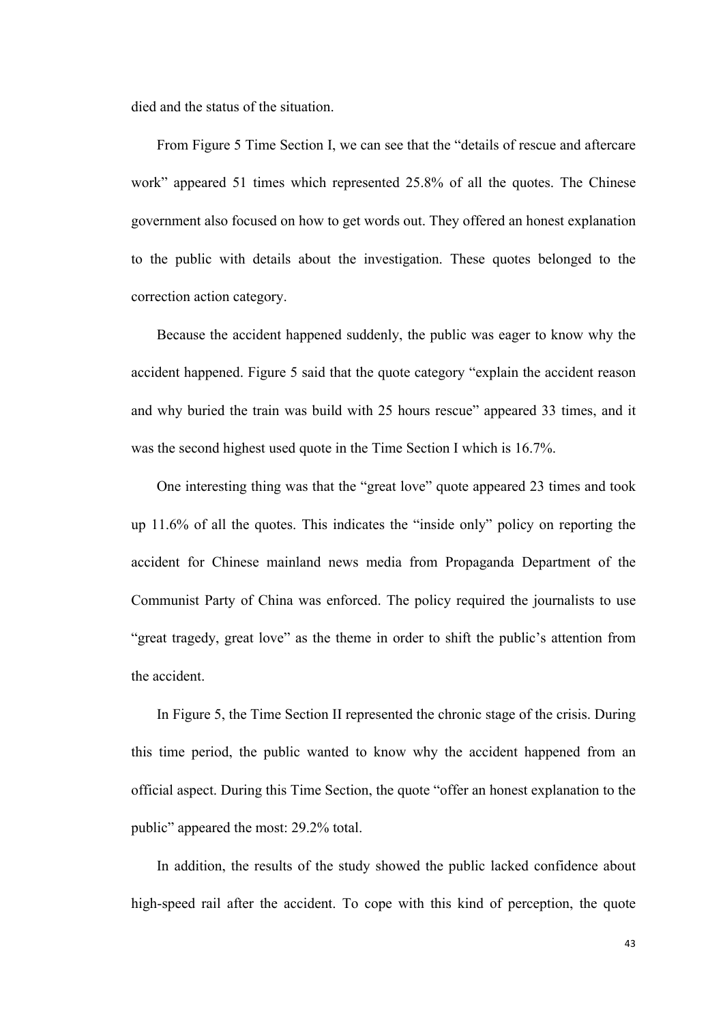died and the status of the situation.

From Figure 5 Time Section I, we can see that the "details of rescue and aftercare work" appeared 51 times which represented 25.8% of all the quotes. The Chinese government also focused on how to get words out. They offered an honest explanation to the public with details about the investigation. These quotes belonged to the correction action category.

Because the accident happened suddenly, the public was eager to know why the accident happened. Figure 5 said that the quote category "explain the accident reason and why buried the train was build with 25 hours rescue" appeared 33 times, and it was the second highest used quote in the Time Section I which is 16.7%.

One interesting thing was that the "great love" quote appeared 23 times and took up 11.6% of all the quotes. This indicates the "inside only" policy on reporting the accident for Chinese mainland news media from Propaganda Department of the Communist Party of China was enforced. The policy required the journalists to use "great tragedy, great love" as the theme in order to shift the public's attention from the accident.

In Figure 5, the Time Section II represented the chronic stage of the crisis. During this time period, the public wanted to know why the accident happened from an official aspect. During this Time Section, the quote "offer an honest explanation to the public" appeared the most: 29.2% total.

In addition, the results of the study showed the public lacked confidence about high-speed rail after the accident. To cope with this kind of perception, the quote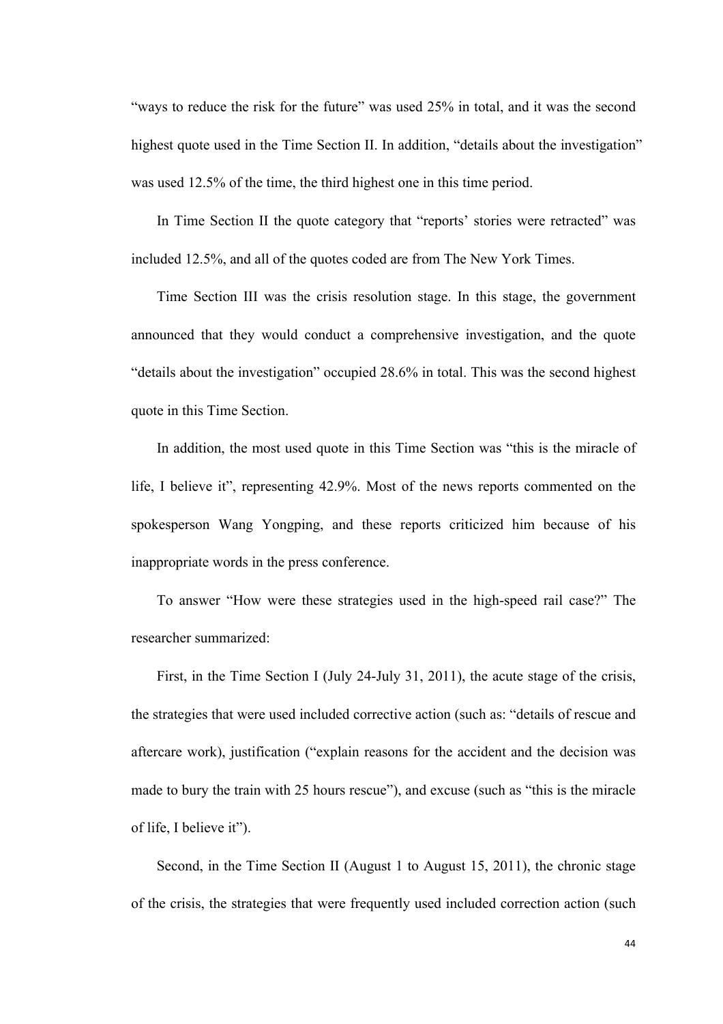"ways to reduce the risk for the future" was used 25% in total, and it was the second highest quote used in the Time Section II. In addition, "details about the investigation" was used 12.5% of the time, the third highest one in this time period.

In Time Section II the quote category that "reports' stories were retracted" was included 12.5%, and all of the quotes coded are from The New York Times.

Time Section III was the crisis resolution stage. In this stage, the government announced that they would conduct a comprehensive investigation, and the quote "details about the investigation" occupied 28.6% in total. This was the second highest quote in this Time Section.

In addition, the most used quote in this Time Section was "this is the miracle of life, I believe it", representing 42.9%. Most of the news reports commented on the spokesperson Wang Yongping, and these reports criticized him because of his inappropriate words in the press conference.

To answer "How were these strategies used in the high-speed rail case?" The researcher summarized:

First, in the Time Section I (July 24-July 31, 2011), the acute stage of the crisis, the strategies that were used included corrective action (such as: "details of rescue and aftercare work), justification ("explain reasons for the accident and the decision was made to bury the train with 25 hours rescue"), and excuse (such as "this is the miracle of life, I believe it").

Second, in the Time Section II (August 1 to August 15, 2011), the chronic stage of the crisis, the strategies that were frequently used included correction action (such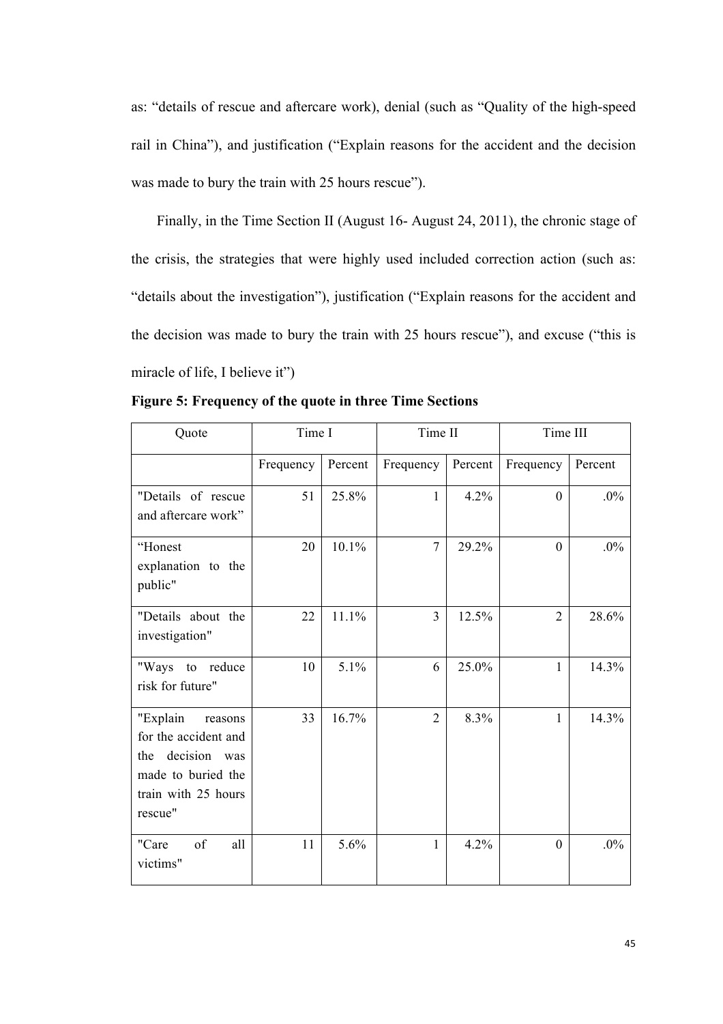as: "details of rescue and aftercare work), denial (such as "Quality of the high-speed rail in China"), and justification ("Explain reasons for the accident and the decision was made to bury the train with 25 hours rescue").

Finally, in the Time Section II (August 16- August 24, 2011), the chronic stage of the crisis, the strategies that were highly used included correction action (such as: "details about the investigation"), justification ("Explain reasons for the accident and the decision was made to bury the train with 25 hours rescue"), and excuse ("this is miracle of life, I believe it")

| Quote                                                                                                                         | Time I<br>Time II |         |                | Time III |                |         |
|-------------------------------------------------------------------------------------------------------------------------------|-------------------|---------|----------------|----------|----------------|---------|
|                                                                                                                               | Frequency         | Percent | Frequency      | Percent  | Frequency      | Percent |
| "Details of rescue<br>and aftercare work"                                                                                     | 51                | 25.8%   | $\mathbf{1}$   | 4.2%     | $\overline{0}$ | $.0\%$  |
| "Honest<br>explanation to the<br>public"                                                                                      | 20                | 10.1%   | $\overline{7}$ | 29.2%    | $\mathbf{0}$   | $.0\%$  |
| "Details about the<br>investigation"                                                                                          | 22                | 11.1%   | $\overline{3}$ | 12.5%    | $\overline{2}$ | 28.6%   |
| "Ways to reduce<br>risk for future"                                                                                           | 10                | 5.1%    | 6              | 25.0%    | $\mathbf{1}$   | 14.3%   |
| "Explain<br>reasons<br>for the accident and<br>decision<br>the<br>was<br>made to buried the<br>train with 25 hours<br>rescue" | 33                | 16.7%   | $\overline{2}$ | 8.3%     | $\mathbf{1}$   | 14.3%   |
| of<br>"Care<br>all<br>victims"                                                                                                | 11                | 5.6%    | 1              | 4.2%     | $\theta$       | $.0\%$  |

**Figure 5: Frequency of the quote in three Time Sections**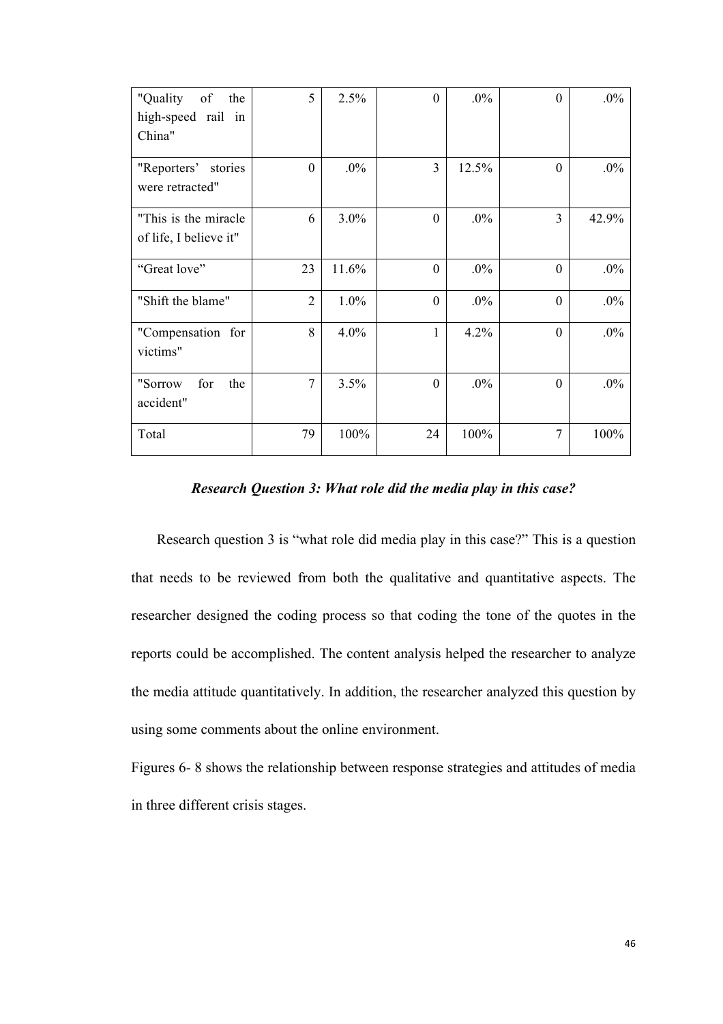| "Quality<br>of<br>the<br>high-speed rail in<br>China" | 5              | 2.5%    | $\theta$       | $.0\%$ | $\theta$       | $.0\%$ |
|-------------------------------------------------------|----------------|---------|----------------|--------|----------------|--------|
| "Reporters' stories<br>were retracted"                | $\overline{0}$ | $.0\%$  | $\overline{3}$ | 12.5%  | $\mathbf{0}$   | $.0\%$ |
| "This is the miracle"<br>of life, I believe it"       | 6              | $3.0\%$ | $\Omega$       | $.0\%$ | 3              | 42.9%  |
| "Great love"                                          | 23             | 11.6%   | $\theta$       | $.0\%$ | $\mathbf{0}$   | $.0\%$ |
| "Shift the blame"                                     | $\overline{2}$ | $1.0\%$ | $\overline{0}$ | $.0\%$ | $\mathbf{0}$   | $.0\%$ |
| "Compensation for<br>victims"                         | 8              | $4.0\%$ | 1              | 4.2%   | $\mathbf{0}$   | $.0\%$ |
| for<br>"Sorrow<br>the<br>accident"                    | 7              | 3.5%    | $\Omega$       | $.0\%$ | $\mathbf{0}$   | $.0\%$ |
| Total                                                 | 79             | 100%    | 24             | 100%   | $\overline{7}$ | 100%   |

*Research Question 3: What role did the media play in this case?*

Research question 3 is "what role did media play in this case?" This is a question that needs to be reviewed from both the qualitative and quantitative aspects. The researcher designed the coding process so that coding the tone of the quotes in the reports could be accomplished. The content analysis helped the researcher to analyze the media attitude quantitatively. In addition, the researcher analyzed this question by using some comments about the online environment.

Figures 6- 8 shows the relationship between response strategies and attitudes of media in three different crisis stages.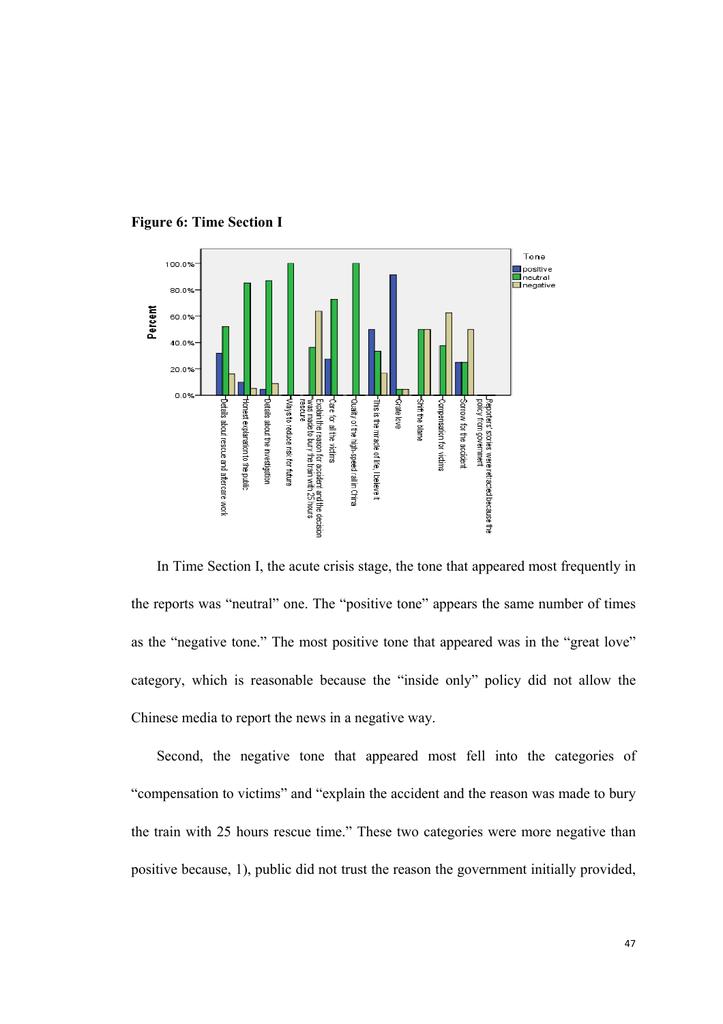

### **Figure 6: Time Section I**

In Time Section I, the acute crisis stage, the tone that appeared most frequently in the reports was "neutral" one. The "positive tone" appears the same number of times as the "negative tone." The most positive tone that appeared was in the "great love" category, which is reasonable because the "inside only" policy did not allow the Chinese media to report the news in a negative way.

Second, the negative tone that appeared most fell into the categories of "compensation to victims" and "explain the accident and the reason was made to bury the train with 25 hours rescue time." These two categories were more negative than positive because, 1), public did not trust the reason the government initially provided,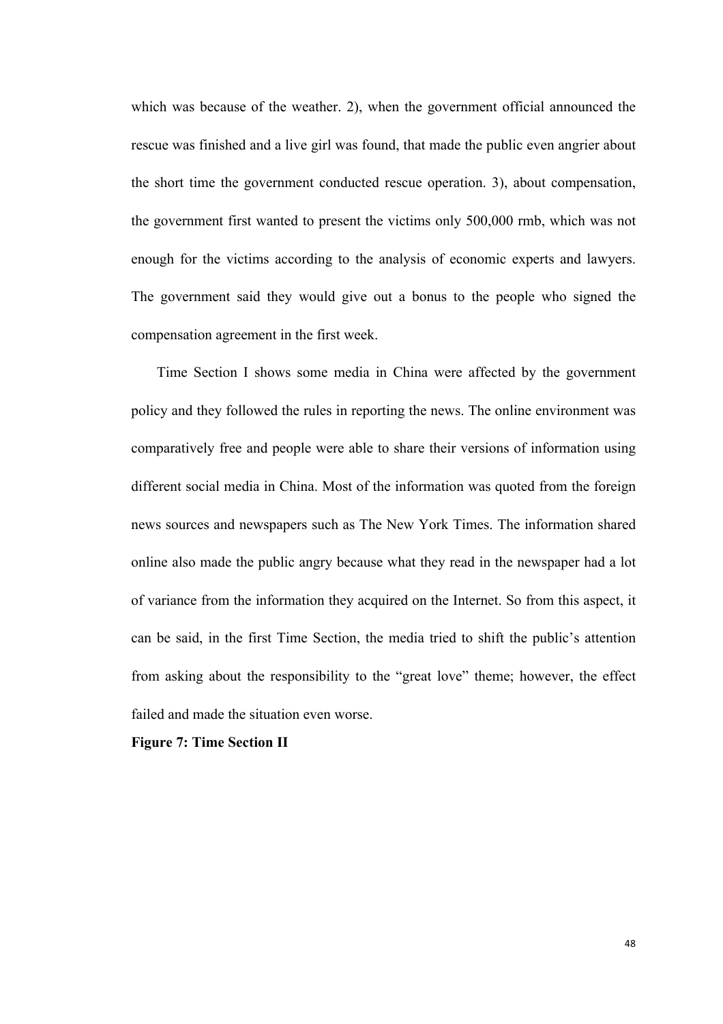which was because of the weather. 2), when the government official announced the rescue was finished and a live girl was found, that made the public even angrier about the short time the government conducted rescue operation. 3), about compensation, the government first wanted to present the victims only 500,000 rmb, which was not enough for the victims according to the analysis of economic experts and lawyers. The government said they would give out a bonus to the people who signed the compensation agreement in the first week.

Time Section I shows some media in China were affected by the government policy and they followed the rules in reporting the news. The online environment was comparatively free and people were able to share their versions of information using different social media in China. Most of the information was quoted from the foreign news sources and newspapers such as The New York Times. The information shared online also made the public angry because what they read in the newspaper had a lot of variance from the information they acquired on the Internet. So from this aspect, it can be said, in the first Time Section, the media tried to shift the public's attention from asking about the responsibility to the "great love" theme; however, the effect failed and made the situation even worse.

**Figure 7: Time Section II**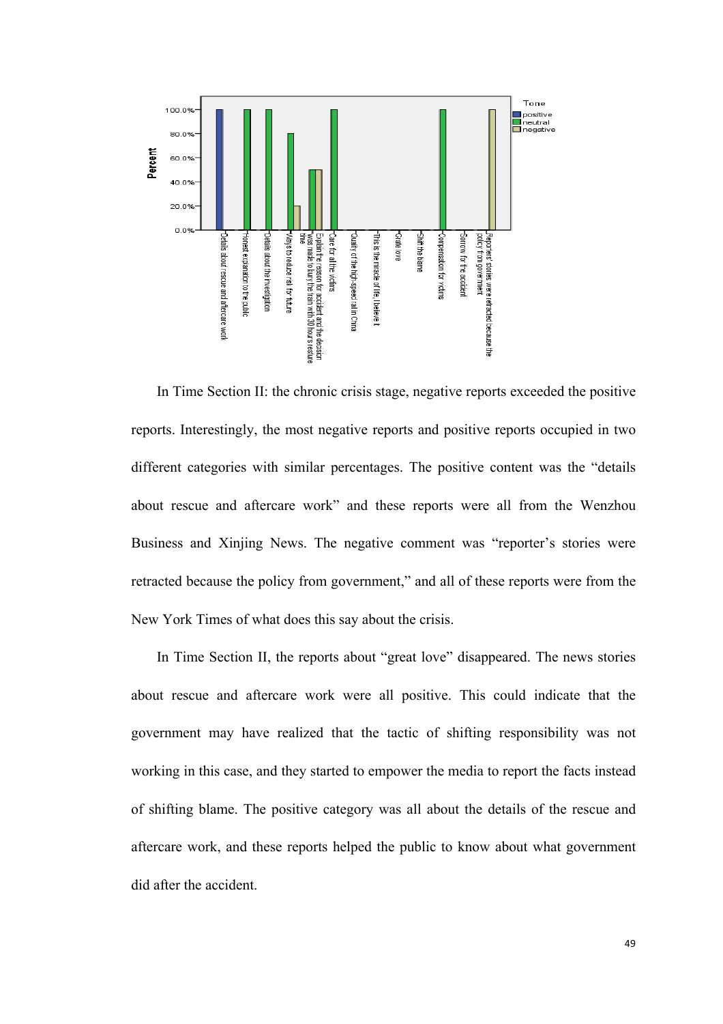

In Time Section II: the chronic crisis stage, negative reports exceeded the positive reports. Interestingly, the most negative reports and positive reports occupied in two different categories with similar percentages. The positive content was the "details about rescue and aftercare work" and these reports were all from the Wenzhou Business and Xinjing News. The negative comment was "reporter's stories were retracted because the policy from government," and all of these reports were from the New York Times of what does this say about the crisis.

In Time Section II, the reports about "great love" disappeared. The news stories about rescue and aftercare work were all positive. This could indicate that the government may have realized that the tactic of shifting responsibility was not working in this case, and they started to empower the media to report the facts instead of shifting blame. The positive category was all about the details of the rescue and aftercare work, and these reports helped the public to know about what government did after the accident.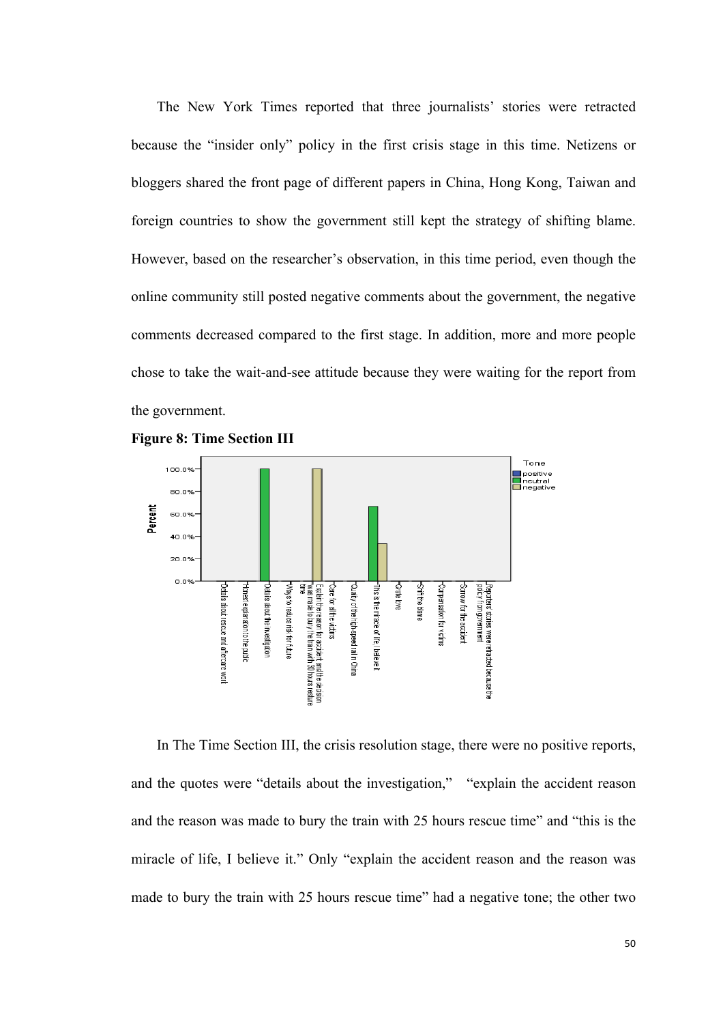The New York Times reported that three journalists' stories were retracted because the "insider only" policy in the first crisis stage in this time. Netizens or bloggers shared the front page of different papers in China, Hong Kong, Taiwan and foreign countries to show the government still kept the strategy of shifting blame. However, based on the researcher's observation, in this time period, even though the online community still posted negative comments about the government, the negative comments decreased compared to the first stage. In addition, more and more people chose to take the wait-and-see attitude because they were waiting for the report from the government.





In The Time Section III, the crisis resolution stage, there were no positive reports, and the quotes were "details about the investigation," "explain the accident reason and the reason was made to bury the train with 25 hours rescue time" and "this is the miracle of life, I believe it." Only "explain the accident reason and the reason was made to bury the train with 25 hours rescue time" had a negative tone; the other two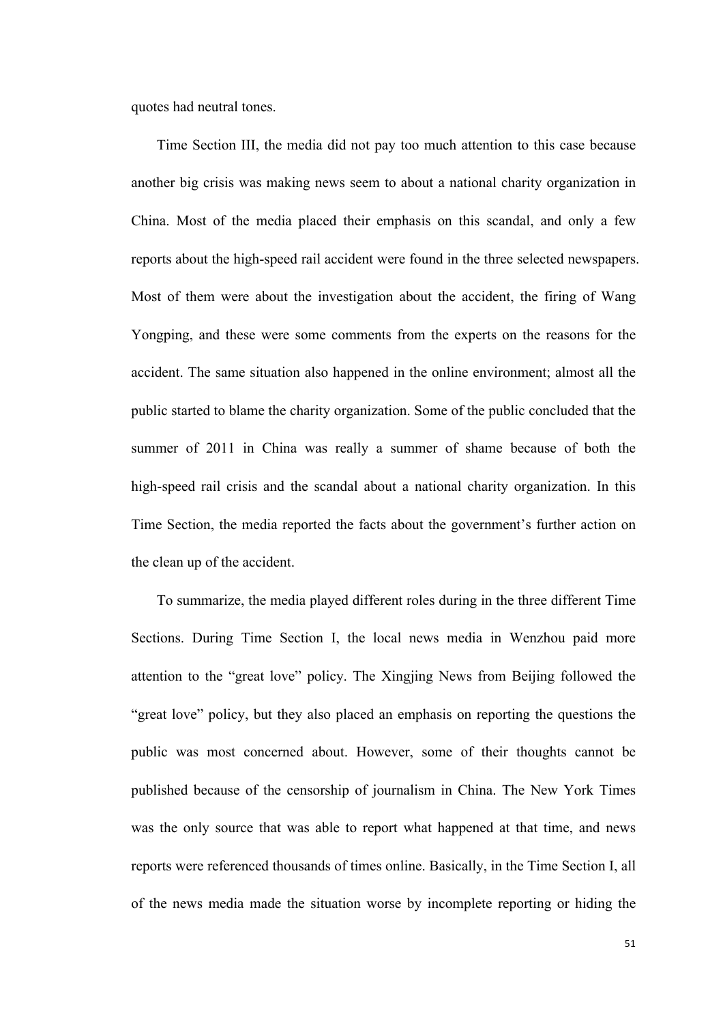quotes had neutral tones.

Time Section III, the media did not pay too much attention to this case because another big crisis was making news seem to about a national charity organization in China. Most of the media placed their emphasis on this scandal, and only a few reports about the high-speed rail accident were found in the three selected newspapers. Most of them were about the investigation about the accident, the firing of Wang Yongping, and these were some comments from the experts on the reasons for the accident. The same situation also happened in the online environment; almost all the public started to blame the charity organization. Some of the public concluded that the summer of 2011 in China was really a summer of shame because of both the high-speed rail crisis and the scandal about a national charity organization. In this Time Section, the media reported the facts about the government's further action on the clean up of the accident.

To summarize, the media played different roles during in the three different Time Sections. During Time Section I, the local news media in Wenzhou paid more attention to the "great love" policy. The Xingjing News from Beijing followed the "great love" policy, but they also placed an emphasis on reporting the questions the public was most concerned about. However, some of their thoughts cannot be published because of the censorship of journalism in China. The New York Times was the only source that was able to report what happened at that time, and news reports were referenced thousands of times online. Basically, in the Time Section I, all of the news media made the situation worse by incomplete reporting or hiding the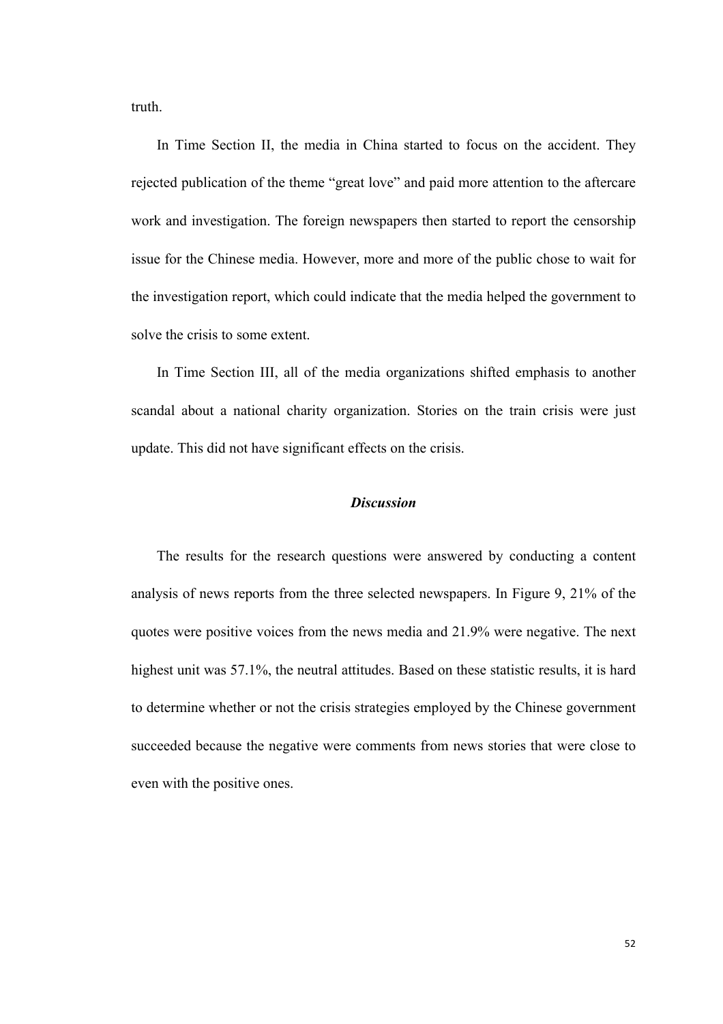truth.

In Time Section II, the media in China started to focus on the accident. They rejected publication of the theme "great love" and paid more attention to the aftercare work and investigation. The foreign newspapers then started to report the censorship issue for the Chinese media. However, more and more of the public chose to wait for the investigation report, which could indicate that the media helped the government to solve the crisis to some extent.

In Time Section III, all of the media organizations shifted emphasis to another scandal about a national charity organization. Stories on the train crisis were just update. This did not have significant effects on the crisis.

## *Discussion*

The results for the research questions were answered by conducting a content analysis of news reports from the three selected newspapers. In Figure 9, 21% of the quotes were positive voices from the news media and 21.9% were negative. The next highest unit was 57.1%, the neutral attitudes. Based on these statistic results, it is hard to determine whether or not the crisis strategies employed by the Chinese government succeeded because the negative were comments from news stories that were close to even with the positive ones.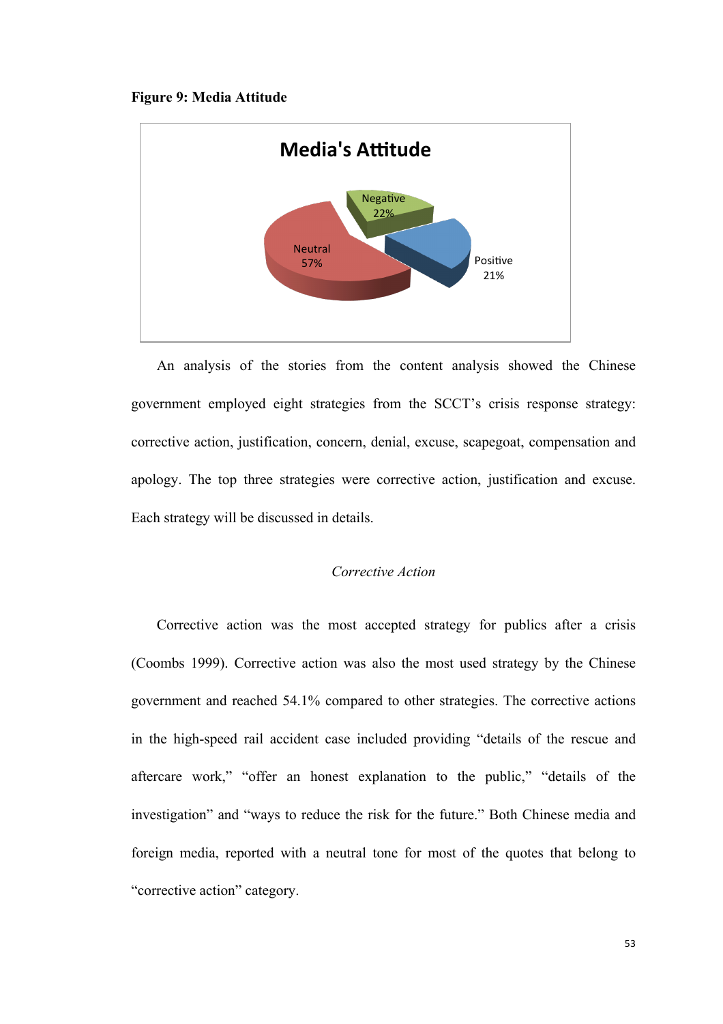#### **Figure 9: Media Attitude**



An analysis of the stories from the content analysis showed the Chinese government employed eight strategies from the SCCT's crisis response strategy: corrective action, justification, concern, denial, excuse, scapegoat, compensation and apology. The top three strategies were corrective action, justification and excuse. Each strategy will be discussed in details.

### *Corrective Action*

Corrective action was the most accepted strategy for publics after a crisis (Coombs 1999). Corrective action was also the most used strategy by the Chinese government and reached 54.1% compared to other strategies. The corrective actions in the high-speed rail accident case included providing "details of the rescue and aftercare work," "offer an honest explanation to the public," "details of the investigation" and "ways to reduce the risk for the future." Both Chinese media and foreign media, reported with a neutral tone for most of the quotes that belong to "corrective action" category.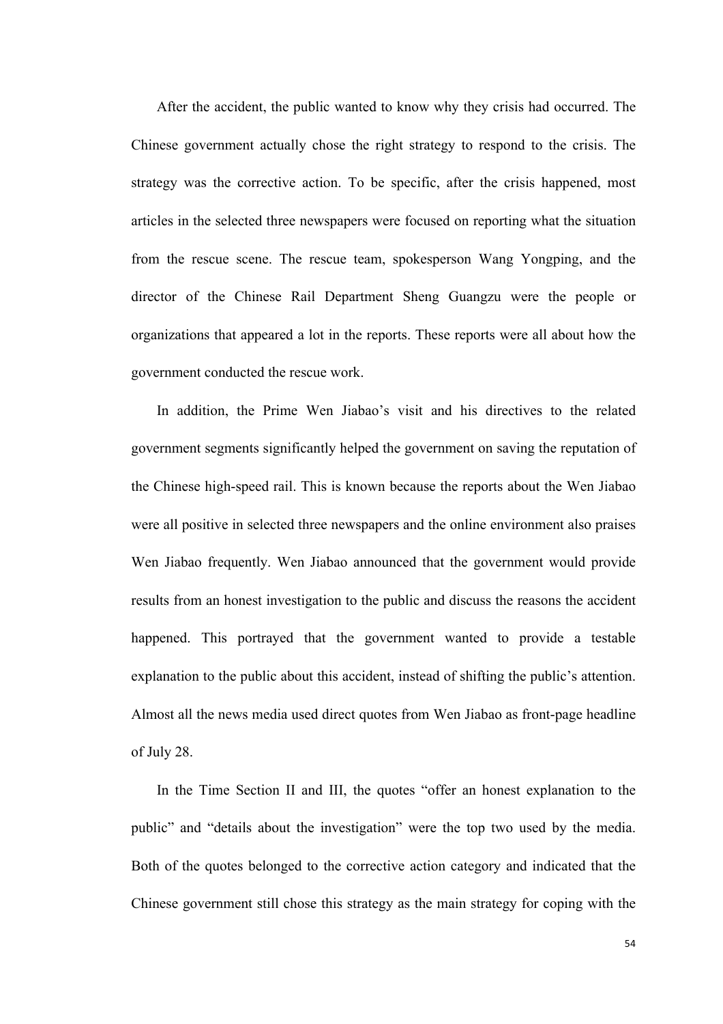After the accident, the public wanted to know why they crisis had occurred. The Chinese government actually chose the right strategy to respond to the crisis. The strategy was the corrective action. To be specific, after the crisis happened, most articles in the selected three newspapers were focused on reporting what the situation from the rescue scene. The rescue team, spokesperson Wang Yongping, and the director of the Chinese Rail Department Sheng Guangzu were the people or organizations that appeared a lot in the reports. These reports were all about how the government conducted the rescue work.

In addition, the Prime Wen Jiabao's visit and his directives to the related government segments significantly helped the government on saving the reputation of the Chinese high-speed rail. This is known because the reports about the Wen Jiabao were all positive in selected three newspapers and the online environment also praises Wen Jiabao frequently. Wen Jiabao announced that the government would provide results from an honest investigation to the public and discuss the reasons the accident happened. This portrayed that the government wanted to provide a testable explanation to the public about this accident, instead of shifting the public's attention. Almost all the news media used direct quotes from Wen Jiabao as front-page headline of July 28.

In the Time Section II and III, the quotes "offer an honest explanation to the public" and "details about the investigation" were the top two used by the media. Both of the quotes belonged to the corrective action category and indicated that the Chinese government still chose this strategy as the main strategy for coping with the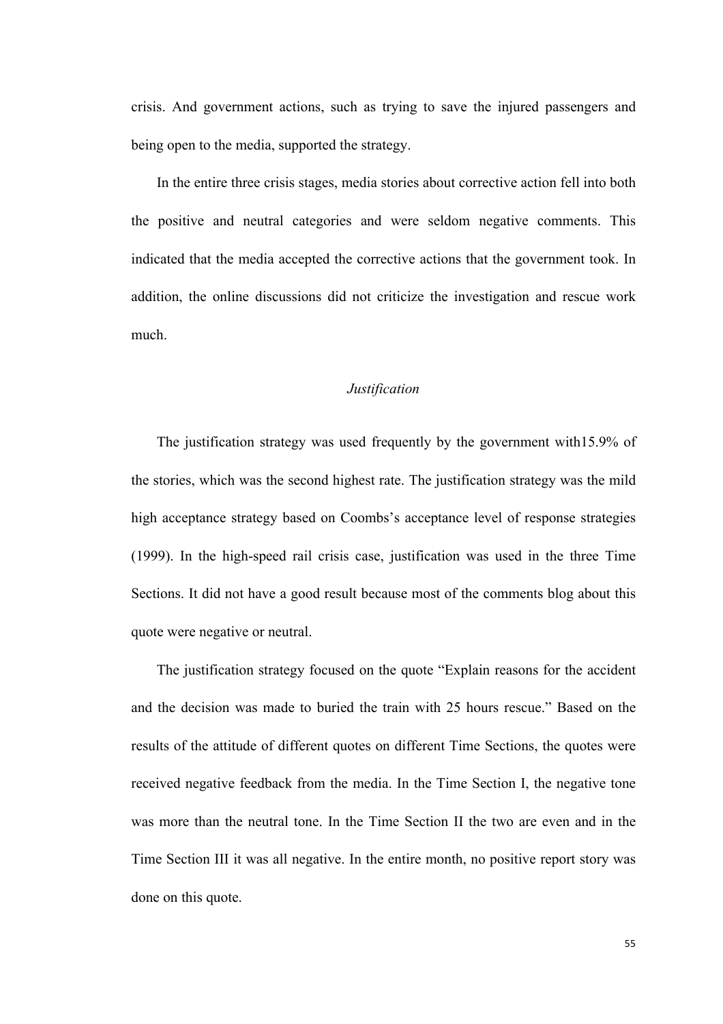crisis. And government actions, such as trying to save the injured passengers and being open to the media, supported the strategy.

In the entire three crisis stages, media stories about corrective action fell into both the positive and neutral categories and were seldom negative comments. This indicated that the media accepted the corrective actions that the government took. In addition, the online discussions did not criticize the investigation and rescue work much.

## *Justification*

The justification strategy was used frequently by the government with15.9% of the stories, which was the second highest rate. The justification strategy was the mild high acceptance strategy based on Coombs's acceptance level of response strategies (1999). In the high-speed rail crisis case, justification was used in the three Time Sections. It did not have a good result because most of the comments blog about this quote were negative or neutral.

The justification strategy focused on the quote "Explain reasons for the accident and the decision was made to buried the train with 25 hours rescue." Based on the results of the attitude of different quotes on different Time Sections, the quotes were received negative feedback from the media. In the Time Section I, the negative tone was more than the neutral tone. In the Time Section II the two are even and in the Time Section III it was all negative. In the entire month, no positive report story was done on this quote.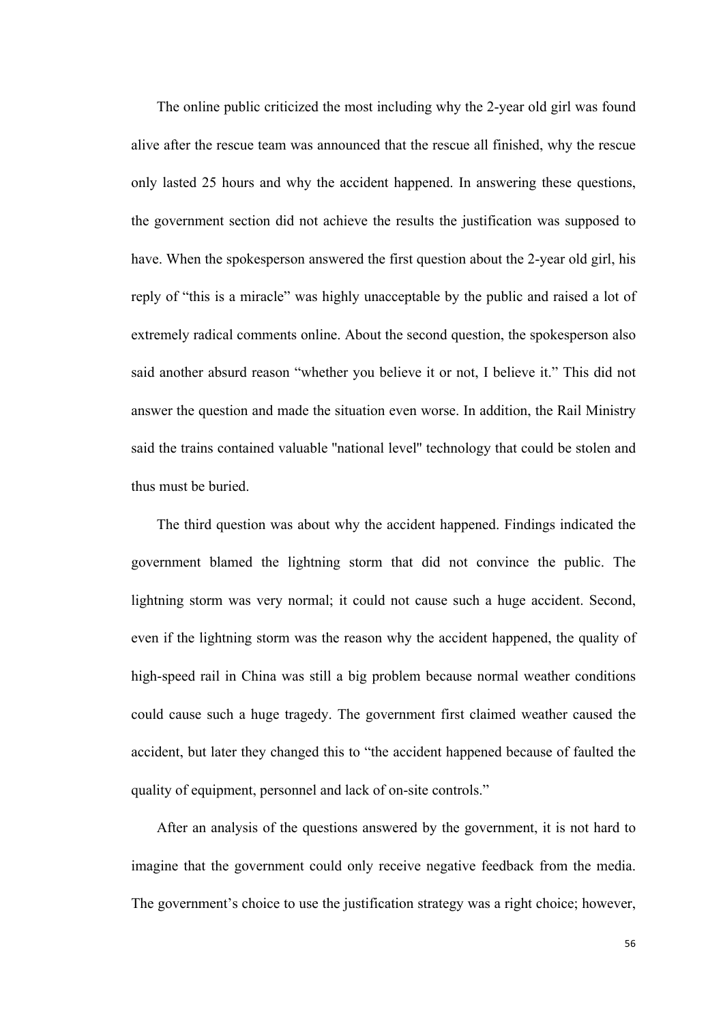The online public criticized the most including why the 2-year old girl was found alive after the rescue team was announced that the rescue all finished, why the rescue only lasted 25 hours and why the accident happened. In answering these questions, the government section did not achieve the results the justification was supposed to have. When the spokesperson answered the first question about the 2-year old girl, his reply of "this is a miracle" was highly unacceptable by the public and raised a lot of extremely radical comments online. About the second question, the spokesperson also said another absurd reason "whether you believe it or not, I believe it." This did not answer the question and made the situation even worse. In addition, the Rail Ministry said the trains contained valuable ''national level'' technology that could be stolen and thus must be buried.

The third question was about why the accident happened. Findings indicated the government blamed the lightning storm that did not convince the public. The lightning storm was very normal; it could not cause such a huge accident. Second, even if the lightning storm was the reason why the accident happened, the quality of high-speed rail in China was still a big problem because normal weather conditions could cause such a huge tragedy. The government first claimed weather caused the accident, but later they changed this to "the accident happened because of faulted the quality of equipment, personnel and lack of on-site controls."

After an analysis of the questions answered by the government, it is not hard to imagine that the government could only receive negative feedback from the media. The government's choice to use the justification strategy was a right choice; however,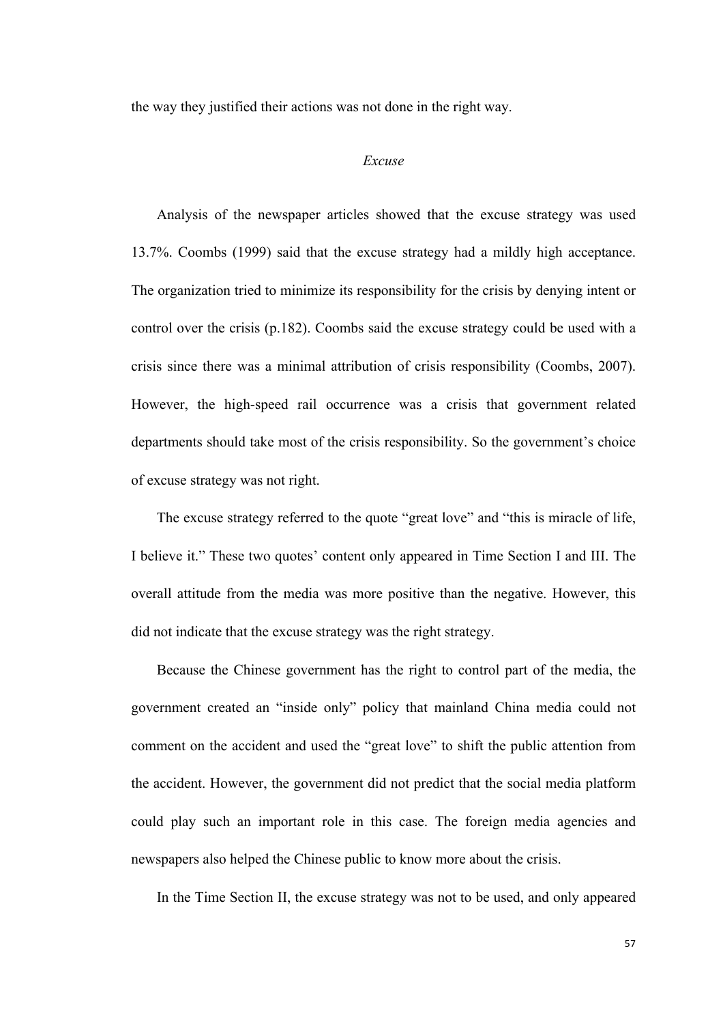the way they justified their actions was not done in the right way.

## *Excuse*

Analysis of the newspaper articles showed that the excuse strategy was used 13.7%. Coombs (1999) said that the excuse strategy had a mildly high acceptance. The organization tried to minimize its responsibility for the crisis by denying intent or control over the crisis (p.182). Coombs said the excuse strategy could be used with a crisis since there was a minimal attribution of crisis responsibility (Coombs, 2007). However, the high-speed rail occurrence was a crisis that government related departments should take most of the crisis responsibility. So the government's choice of excuse strategy was not right.

The excuse strategy referred to the quote "great love" and "this is miracle of life, I believe it." These two quotes' content only appeared in Time Section I and III. The overall attitude from the media was more positive than the negative. However, this did not indicate that the excuse strategy was the right strategy.

Because the Chinese government has the right to control part of the media, the government created an "inside only" policy that mainland China media could not comment on the accident and used the "great love" to shift the public attention from the accident. However, the government did not predict that the social media platform could play such an important role in this case. The foreign media agencies and newspapers also helped the Chinese public to know more about the crisis.

In the Time Section II, the excuse strategy was not to be used, and only appeared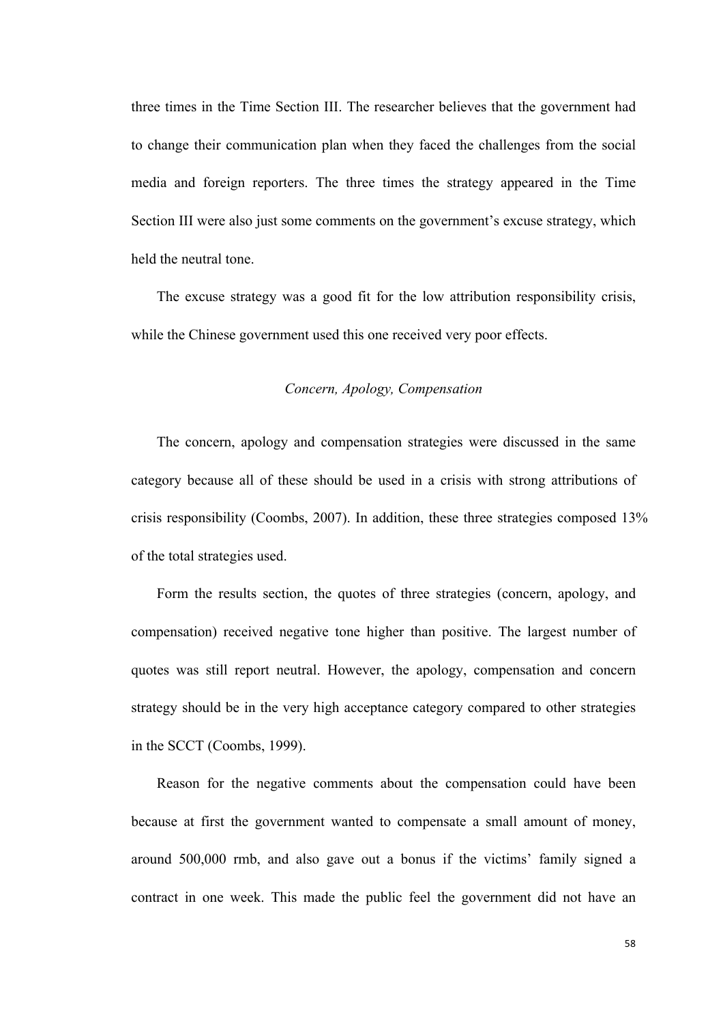three times in the Time Section III. The researcher believes that the government had to change their communication plan when they faced the challenges from the social media and foreign reporters. The three times the strategy appeared in the Time Section III were also just some comments on the government's excuse strategy, which held the neutral tone.

The excuse strategy was a good fit for the low attribution responsibility crisis, while the Chinese government used this one received very poor effects.

## *Concern, Apology, Compensation*

The concern, apology and compensation strategies were discussed in the same category because all of these should be used in a crisis with strong attributions of crisis responsibility (Coombs, 2007). In addition, these three strategies composed 13% of the total strategies used.

Form the results section, the quotes of three strategies (concern, apology, and compensation) received negative tone higher than positive. The largest number of quotes was still report neutral. However, the apology, compensation and concern strategy should be in the very high acceptance category compared to other strategies in the SCCT (Coombs, 1999).

Reason for the negative comments about the compensation could have been because at first the government wanted to compensate a small amount of money, around 500,000 rmb, and also gave out a bonus if the victims' family signed a contract in one week. This made the public feel the government did not have an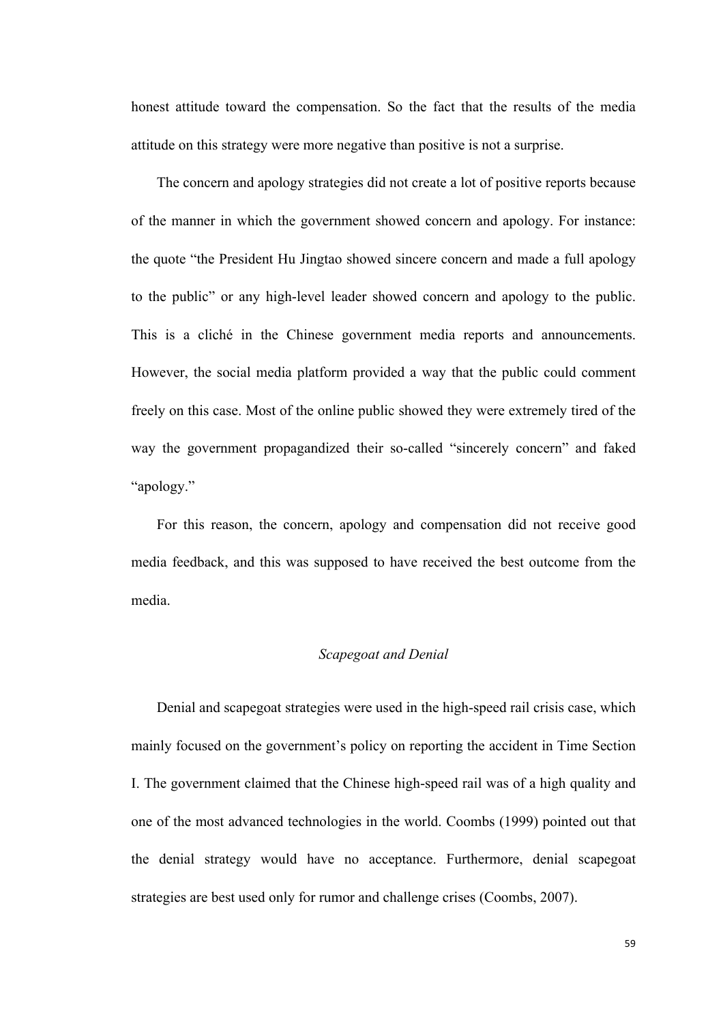honest attitude toward the compensation. So the fact that the results of the media attitude on this strategy were more negative than positive is not a surprise.

The concern and apology strategies did not create a lot of positive reports because of the manner in which the government showed concern and apology. For instance: the quote "the President Hu Jingtao showed sincere concern and made a full apology to the public" or any high-level leader showed concern and apology to the public. This is a cliché in the Chinese government media reports and announcements. However, the social media platform provided a way that the public could comment freely on this case. Most of the online public showed they were extremely tired of the way the government propagandized their so-called "sincerely concern" and faked "apology."

For this reason, the concern, apology and compensation did not receive good media feedback, and this was supposed to have received the best outcome from the media.

### *Scapegoat and Denial*

Denial and scapegoat strategies were used in the high-speed rail crisis case, which mainly focused on the government's policy on reporting the accident in Time Section I. The government claimed that the Chinese high-speed rail was of a high quality and one of the most advanced technologies in the world. Coombs (1999) pointed out that the denial strategy would have no acceptance. Furthermore, denial scapegoat strategies are best used only for rumor and challenge crises (Coombs, 2007).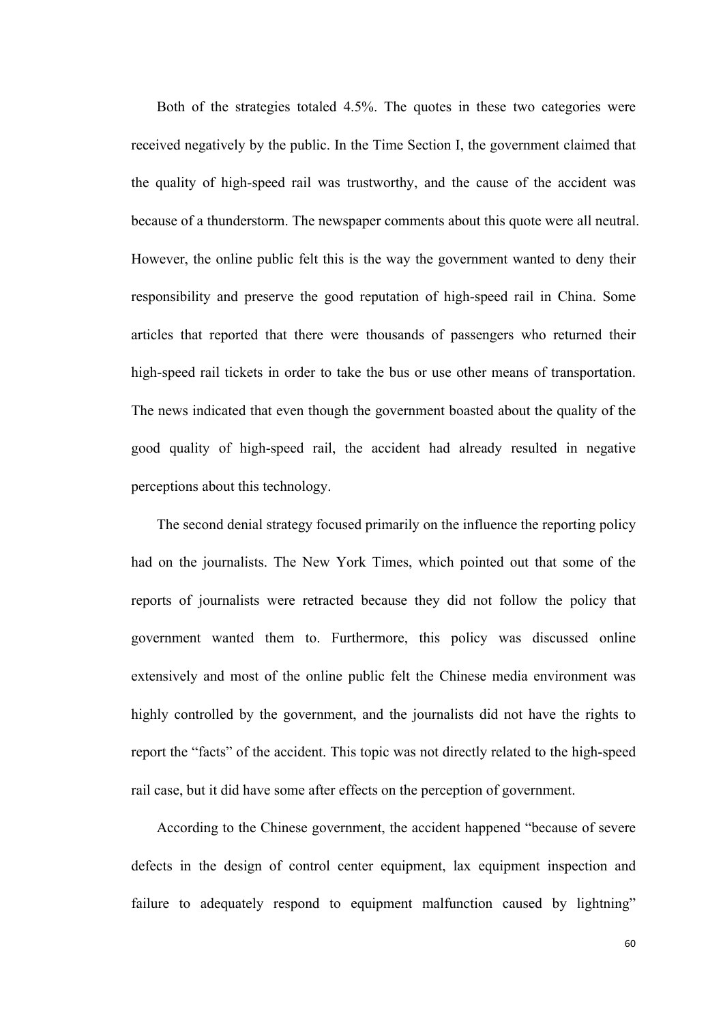Both of the strategies totaled 4.5%. The quotes in these two categories were received negatively by the public. In the Time Section I, the government claimed that the quality of high-speed rail was trustworthy, and the cause of the accident was because of a thunderstorm. The newspaper comments about this quote were all neutral. However, the online public felt this is the way the government wanted to deny their responsibility and preserve the good reputation of high-speed rail in China. Some articles that reported that there were thousands of passengers who returned their high-speed rail tickets in order to take the bus or use other means of transportation. The news indicated that even though the government boasted about the quality of the good quality of high-speed rail, the accident had already resulted in negative perceptions about this technology.

The second denial strategy focused primarily on the influence the reporting policy had on the journalists. The New York Times, which pointed out that some of the reports of journalists were retracted because they did not follow the policy that government wanted them to. Furthermore, this policy was discussed online extensively and most of the online public felt the Chinese media environment was highly controlled by the government, and the journalists did not have the rights to report the "facts" of the accident. This topic was not directly related to the high-speed rail case, but it did have some after effects on the perception of government.

According to the Chinese government, the accident happened "because of severe defects in the design of control center equipment, lax equipment inspection and failure to adequately respond to equipment malfunction caused by lightning"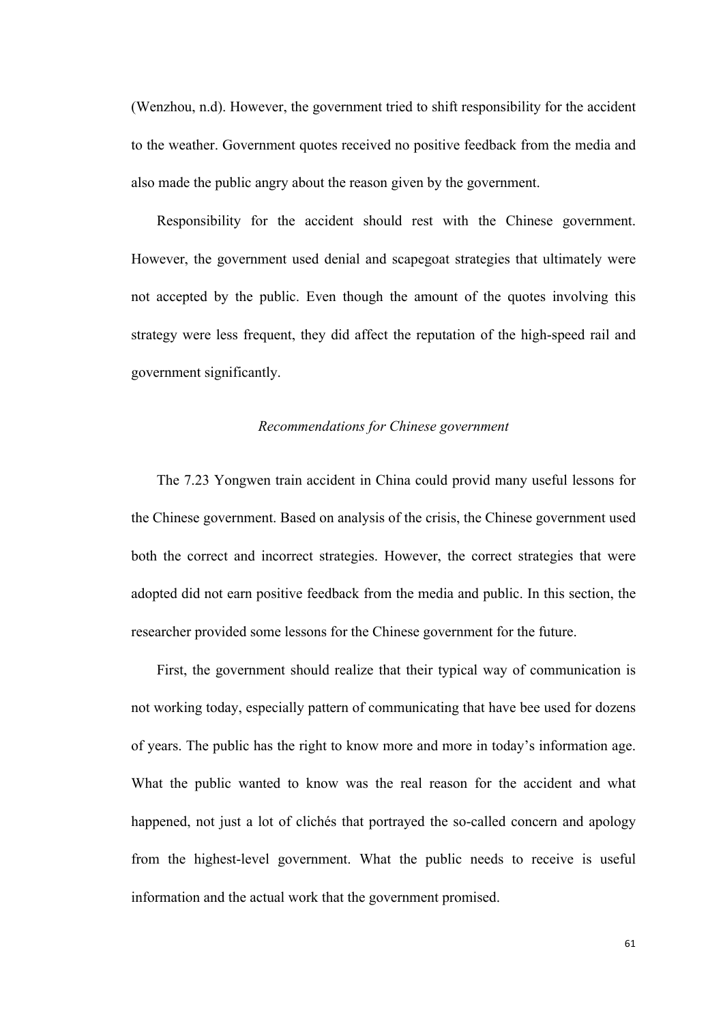(Wenzhou, n.d). However, the government tried to shift responsibility for the accident to the weather. Government quotes received no positive feedback from the media and also made the public angry about the reason given by the government.

Responsibility for the accident should rest with the Chinese government. However, the government used denial and scapegoat strategies that ultimately were not accepted by the public. Even though the amount of the quotes involving this strategy were less frequent, they did affect the reputation of the high-speed rail and government significantly.

#### *Recommendations for Chinese government*

The 7.23 Yongwen train accident in China could provid many useful lessons for the Chinese government. Based on analysis of the crisis, the Chinese government used both the correct and incorrect strategies. However, the correct strategies that were adopted did not earn positive feedback from the media and public. In this section, the researcher provided some lessons for the Chinese government for the future.

First, the government should realize that their typical way of communication is not working today, especially pattern of communicating that have bee used for dozens of years. The public has the right to know more and more in today's information age. What the public wanted to know was the real reason for the accident and what happened, not just a lot of clichés that portrayed the so-called concern and apology from the highest-level government. What the public needs to receive is useful information and the actual work that the government promised.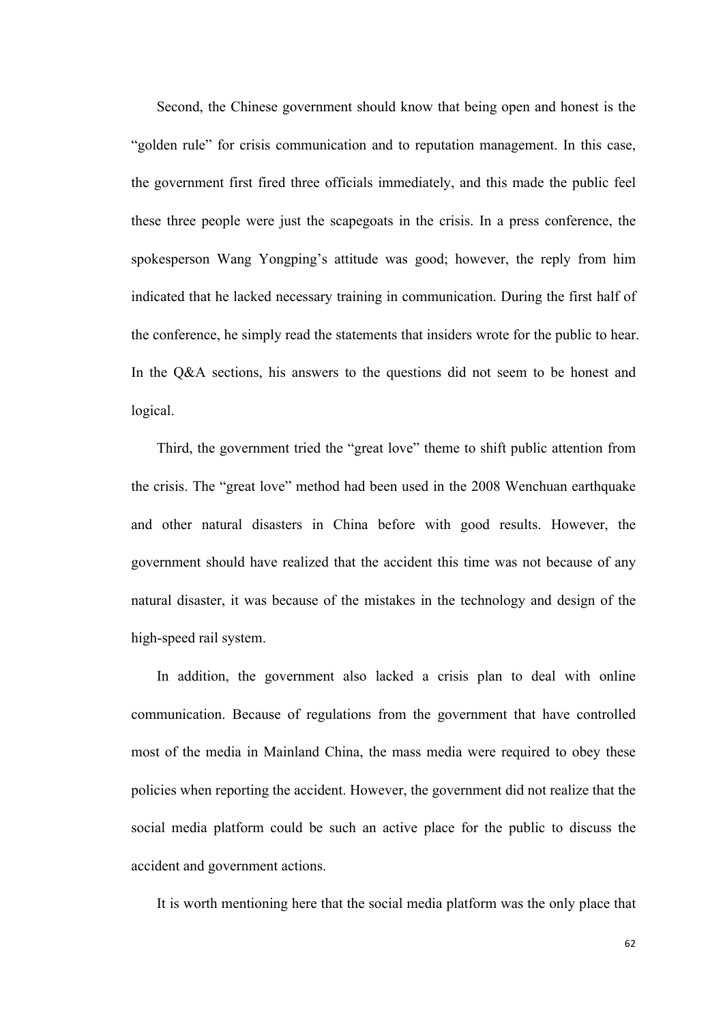Second, the Chinese government should know that being open and honest is the "golden rule" for crisis communication and to reputation management. In this case, the government first fired three officials immediately, and this made the public feel these three people were just the scapegoats in the crisis. In a press conference, the spokesperson Wang Yongping's attitude was good; however, the reply from him indicated that he lacked necessary training in communication. During the first half of the conference, he simply read the statements that insiders wrote for the public to hear. In the Q&A sections, his answers to the questions did not seem to be honest and logical.

Third, the government tried the "great love" theme to shift public attention from the crisis. The "great love" method had been used in the 2008 Wenchuan earthquake and other natural disasters in China before with good results. However, the government should have realized that the accident this time was not because of any natural disaster, it was because of the mistakes in the technology and design of the high-speed rail system.

In addition, the government also lacked a crisis plan to deal with online communication. Because of regulations from the government that have controlled most of the media in Mainland China, the mass media were required to obey these policies when reporting the accident. However, the government did not realize that the social media platform could be such an active place for the public to discuss the accident and government actions.

It is worth mentioning here that the social media platform was the only place that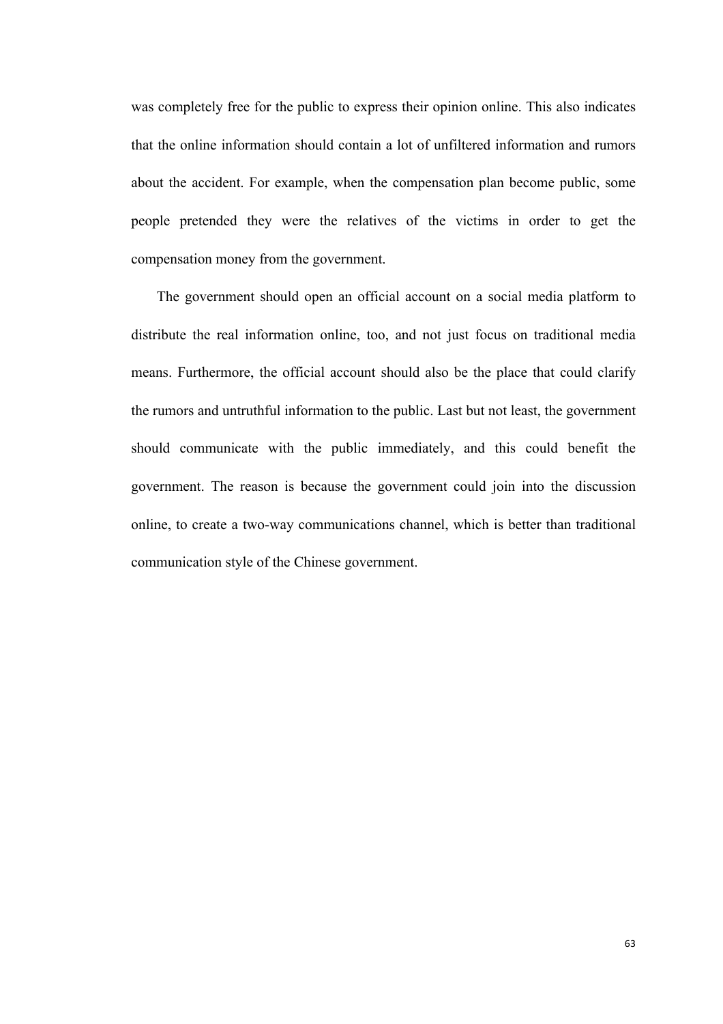was completely free for the public to express their opinion online. This also indicates that the online information should contain a lot of unfiltered information and rumors about the accident. For example, when the compensation plan become public, some people pretended they were the relatives of the victims in order to get the compensation money from the government.

The government should open an official account on a social media platform to distribute the real information online, too, and not just focus on traditional media means. Furthermore, the official account should also be the place that could clarify the rumors and untruthful information to the public. Last but not least, the government should communicate with the public immediately, and this could benefit the government. The reason is because the government could join into the discussion online, to create a two-way communications channel, which is better than traditional communication style of the Chinese government.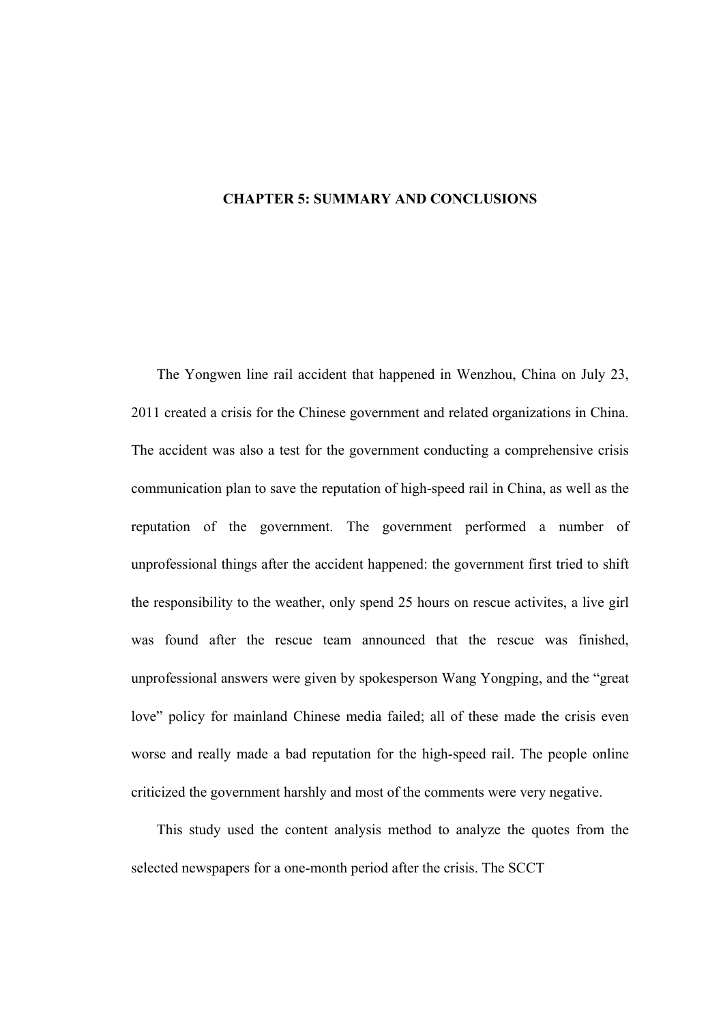## **CHAPTER 5: SUMMARY AND CONCLUSIONS**

The Yongwen line rail accident that happened in Wenzhou, China on July 23, 2011 created a crisis for the Chinese government and related organizations in China. The accident was also a test for the government conducting a comprehensive crisis communication plan to save the reputation of high-speed rail in China, as well as the reputation of the government. The government performed a number of unprofessional things after the accident happened: the government first tried to shift the responsibility to the weather, only spend 25 hours on rescue activites, a live girl was found after the rescue team announced that the rescue was finished, unprofessional answers were given by spokesperson Wang Yongping, and the "great love" policy for mainland Chinese media failed; all of these made the crisis even worse and really made a bad reputation for the high-speed rail. The people online criticized the government harshly and most of the comments were very negative.

This study used the content analysis method to analyze the quotes from the selected newspapers for a one-month period after the crisis. The SCCT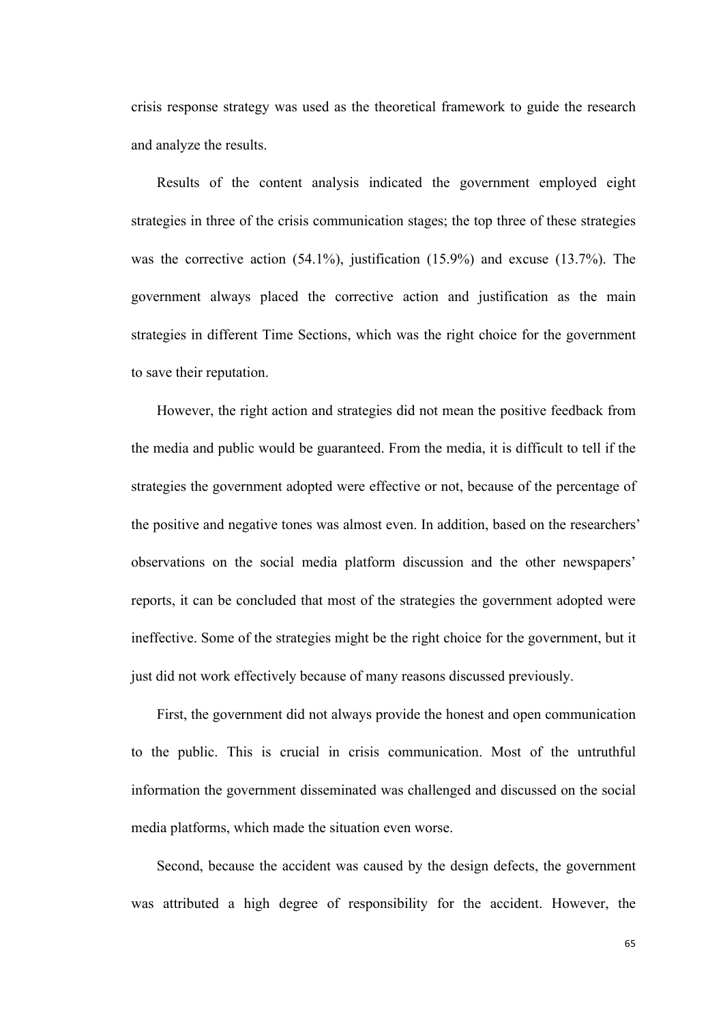crisis response strategy was used as the theoretical framework to guide the research and analyze the results.

Results of the content analysis indicated the government employed eight strategies in three of the crisis communication stages; the top three of these strategies was the corrective action (54.1%), justification (15.9%) and excuse (13.7%). The government always placed the corrective action and justification as the main strategies in different Time Sections, which was the right choice for the government to save their reputation.

However, the right action and strategies did not mean the positive feedback from the media and public would be guaranteed. From the media, it is difficult to tell if the strategies the government adopted were effective or not, because of the percentage of the positive and negative tones was almost even. In addition, based on the researchers' observations on the social media platform discussion and the other newspapers' reports, it can be concluded that most of the strategies the government adopted were ineffective. Some of the strategies might be the right choice for the government, but it just did not work effectively because of many reasons discussed previously.

First, the government did not always provide the honest and open communication to the public. This is crucial in crisis communication. Most of the untruthful information the government disseminated was challenged and discussed on the social media platforms, which made the situation even worse.

Second, because the accident was caused by the design defects, the government was attributed a high degree of responsibility for the accident. However, the

65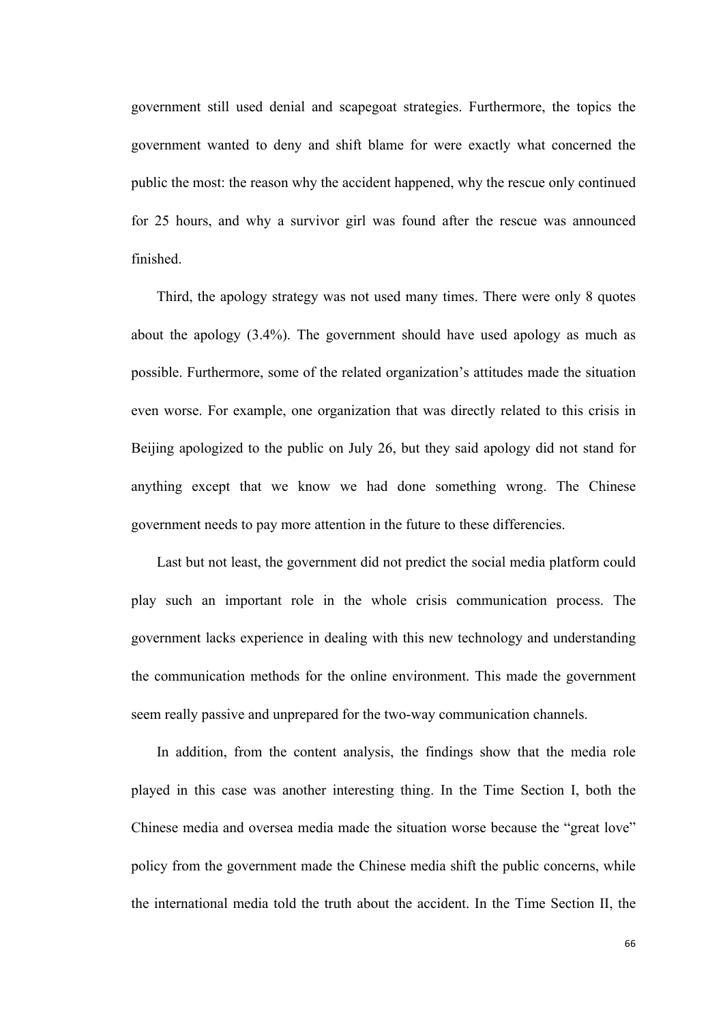government still used denial and scapegoat strategies. Furthermore, the topics the government wanted to deny and shift blame for were exactly what concerned the public the most: the reason why the accident happened, why the rescue only continued for 25 hours, and why a survivor girl was found after the rescue was announced finished.

Third, the apology strategy was not used many times. There were only 8 quotes about the apology (3.4%). The government should have used apology as much as possible. Furthermore, some of the related organization's attitudes made the situation even worse. For example, one organization that was directly related to this crisis in Beijing apologized to the public on July 26, but they said apology did not stand for anything except that we know we had done something wrong. The Chinese government needs to pay more attention in the future to these differencies.

Last but not least, the government did not predict the social media platform could play such an important role in the whole crisis communication process. The government lacks experience in dealing with this new technology and understanding the communication methods for the online environment. This made the government seem really passive and unprepared for the two-way communication channels.

In addition, from the content analysis, the findings show that the media role played in this case was another interesting thing. In the Time Section I, both the Chinese media and oversea media made the situation worse because the "great love" policy from the government made the Chinese media shift the public concerns, while the international media told the truth about the accident. In the Time Section II, the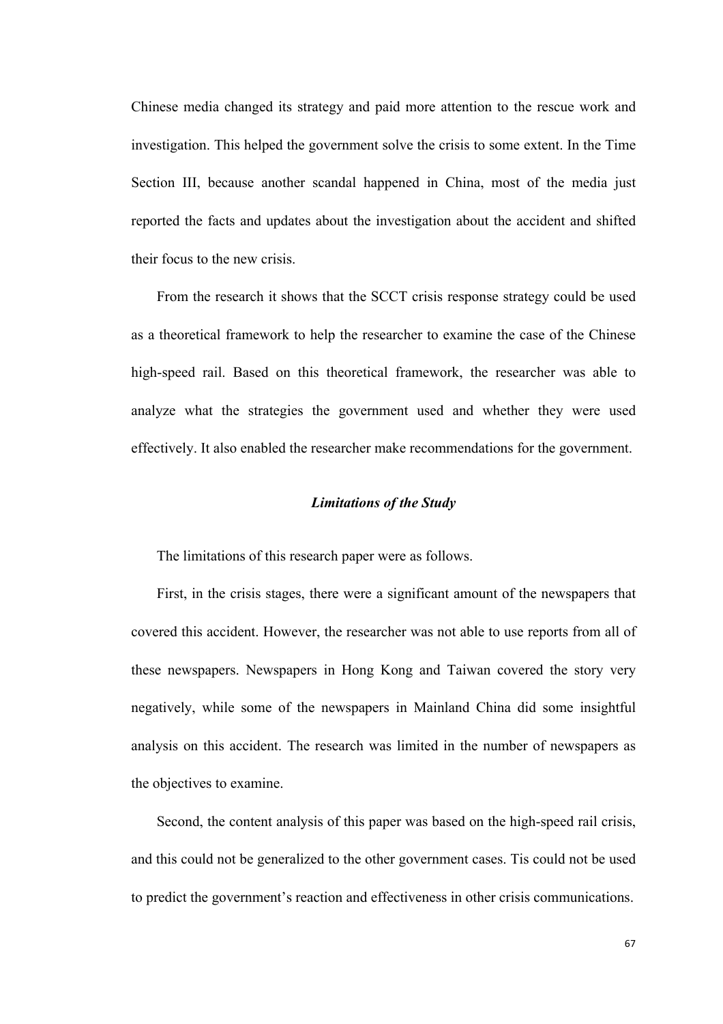Chinese media changed its strategy and paid more attention to the rescue work and investigation. This helped the government solve the crisis to some extent. In the Time Section III, because another scandal happened in China, most of the media just reported the facts and updates about the investigation about the accident and shifted their focus to the new crisis.

From the research it shows that the SCCT crisis response strategy could be used as a theoretical framework to help the researcher to examine the case of the Chinese high-speed rail. Based on this theoretical framework, the researcher was able to analyze what the strategies the government used and whether they were used effectively. It also enabled the researcher make recommendations for the government.

### *Limitations of the Study*

The limitations of this research paper were as follows.

First, in the crisis stages, there were a significant amount of the newspapers that covered this accident. However, the researcher was not able to use reports from all of these newspapers. Newspapers in Hong Kong and Taiwan covered the story very negatively, while some of the newspapers in Mainland China did some insightful analysis on this accident. The research was limited in the number of newspapers as the objectives to examine.

Second, the content analysis of this paper was based on the high-speed rail crisis, and this could not be generalized to the other government cases. Tis could not be used to predict the government's reaction and effectiveness in other crisis communications.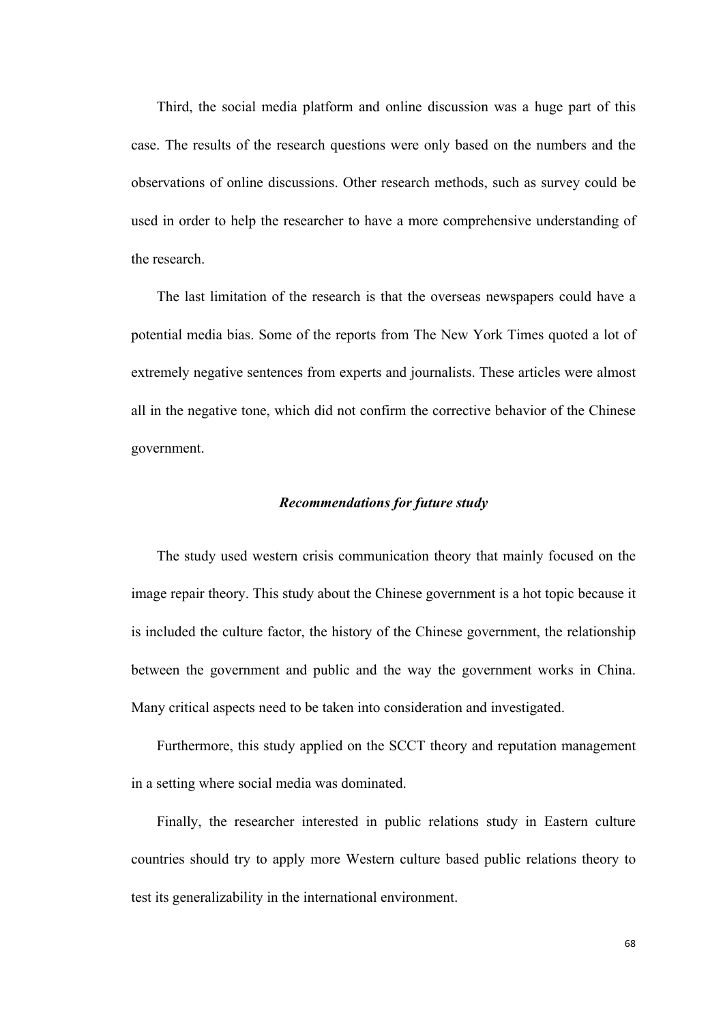Third, the social media platform and online discussion was a huge part of this case. The results of the research questions were only based on the numbers and the observations of online discussions. Other research methods, such as survey could be used in order to help the researcher to have a more comprehensive understanding of the research.

The last limitation of the research is that the overseas newspapers could have a potential media bias. Some of the reports from The New York Times quoted a lot of extremely negative sentences from experts and journalists. These articles were almost all in the negative tone, which did not confirm the corrective behavior of the Chinese government.

### *Recommendations for future study*

The study used western crisis communication theory that mainly focused on the image repair theory. This study about the Chinese government is a hot topic because it is included the culture factor, the history of the Chinese government, the relationship between the government and public and the way the government works in China. Many critical aspects need to be taken into consideration and investigated.

Furthermore, this study applied on the SCCT theory and reputation management in a setting where social media was dominated.

Finally, the researcher interested in public relations study in Eastern culture countries should try to apply more Western culture based public relations theory to test its generalizability in the international environment.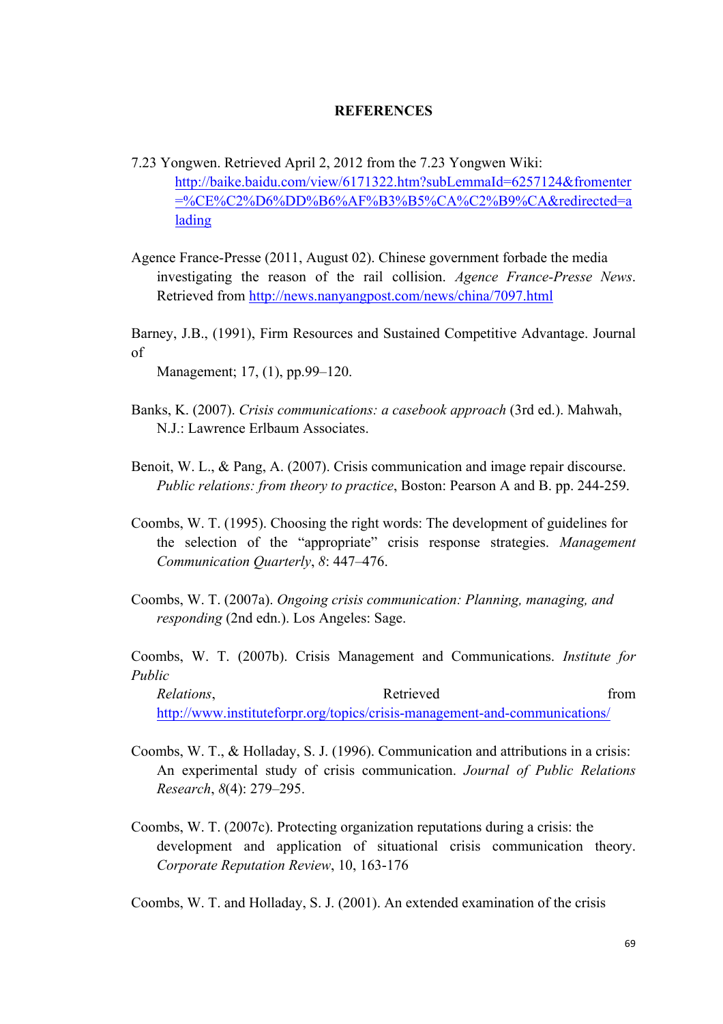#### **REFERENCES**

- 7.23 Yongwen. Retrieved April 2, 2012 from the 7.23 Yongwen Wiki: http://baike.baidu.com/view/6171322.htm?subLemmaId=6257124&fromenter =%CE%C2%D6%DD%B6%AF%B3%B5%CA%C2%B9%CA&redirected=a lading
- Agence France-Presse (2011, August 02). Chinese government forbade the media investigating the reason of the rail collision. *Agence France-Presse News*. Retrieved from http://news.nanyangpost.com/news/china/7097.html

Barney, J.B., (1991), Firm Resources and Sustained Competitive Advantage. Journal of

Management; 17, (1), pp.99–120.

- Banks, K. (2007). *Crisis communications: a casebook approach* (3rd ed.). Mahwah, N.J.: Lawrence Erlbaum Associates.
- Benoit, W. L., & Pang, A. (2007). Crisis communication and image repair discourse. *Public relations: from theory to practice*, Boston: Pearson A and B. pp. 244-259.
- Coombs, W. T. (1995). Choosing the right words: The development of guidelines for the selection of the "appropriate" crisis response strategies. *Management Communication Quarterly*, *8*: 447–476.
- Coombs, W. T. (2007a). *Ongoing crisis communication: Planning, managing, and responding* (2nd edn.). Los Angeles: Sage.

Coombs, W. T. (2007b). Crisis Management and Communications. *Institute for Public* 

*Relations*, *Retrieved Retrieved from* http://www.instituteforpr.org/topics/crisis-management-and-communications/

- Coombs, W. T., & Holladay, S. J. (1996). Communication and attributions in a crisis: An experimental study of crisis communication. *Journal of Public Relations Research*, *8*(4): 279–295.
- Coombs, W. T. (2007c). Protecting organization reputations during a crisis: the development and application of situational crisis communication theory. *Corporate Reputation Review*, 10, 163-176

Coombs, W. T. and Holladay, S. J. (2001). An extended examination of the crisis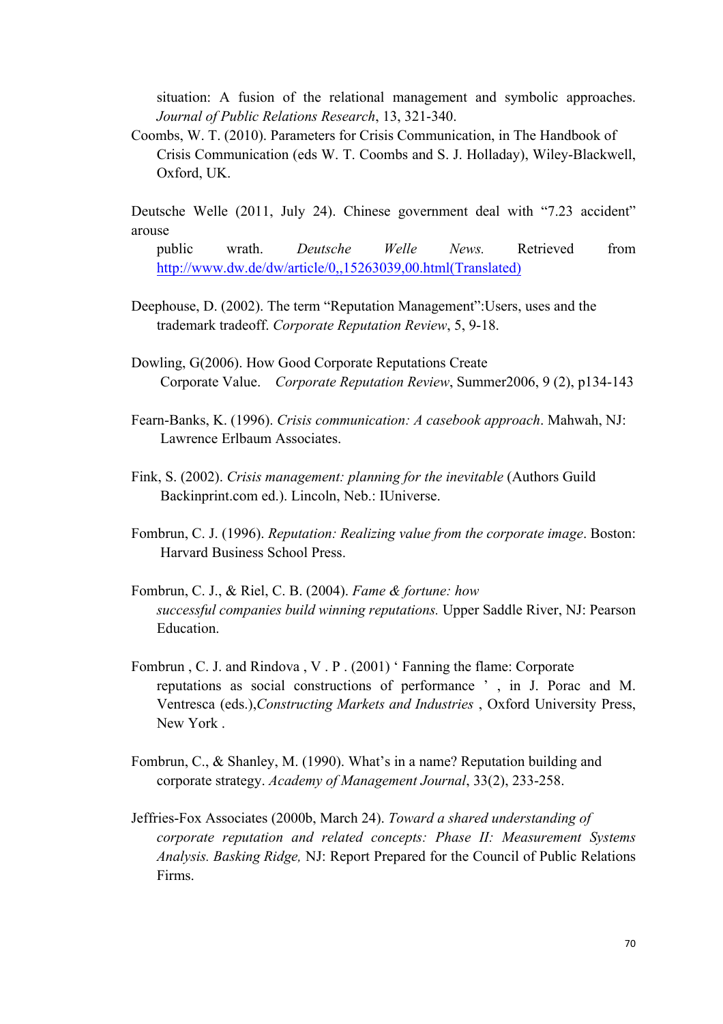situation: A fusion of the relational management and symbolic approaches. *Journal of Public Relations Research*, 13, 321-340.

Coombs, W. T. (2010). Parameters for Crisis Communication, in The Handbook of Crisis Communication (eds W. T. Coombs and S. J. Holladay), Wiley-Blackwell, Oxford, UK.

Deutsche Welle (2011, July 24). Chinese government deal with "7.23 accident" arouse

- public wrath. *Deutsche Welle News.* Retrieved from http://www.dw.de/dw/article/0,,15263039,00.html(Translated)
- Deephouse, D. (2002). The term "Reputation Management":Users, uses and the trademark tradeoff. *Corporate Reputation Review*, 5, 9-18.
- Dowling, G(2006). How Good Corporate Reputations Create Corporate Value. *Corporate Reputation Review*, Summer2006, 9 (2), p134-143
- Fearn-Banks, K. (1996). *Crisis communication: A casebook approach*. Mahwah, NJ: Lawrence Erlbaum Associates.
- Fink, S. (2002). *Crisis management: planning for the inevitable* (Authors Guild Backinprint.com ed.). Lincoln, Neb.: IUniverse.
- Fombrun, C. J. (1996). *Reputation: Realizing value from the corporate image*. Boston: Harvard Business School Press.
- Fombrun, C. J., & Riel, C. B. (2004). *Fame & fortune: how successful companies build winning reputations.* Upper Saddle River, NJ: Pearson Education.
- Fombrun , C. J. and Rindova , V . P . (2001) ' Fanning the flame: Corporate reputations as social constructions of performance ' , in J. Porac and M. Ventresca (eds.),*Constructing Markets and Industries* , Oxford University Press, New York .
- Fombrun, C., & Shanley, M. (1990). What's in a name? Reputation building and corporate strategy. *Academy of Management Journal*, 33(2), 233-258.
- Jeffries-Fox Associates (2000b, March 24). *Toward a shared understanding of corporate reputation and related concepts: Phase II: Measurement Systems Analysis. Basking Ridge,* NJ: Report Prepared for the Council of Public Relations Firms.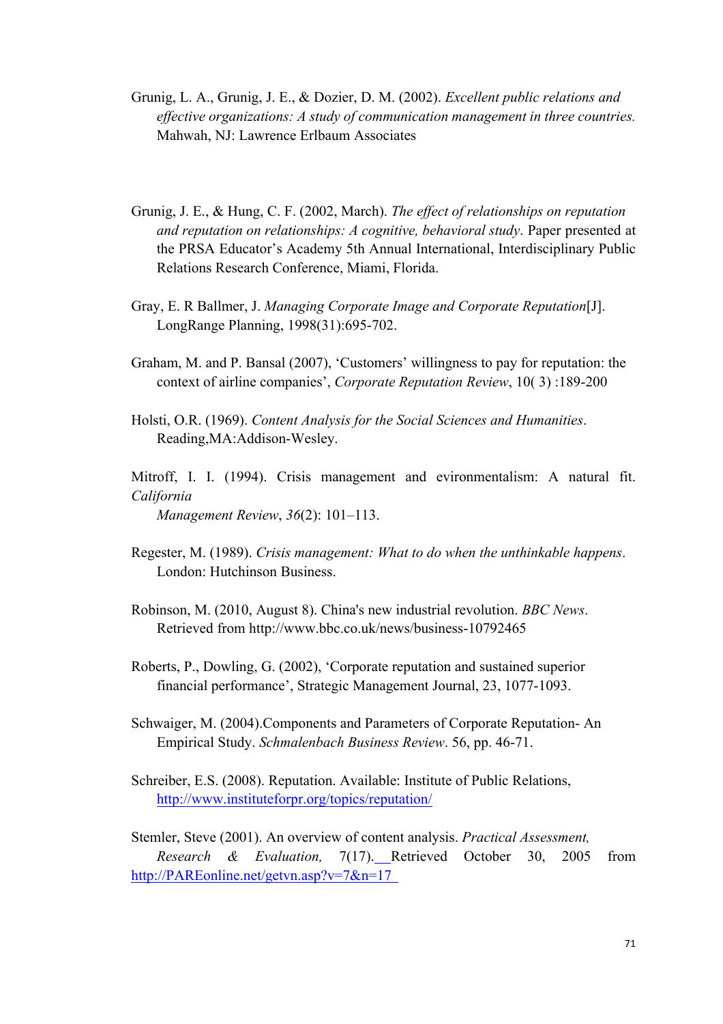- Grunig, L. A., Grunig, J. E., & Dozier, D. M. (2002). *Excellent public relations and effective organizations: A study of communication management in three countries.* Mahwah, NJ: Lawrence Erlbaum Associates
- Grunig, J. E., & Hung, C. F. (2002, March). *The effect of relationships on reputation and reputation on relationships: A cognitive, behavioral study*. Paper presented at the PRSA Educator's Academy 5th Annual International, Interdisciplinary Public Relations Research Conference, Miami, Florida.
- Gray, E. R Ballmer, J. *Managing Corporate Image and Corporate Reputation*[J]. LongRange Planning, 1998(31):695-702.
- Graham, M. and P. Bansal (2007), 'Customers' willingness to pay for reputation: the context of airline companies', *Corporate Reputation Review*, 10( 3) :189-200
- Holsti, O.R. (1969). *Content Analysis for the Social Sciences and Humanities*. Reading,MA:Addison-Wesley.

Mitroff, I. I. (1994). Crisis management and evironmentalism: A natural fit. *California Management Review*, *36*(2): 101–113.

- Regester, M. (1989). *Crisis management: What to do when the unthinkable happens*. London: Hutchinson Business.
- Robinson, M. (2010, August 8). China's new industrial revolution. *BBC News*. Retrieved from http://www.bbc.co.uk/news/business-10792465
- Roberts, P., Dowling, G. (2002), 'Corporate reputation and sustained superior financial performance', Strategic Management Journal, 23, 1077-1093.
- Schwaiger, M. (2004).Components and Parameters of Corporate Reputation- An Empirical Study. *Schmalenbach Business Review*. 56, pp. 46-71.
- Schreiber, E.S. (2008). Reputation. Available: Institute of Public Relations, http://www.instituteforpr.org/topics/reputation/

Stemler, Steve (2001). An overview of content analysis. *Practical Assessment, Research & Evaluation,* 7(17). Retrieved October 30, 2005 from http://PAREonline.net/getvn.asp?v=7&n=17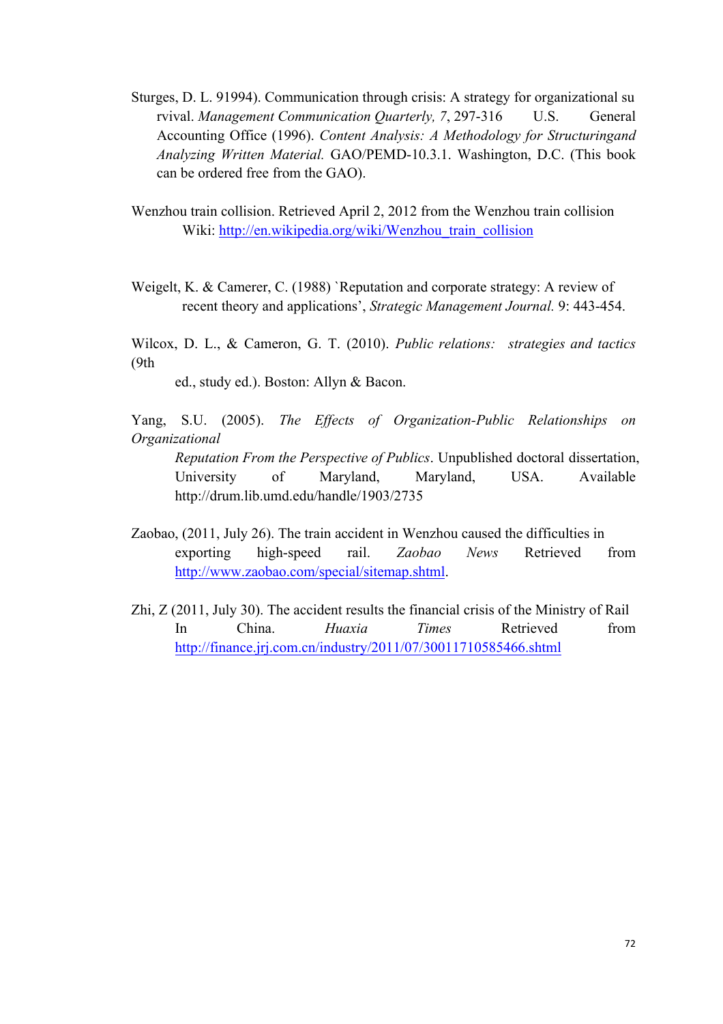- Sturges, D. L. 91994). Communication through crisis: A strategy for organizational su rvival. *Management Communication Quarterly, 7*, 297-316 U.S. General Accounting Office (1996). *Content Analysis: A Methodology for Structuringand Analyzing Written Material.* GAO/PEMD-10.3.1. Washington, D.C. (This book can be ordered free from the GAO).
- Wenzhou train collision. Retrieved April 2, 2012 from the Wenzhou train collision Wiki: http://en.wikipedia.org/wiki/Wenzhou\_train\_collision
- Weigelt, K. & Camerer, C. (1988) `Reputation and corporate strategy: A review of recent theory and applications', *Strategic Management Journal.* 9: 443-454.

Wilcox, D. L., & Cameron, G. T. (2010). *Public relations: strategies and tactics* (9th

ed., study ed.). Boston: Allyn & Bacon.

Yang, S.U. (2005). *The Effects of Organization-Public Relationships on Organizational* 

- *Reputation From the Perspective of Publics*. Unpublished doctoral dissertation, University of Maryland, Maryland, USA. Available http://drum.lib.umd.edu/handle/1903/2735
- Zaobao, (2011, July 26). The train accident in Wenzhou caused the difficulties in exporting high-speed rail. *Zaobao News* Retrieved from http://www.zaobao.com/special/sitemap.shtml.
- Zhi, Z (2011, July 30). The accident results the financial crisis of the Ministry of Rail In China. *Huaxia Times* Retrieved from http://finance.jrj.com.cn/industry/2011/07/30011710585466.shtml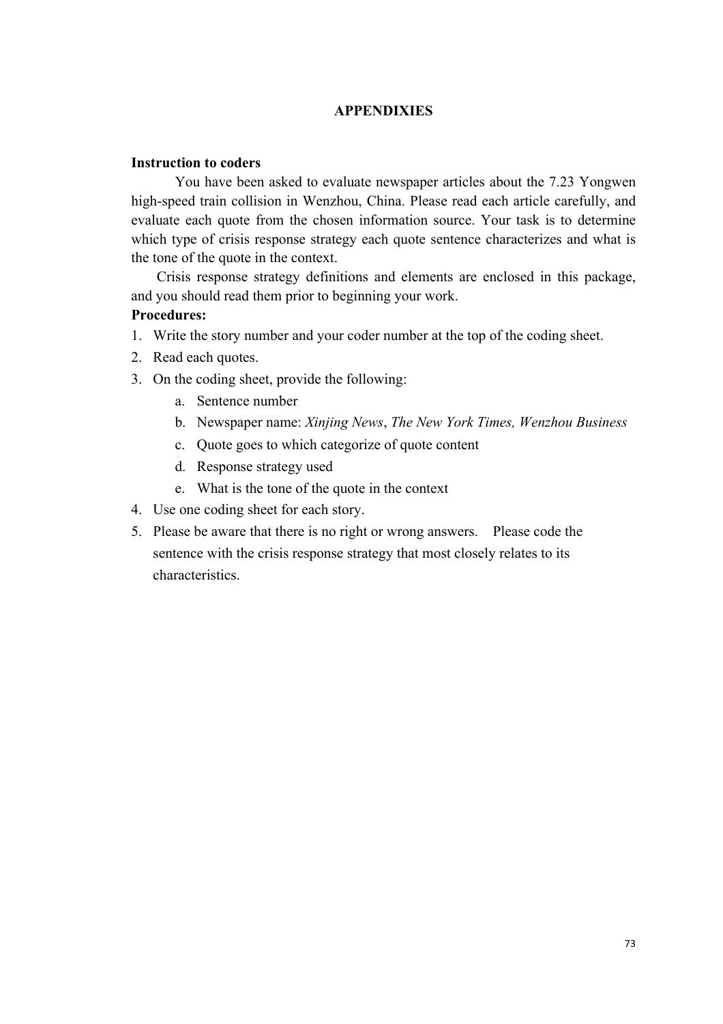#### **APPENDIXIES**

#### **Instruction to coders**

You have been asked to evaluate newspaper articles about the 7.23 Yongwen high-speed train collision in Wenzhou, China. Please read each article carefully, and evaluate each quote from the chosen information source. Your task is to determine which type of crisis response strategy each quote sentence characterizes and what is the tone of the quote in the context.

Crisis response strategy definitions and elements are enclosed in this package, and you should read them prior to beginning your work.

#### **Procedures:**

- 1. Write the story number and your coder number at the top of the coding sheet.
- 2. Read each quotes.
- 3. On the coding sheet, provide the following:
	- a. Sentence number
	- b. Newspaper name: *Xinjing News*, *The New York Times, Wenzhou Business*
	- c. Quote goes to which categorize of quote content
	- d. Response strategy used
	- e. What is the tone of the quote in the context
- 4. Use one coding sheet for each story.
- 5. Please be aware that there is no right or wrong answers. Please code the sentence with the crisis response strategy that most closely relates to its characteristics.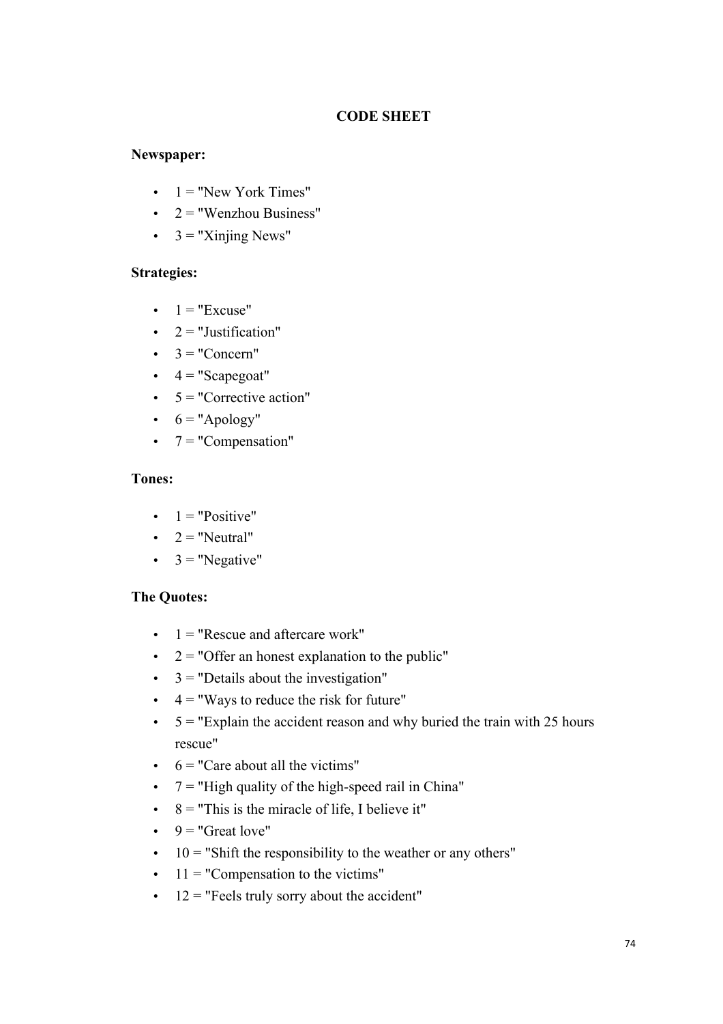### **CODE SHEET**

#### **Newspaper:**

- $\bullet$  1 = "New York Times"
- $\bullet$  2 = "Wenzhou Business"
- $\bullet$  3 = "Xinjing News"

#### **Strategies:**

- $\bullet$  1 = "Excuse"
- $\bullet$  2 = "Justification"
- $\bullet \quad 3 = "Concern"$
- $\bullet$  4 = "Scapegoat"
- $\bullet$  5 = "Corrective action"
- $6 = "Apology"$
- $\bullet$  7 = "Compensation"

#### **Tones:**

- $\bullet$  1 = "Positive"
- $2 = "Neutral"$
- $3 =$  "Negative"

#### **The Quotes:**

- $\bullet$  1 = "Rescue and aftercare work"
- $\bullet$  2 = "Offer an honest explanation to the public"
- $\cdot$  3 = "Details about the investigation"
- $\cdot$  4 = "Ways to reduce the risk for future"
- $\cdot$  5 = "Explain the accident reason and why buried the train with 25 hours rescue"
- $\cdot$  6 = "Care about all the victims"
- $\bullet$  7 = "High quality of the high-speed rail in China"
- $\cdot$  8 = "This is the miracle of life, I believe it"
- $9 = "Great love"$
- $\cdot$  10 = "Shift the responsibility to the weather or any others"
- $\cdot$  11 = "Compensation to the victims"
- $\cdot$  12 = "Feels truly sorry about the accident"